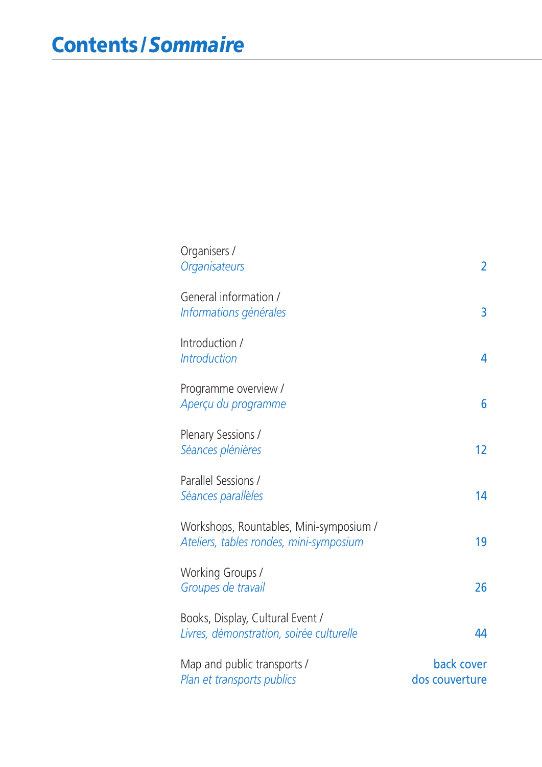| Organisers /<br>Organisateurs                                                      | $\overline{2}$               |
|------------------------------------------------------------------------------------|------------------------------|
| General information /<br>Informations générales                                    | 3                            |
| Introduction /<br><b>Introduction</b>                                              | 4                            |
| Programme overview /<br>Aperçu du programme                                        | 6                            |
| Plenary Sessions /<br>Séances plénières                                            | 12                           |
| Parallel Sessions /<br>Séances parallèles                                          | 14                           |
| Workshops, Rountables, Mini-symposium /<br>Ateliers, tables rondes, mini-symposium | 19                           |
| Working Groups /<br>Groupes de travail                                             | 26                           |
| Books, Display, Cultural Event /<br>Livres, démonstration, soirée culturelle       | 44                           |
| Map and public transports /<br>Plan et transports publics                          | back cover<br>dos couverture |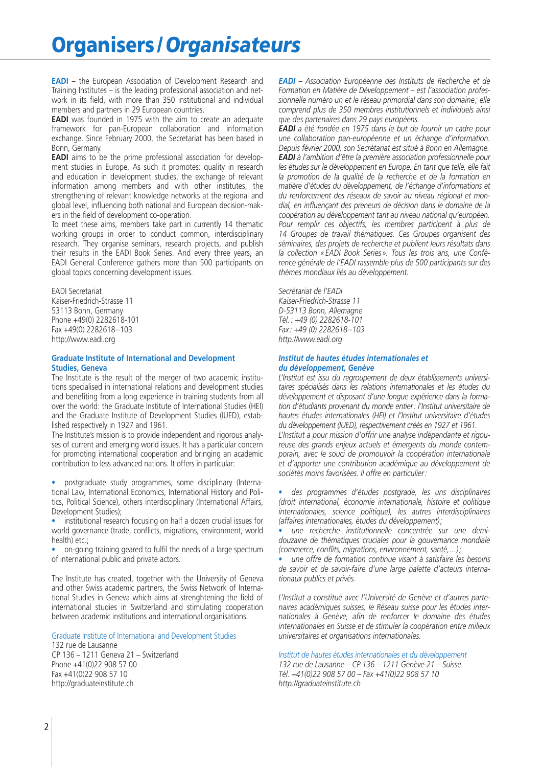# **Organisers /***Organisateurs*

**EADI** – the European Association of Development Research and Training Institutes – is the leading professional association and network in its field, with more than 350 institutional and individual members and partners in 29 European countries.

**EADI** was founded in 1975 with the aim to create an adequate framework for pan-European collaboration and information exchange. Since February 2000, the Secretariat has been based in Bonn, Germany.

**EADI** aims to be the prime professional association for development studies in Europe. As such it promotes: quality in research and education in development studies, the exchange of relevant information among members and with other institutes, the strengthening of relevant knowledge networks at the regional and global level, influencing both national and European decision-makers in the field of development co-operation.

To meet these aims, members take part in currently 14 thematic working groups in order to conduct common, interdisciplinary research. They organise seminars, research projects, and publish their results in the EADI Book Series. And every three years, an EADI General Conference gathers more than 500 participants on global topics concerning development issues.

EADI Secretariat Kaiser-Friedrich-Strasse 11 53113 Bonn, Germany Phone +49(0) 2282618-101 Fax +49(0) 2282618--103 http://www.eadi.org

### **Graduate Institute of International and Development Studies, Geneva**

The Institute is the result of the merger of two academic institutions specialised in international relations and development studies and benefiting from a long experience in training students from all over the world: the Graduate Institute of International Studies (HEI) and the Graduate Institute of Development Studies (IUED), established respectively in 1927 and 1961.

The Institute's mission is to provide independent and rigorous analyses of current and emerging world issues. It has a particular concern for promoting international cooperation and bringing an academic contribution to less advanced nations. It offers in particular:

• postgraduate study programmes, some disciplinary (International Law, International Economics, International History and Politics, Political Science), others interdisciplinary (International Affairs, Development Studies);

• institutional research focusing on half a dozen crucial issues for world governance (trade, conflicts, migrations, environment, world health) etc.;

• on-going training geared to fulfil the needs of a large spectrum of international public and private actors.

The Institute has created, together with the University of Geneva and other Swiss academic partners, the Swiss Network of International Studies in Geneva which aims at strenghtening the field of international studies in Switzerland and stimulating cooperation between academic institutions and international organisations.

Graduate Institute of International and Development Studies 132 rue de Lausanne CP 136 – 1211 Geneva 21 – Switzerland Phone +41(0)22 908 57 00 Fax +41(0)22 908 57 10 http://graduateinstitute.ch

*EADI – Association Européenne des Instituts de Recherche et de Formation en Matière de Développement – est l'association professionnelle numéro un et le réseau primordial dans son domaine ; elle comprend plus de 350 membres institutionnels et individuels ainsi que des partenaires dans 29 pays européens.*

*EADI a été fondée en 1975 dans le but de fournir un cadre pour une collaboration pan-européenne et un échange d'information. Depuis février 2000, son Secrétariat est situé à Bonn en Allemagne. EADI à l'ambition d'être la première association professionnelle pour les études sur le développement en Europe. En tant que telle, elle fait la promotion de la qualité de la recherche et de la formation en matière d'études du développement, de l'échange d'informations et du renforcement des réseaux de savoir au niveau régional et mondial, en influençant des preneurs de décision dans le domaine de la coopération au développement tant au niveau national qu'européen.* Pour remplir ces objectifs, les membres participent à plus de *14 Groupes de travail thématiques. Ces Groupes organisent des séminaires, des projets de recherche et publient leurs résultats dans la collection « EADI Book Series ». Tous les trois ans, une Conférence générale de l'EADI rassemble plus de 500 participants sur des thèmes mondiaux liés au développement.*

*Secrétariat de l'EADI Kaiser-Friedrich-Strasse 11 D-53113 Bonn, Allemagne Tél. : +49 (0) 2282618-101 Fax : +49 (0) 2282618--103 http://www.eadi.org*

### *Institut de hautes études internationales et du développement, Genève*

*L'Institut est issu du regroupement de deux établissements universitaires spécialisés dans les relations internationales et les études du développement et disposant d'une longue expérience dans la formation d'étudiants provenant du monde entier: l'Institut universitaire de hautes études internationales (HEI) et l'Institut universitaire d'études du développement (IUED), respectivement créés en 1927 et 1961. L'Institut a pour mission d'offrir une analyse indépendante et rigoureuse des grands enjeux actuels et émergents du monde contemporain, avec le souci de promouvoir la coopération internationale et d'apporter une contribution académique au développement de sociétés moins favorisées. Il offre en particulier :*

• *des programmes d'études postgrade, les uns disciplinaires (droit international, économie internationale, histoire et politique internationales, science politique), les autres interdisciplinaires (affaires internationales, études du développement);*

• *une recherche institutionnelle concentrée sur une demidouzaine de thématiques cruciales pour la gouvernance mondiale (commerce, conflits, migrations, environnement, santé,…);*

• *une offre de formation continue visant à satisfaire les besoins de savoir et de savoir-faire d'une large palette d'acteurs internationaux publics et privés.*

*L'Institut a constitué avec l'Université de Genève et d'autres partenaires académiques suisses, le Réseau suisse pour les études internationales à Genève, afin de renforcer le domaine des études internationales en Suisse et de stimuler la coopération entre milieux universitaires et organisations internationales.*

*Institut de hautes études internationales et du développement*

*132 rue de Lausanne – CP 136 – 1211 Genève 21 – Suisse Tél. +41(0)22 908 57 00 – Fax +41(0)22 908 57 10 http://graduateinstitute.ch*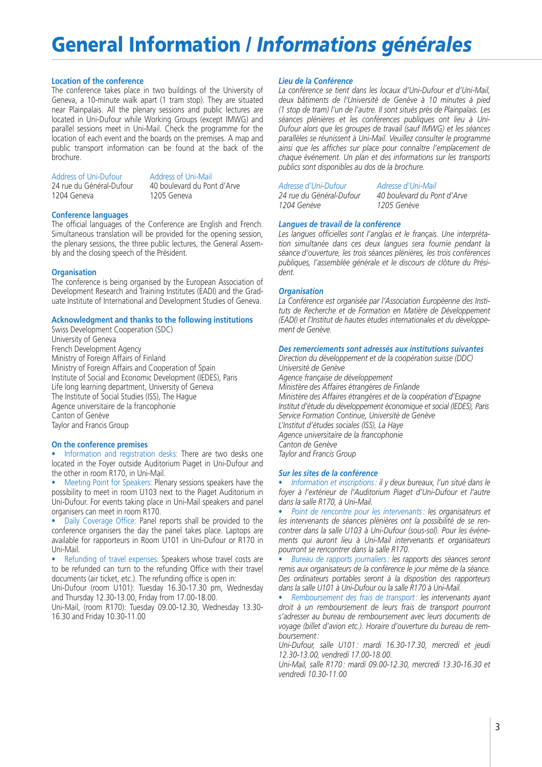## **General Information /** *Informations générales*

### **Location of the conference**

The conference takes place in two buildings of the University of Geneva, a 10-minute walk apart (1 tram stop). They are situated near Plainpalais. All the plenary sessions and public lectures are located in Uni-Dufour while Working Groups (except IMWG) and parallel sessions meet in Uni-Mail. Check the programme for the location of each event and the boards on the premises. A map and public transport information can be found at the back of the brochure.

Address of Uni-Dufour<br>
24 rue du Général-Dufour<br>
20 boulevard du Port 1204 Geneva

40 boulevard du Pont d'Arve<br>1205 Geneva

### **Conference languages**

The official languages of the Conference are English and French. Simultaneous translation will be provided for the opening session, the plenary sessions, the three public lectures, the General Assembly and the closing speech of the Président.

### **Organisation**

The conference is being organised by the European Association of Development Research and Training Institutes (EADI) and the Graduate Institute of International and Development Studies of Geneva.

### **Acknowledgment and thanks to the following institutions**

Swiss Development Cooperation (SDC) University of Geneva French Development Agency Ministry of Foreign Affairs of Finland Ministry of Foreign Affairs and Cooperation of Spain Institute of Social and Economic Development (IEDES), Paris Life long learning department, University of Geneva The Institute of Social Studies (ISS), The Hague Agence universitaire de la francophonie Canton of Genève Taylor and Francis Group

### **On the conference premises**

Information and registration desks: There are two desks one located in the Foyer outside Auditorium Piaget in Uni-Dufour and the other in room R170, in Uni-Mail.

• Meeting Point for Speakers: Plenary sessions speakers have the possibility to meet in room U103 next to the Piaget Auditorium in Uni-Dufour. For events taking place in Uni-Mail speakers and panel organisers can meet in room R170.

• Daily Coverage Office: Panel reports shall be provided to the conference organisers the day the panel takes place. Laptops are available for rapporteurs in Room U101 in Uni-Dufour or R170 in Uni-Mail.

Refunding of travel expenses: Speakers whose travel costs are to be refunded can turn to the refunding Office with their travel documents (air ticket, etc.). The refunding office is open in:

Uni-Dufour (room U101): Tuesday 16.30-17.30 pm, Wednesday and Thursday 12.30-13.00, Friday from 17.00-18.00.

Uni-Mail, (room R170): Tuesday 09.00-12.30, Wednesday 13.30- 16.30 and Friday 10.30-11.00

### *Lieu de la Conférence*

*La conférence se tient dans les locaux d'Uni-Dufour et d'Uni-Mail, deux bâtiments de l'Université de Genève à 10 minutes à pied (1 stop de tram) l'un de l'autre. Il sont situés près de Plainpalais. Les séances plénières et les conférences publiques ont lieu à Uni-Dufour alors que les groupes de travail (sauf IMWG) et les séances parallèles se réunissent à Uni-Mail. Veuillez consulter le programme ainsi que les affiches sur place pour connaître l'emplacement de chaque événement. Un plan et des informations sur les transports publics sont disponibles au dos de la brochure.*

*1204 Genève 1205 Genève*

*Adresse d'Uni-Dufour Adresse d'Uni-Mail*

*20 boulevard du Pont d'Arve*<br>1205 Genève

### *Langues de travail de la conférence*

*Les langues officielles sont l'anglais et le français. Une interprétation simultanée dans ces deux langues sera fournie pendant la séance d'ouverture, les trois séances plénières, les trois conférences publiques, l'assemblée générale et le discours de clôture du Président.*

### *Organisation*

*La Conférence est organisée par l'Association Européenne des Instituts de Recherche et de Formation en Matière de Développement (EADI) et l'Institut de hautes études internationales et du développement de Genève.*

### *Des remerciements sont adressés aux institutions suivantes*

*Direction du développement et de la coopération suisse (DDC) Université de Genève Agence française de développement Ministère des Affaires étrangères de Finlande Ministère des Affaires étrangères et de la coopération d'Espagne Institut d'étude du développement économique et social (IEDES), Paris Service Formation Continue, Université de Genève L'Institut d'études sociales (ISS), La Haye Agence universitaire de la francophonie Canton de Genève Taylor and Francis Group*

### *Sur les sites de la conférence*

• *Information et inscriptions : il y deux bureaux, l'un situé dans le foyer à l'extérieur de l'Auditorium Piaget d'Uni-Dufour et l'autre dans la salle R170, à Uni-Mail.*

• *Point de rencontre pour les intervenants : les organisateurs et les intervenants de séances plénières ont la possibilité de se rencontrer dans la salle U103 à Uni-Dufour (sous-sol). Pour les événements qui auront lieu à Uni-Mail intervenants et organisateurs pourront se rencontrer dans la salle R170.*

• *Bureau de rapports journaliers: les rapports des séances seront remis aux organisateurs de la conférence le jour même de la séance. Des ordinateurs portables seront à la disposition des rapporteurs dans la salle U101 à Uni-Dufour ou la salle R170 à Uni-Mail.*

• *Remboursement des frais de transport : les intervenants ayant droit à un remboursement de leurs frais de transport pourront s'adresser au bureau de remboursement avec leurs documents de voyage (billet d'avion etc.). Horaire d'ouverture du bureau de remboursement:*

*Uni-Dufour, salle U101 : mardi 16.30-17.30, mercredi et jeudi 12.30-13.00, vendredi 17.00-18.00.*

*Uni-Mail, salle R170: mardi 09.00-12.30, mercredi 13.30-16.30 et vendredi 10.30-11.00*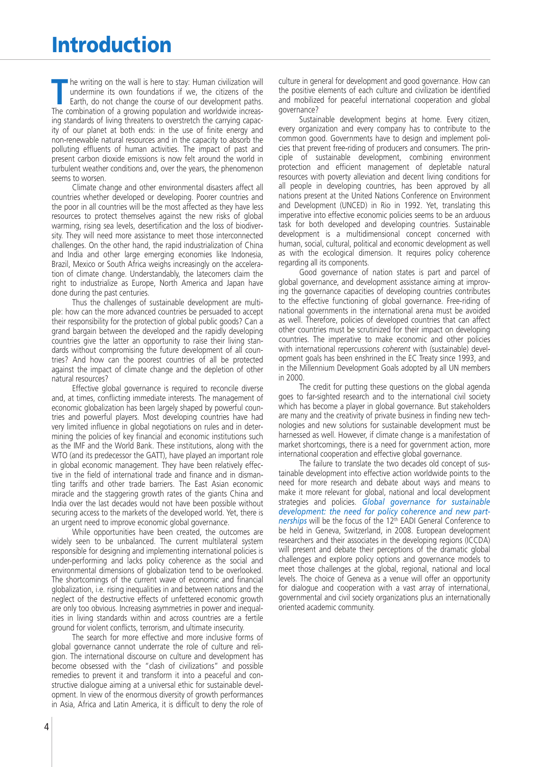**The writing on the wall is here to stay: Human civilization will undermine its own foundations if we, the citizens of the Earth, do not change the course of our development paths.** undermine its own foundations if we, the citizens of the Earth, do not change the course of our development paths. The combination of a growing population and worldwide increasing standards of living threatens to overstretch the carrying capacity of our planet at both ends: in the use of finite energy and non-renewable natural resources and in the capacity to absorb the polluting effluents of human activities. The impact of past and present carbon dioxide emissions is now felt around the world in turbulent weather conditions and, over the years, the phenomenon seems to worsen.

Climate change and other environmental disasters affect all countries whether developed or developing. Poorer countries and the poor in all countries will be the most affected as they have less resources to protect themselves against the new risks of global warming, rising sea levels, desertification and the loss of biodiversity. They will need more assistance to meet those interconnected challenges. On the other hand, the rapid industrialization of China and India and other large emerging economies like Indonesia, Brazil, Mexico or South Africa weighs increasingly on the acceleration of climate change. Understandably, the latecomers claim the right to industrialize as Europe, North America and Japan have done during the past centuries.

Thus the challenges of sustainable development are multiple: how can the more advanced countries be persuaded to accept their responsibility for the protection of global public goods? Can a grand bargain between the developed and the rapidly developing countries give the latter an opportunity to raise their living standards without compromising the future development of all countries? And how can the poorest countries of all be protected against the impact of climate change and the depletion of other natural resources?

Effective global governance is required to reconcile diverse and, at times, conflicting immediate interests. The management of economic globalization has been largely shaped by powerful countries and powerful players. Most developing countries have had very limited influence in global negotiations on rules and in determining the policies of key financial and economic institutions such as the IMF and the World Bank. These institutions, along with the WTO (and its predecessor the GATT), have played an important role in global economic management. They have been relatively effective in the field of international trade and finance and in dismantling tariffs and other trade barriers. The East Asian economic miracle and the staggering growth rates of the giants China and India over the last decades would not have been possible without securing access to the markets of the developed world. Yet, there is an urgent need to improve economic global governance.

While opportunities have been created, the outcomes are widely seen to be unbalanced. The current multilateral system responsible for designing and implementing international policies is under-performing and lacks policy coherence as the social and environmental dimensions of globalization tend to be overlooked. The shortcomings of the current wave of economic and financial globalization, i.e. rising inequalities in and between nations and the neglect of the destructive effects of unfettered economic growth are only too obvious. Increasing asymmetries in power and inequalities in living standards within and across countries are a fertile ground for violent conflicts, terrorism, and ultimate insecurity.

The search for more effective and more inclusive forms of global governance cannot underrate the role of culture and religion. The international discourse on culture and development has become obsessed with the "clash of civilizations" and possible remedies to prevent it and transform it into a peaceful and constructive dialogue aiming at a universal ethic for sustainable development. In view of the enormous diversity of growth performances in Asia, Africa and Latin America, it is difficult to deny the role of

Sustainable development begins at home. Every citizen, every organization and every company has to contribute to the common good. Governments have to design and implement policies that prevent free-riding of producers and consumers. The principle of sustainable development, combining environment protection and efficient management of depletable natural resources with poverty alleviation and decent living conditions for all people in developing countries, has been approved by all nations present at the United Nations Conference on Environment and Development (UNCED) in Rio in 1992. Yet, translating this imperative into effective economic policies seems to be an arduous task for both developed and developing countries. Sustainable development is a multidimensional concept concerned with human, social, cultural, political and economic development as well as with the ecological dimension. It requires policy coherence regarding all its components.

Good governance of nation states is part and parcel of global governance, and development assistance aiming at improving the governance capacities of developing countries contributes to the effective functioning of global governance. Free-riding of national governments in the international arena must be avoided as well. Therefore, policies of developed countries that can affect other countries must be scrutinized for their impact on developing countries. The imperative to make economic and other policies with international repercussions *coherent* with (sustainable) development goals has been enshrined in the EC Treaty since 1993, and in the Millennium Development Goals adopted by all UN members in 2000.

The credit for putting these questions on the global agenda goes to far-sighted research and to the international civil society which has become a player in global governance. But stakeholders are many and the creativity of private business in finding new technologies and new solutions for sustainable development must be harnessed as well. However, if climate change is a manifestation of market shortcomings, there is a need for government action, more international cooperation and effective global governance.

The failure to translate the two decades old concept of sustainable development into effective action worldwide points to the need for more research and debate about ways and means to make it more relevant for global, national and local development strategies and policies. *Global governance for sustainable development: the need for policy coherence and new partnerships* will be the focus of the 12<sup>th</sup> EADI General Conference to be held in Geneva, Switzerland, in 2008. European development researchers and their associates in the developing regions (ICCDA) will present and debate their perceptions of the dramatic global challenges and explore policy options and governance models to meet those challenges at the global, regional, national and local levels. The choice of Geneva as a venue will offer an opportunity for dialogue and cooperation with a vast array of international, governmental and civil society organizations plus an internationally oriented academic community.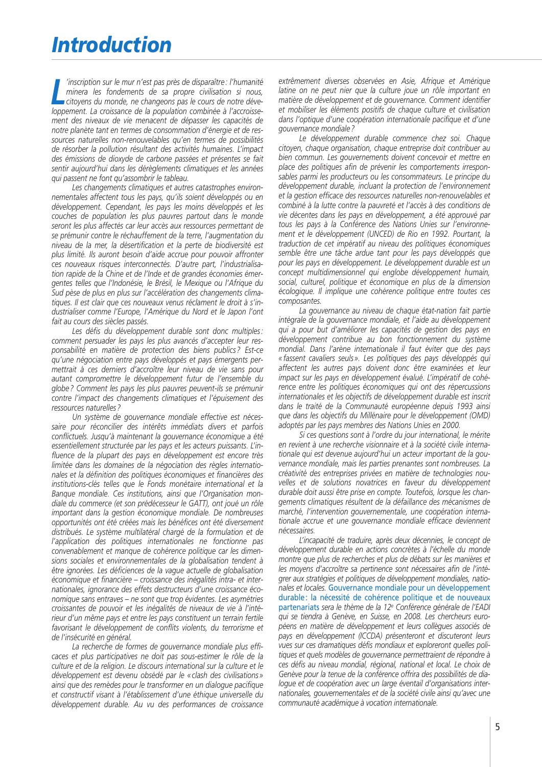Inscription sur le mur n'est pas pres de disparaitre : l'humanite<br>
minera les fondements de sa propre civilisation si nous,<br>
citoyens du monde, ne changeons pas le cours de notre déve-<br>
loppement. La croissance de la popul *'inscription sur le mur n'est pas près de disparaître : l'humanité minera les fondements de sa propre civilisation si nous, citoyens du monde, ne changeons pas le cours de notre dévement des niveaux de vie menacent de dépasser les capacités de notre planète tant en termes de consommation d'énergie et de ressources naturelles non-renouvelables qu'en termes de possibilités de résorber la pollution résultant des activités humaines. L'impact des émissions de dioxyde de carbone passées et présentes se fait sentir aujourd'hui dans les dérèglements climatiques et les années qui passent ne font qu'assombrir le tableau.*

*Les changements climatiques et autres catastrophes environnementales affectent tous les pays, qu'ils soient développés ou en développement. Cependant, les pays les moins développés et les couches de population les plus pauvres partout dans le monde seront les plus affectés car leur accès aux ressources permettant de se prémunir contre le réchauffement de la terre, l'augmentation du niveau de la mer, la désertification et la perte de biodiversité est plus limité. Ils auront besoin d'aide accrue pour pouvoir affronter ces nouveaux risques interconnectés. D'autre part, l'industrialisation rapide de la Chine et de l'Inde et de grandes économies émergentes telles que l'Indonésie, le Brésil, le Mexique ou l'Afrique du Sud pèse de plus en plus sur l'accélération des changements climatiques. Il est clair que ces nouveaux venus réclament le droit à s'industrialiser comme l'Europe, l'Amérique du Nord et le Japon l'ont fait au cours des siècles passés.*

*Les défis du développement durable sont donc multiples : comment persuader les pays les plus avancés d'accepter leur responsabilité en matière de protection des biens publics ? Est-ce qu'une négociation entre pays développés et pays émergents permettrait à ces derniers d'accroître leur niveau de vie sans pour autant compromettre le développement futur de l'ensemble du globe ? Comment les pays les plus pauvres peuvent-ils se prémunir contre l'impact des changements climatiques et l'épuisement des ressources naturelles ?*

*Un système de gouvernance mondiale effective est nécessaire pour réconcilier des intérêts immédiats divers et parfois conflictuels. Jusqu'à maintenant la gouvernance économique a été essentiellement structurée par les pays et les acteurs puissants. L'influence de la plupart des pays en développement est encore très limitée dans les domaines de la négociation des règles internationales et la définition des politiques économiques et financières des institutions-clés telles que le Fonds monétaire international et la Banque mondiale. Ces institutions, ainsi que l'Organisation mondiale du commerce (et son prédécesseur le GATT), ont joué un rôle important dans la gestion économique mondiale. De nombreuses opportunités ont été créées mais les bénéfices ont été diversement distribués. Le système multilatéral chargé de la formulation et de l'application des politiques internationales ne fonctionne pas convenablement et manque de cohérence politique car les dimensions sociales et environnementales de la globalisation tendent à être ignorées. Les déficiences de la vague actuelle de globalisation économique et financière – croissance des inégalités intra- et internationales, ignorance des effets destructeurs d'une croissance économique sans entraves – ne sont que trop évidentes. Les asymétries croissantes de pouvoir et les inégalités de niveaux de vie à l'intérieur d'un même pays et entre les pays constituent un terrain fertile favorisant le développement de conflits violents, du terrorisme et de l'insécurité en général.*

*La recherche de formes de gouvernance mondiale plus efficaces et plus participatives ne doit pas sous-estimer le rôle de la culture et de la religion. Le discours international sur la culture et le développement est devenu obsédé par le « clash des civilisations » ainsi que des remèdes pour le transformer en un dialogue pacifique et constructif visant à l'établissement d'une éthique universelle du développement durable. Au vu des performances de croissance*

*extrêmement diverses observées en Asie, Afrique et Amérique latine on ne peut nier que la culture joue un rôle important en matière de développement et de gouvernance. Comment identifier et mobiliser les éléments positifs de chaque culture et civilisation dans l'optique d'une coopération internationale pacifique et d'une gouvernance mondiale ?*

*Le développement durable commence chez soi. Chaque citoyen, chaque organisation, chaque entreprise doit contribuer au bien commun. Les gouvernements doivent concevoir et mettre en place des politiques afin de prévenir les comportements irresponsables parmi les producteurs ou les consommateurs. Le principe du développement durable, incluant la protection de l'environnement et la gestion efficace des ressources naturelles non-renouvelables et combiné à la lutte contre la pauvreté et l'accès à des conditions de vie décentes dans les pays en développement, a été approuvé par tous les pays à la Conférence des Nations Unies sur l'environnement et le développement (UNCED) de Rio en 1992. Pourtant, la traduction de cet impératif au niveau des politiques économiques semble être une tâche ardue tant pour les pays développés que pour les pays en développement. Le développement durable est un concept multidimensionnel qui englobe développement humain, social, culturel, politique et économique en plus de la dimension écologique. Il implique une cohérence politique entre toutes ces composantes.*

*La gouvernance au niveau de chaque état-nation fait partie intégrale de la gouvernance mondiale, et l'aide au développement qui a pour but d'améliorer les capacités de gestion des pays en développement contribue au bon fonctionnement du système mondial. Dans l'arène internationale il faut éviter que des pays « fassent cavaliers seuls ». Les politiques des pays développés qui affectent les autres pays doivent donc être examinées et leur impact sur les pays en développement évalué. L'impératif de cohérence entre les politiques économiques qui ont des répercussions internationales et les objectifs de développement durable est inscrit dans le traité de la Communauté européenne depuis 1993 ainsi que dans les objectifs du Millénaire pour le développement (OMD) adoptés par les pays membres des Nations Unies en 2000.*

*Si ces questions sont à l'ordre du jour international, le mérite en revient à une recherche visionnaire et à la société civile internationale qui est devenue aujourd'hui un acteur important de la gouvernance mondiale, mais les parties prenantes sont nombreuses. La créativité des entreprises privées en matière de technologies nouvelles et de solutions novatrices en faveur du développement durable doit aussi être prise en compte. Toutefois, lorsque les changements climatiques résultent de la défaillance des mécanismes de marché, l'intervention gouvernementale, une coopération internationale accrue et une gouvernance mondiale efficace deviennent nécessaires.*

*L'incapacité de traduire, après deux décennies, le concept de développement durable en actions concrètes à l'échelle du monde montre que plus de recherches et plus de débats sur les manières et les moyens d'accroître sa pertinence sont nécessaires afin de l'intégrer aux stratégies et politiques de développement mondiales, nationales et locales.* Gouvernance mondiale pour un développement durable: la nécessité de cohérence politique et de nouveaux partenariats *sera le thème de la 12e Conférence générale de l'EADI qui se tiendra à Genève, en Suisse, en 2008. Les chercheurs européens en matière de développement et leurs collègues associés de pays en développement (ICCDA) présenteront et discuteront leurs vues sur ces dramatiques défis mondiaux et exploreront quelles politiques et quels modèles de gouvernance permettraient de répondre à ces défis au niveau mondial, régional, national et local. Le choix de Genève pour la tenue de la conférence offrira des possibilités de dialogue et de coopération avec un large éventail d'organisations internationales, gouvernementales et de la société civile ainsi qu'avec une communauté académique à vocation internationale.*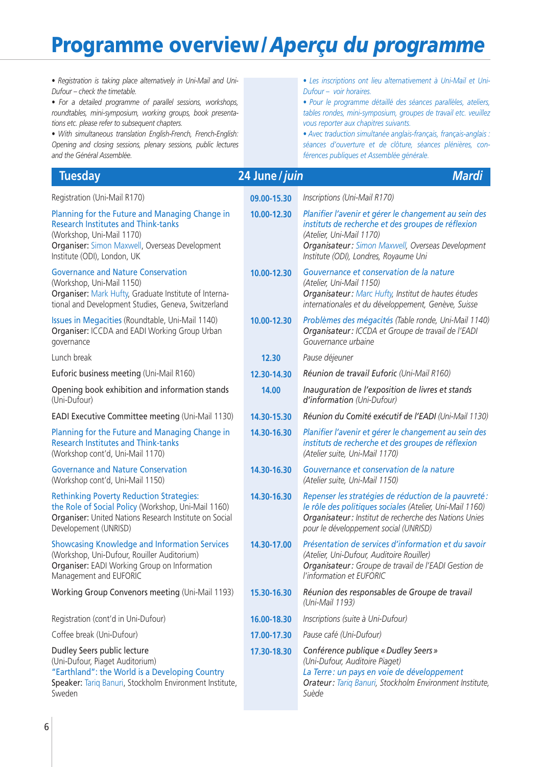| · Registration is taking place alternatively in Uni-Mail and Uni-<br>Dufour - check the timetable.<br>· For a detailed programme of parallel sessions, workshops,<br>roundtables, mini-symposium, working groups, book presenta-<br>tions etc. please refer to subsequent chapters.<br>· With simultaneous translation English-French, French-English:<br>Opening and closing sessions, plenary sessions, public lectures<br>and the Général Assemblée. |                | · Les inscriptions ont lieu alternativement à Uni-Mail et Uni-<br>Dufour - voir horaires.<br>· Pour le programme détaillé des séances parallèles, ateliers,<br>tables rondes, mini-symposium, groupes de travail etc. veuillez<br>vous reporter aux chapitres suivants.<br>· Avec traduction simultanée anglais-français, français-anglais.<br>séances d'ouverture et de clôture, séances plénières, con-<br>férences publiques et Assemblée générale. |
|---------------------------------------------------------------------------------------------------------------------------------------------------------------------------------------------------------------------------------------------------------------------------------------------------------------------------------------------------------------------------------------------------------------------------------------------------------|----------------|--------------------------------------------------------------------------------------------------------------------------------------------------------------------------------------------------------------------------------------------------------------------------------------------------------------------------------------------------------------------------------------------------------------------------------------------------------|
| <b>Tuesday</b>                                                                                                                                                                                                                                                                                                                                                                                                                                          | 24 June / juin | <b>Mardi</b>                                                                                                                                                                                                                                                                                                                                                                                                                                           |
| Registration (Uni-Mail R170)                                                                                                                                                                                                                                                                                                                                                                                                                            | 09.00-15.30    | Inscriptions (Uni-Mail R170)                                                                                                                                                                                                                                                                                                                                                                                                                           |
| Planning for the Future and Managing Change in<br><b>Research Institutes and Think-tanks</b><br>(Workshop, Uni-Mail 1170)<br>Organiser: Simon Maxwell, Overseas Development<br>Institute (ODI), London, UK                                                                                                                                                                                                                                              | 10.00-12.30    | Planifier l'avenir et gérer le changement au sein des<br>instituts de recherche et des groupes de réflexion<br>(Atelier, Uni-Mail 1170)<br>Organisateur: Simon Maxwell, Overseas Development<br>Institute (ODI), Londres, Royaume Uni                                                                                                                                                                                                                  |
| <b>Governance and Nature Conservation</b><br>(Workshop, Uni-Mail 1150)<br>Organiser: Mark Hufty, Graduate Institute of Interna-<br>tional and Development Studies, Geneva, Switzerland                                                                                                                                                                                                                                                                  | 10.00-12.30    | Gouvernance et conservation de la nature<br>(Atelier, Uni-Mail 1150)<br>Organisateur: Marc Hufty, Institut de hautes études<br>internationales et du développement, Genève, Suisse                                                                                                                                                                                                                                                                     |
| Issues in Megacities (Roundtable, Uni-Mail 1140)<br>Organiser: ICCDA and EADI Working Group Urban<br>governance                                                                                                                                                                                                                                                                                                                                         | 10.00-12.30    | Problèmes des mégacités (Table ronde, Uni-Mail 1140)<br>Organisateur: ICCDA et Groupe de travail de l'EADI<br>Gouvernance urbaine                                                                                                                                                                                                                                                                                                                      |
| Lunch break                                                                                                                                                                                                                                                                                                                                                                                                                                             | 12.30          | Pause déjeuner                                                                                                                                                                                                                                                                                                                                                                                                                                         |
| Euforic business meeting (Uni-Mail R160)                                                                                                                                                                                                                                                                                                                                                                                                                | 12.30-14.30    | Réunion de travail Euforic (Uni-Mail R160)                                                                                                                                                                                                                                                                                                                                                                                                             |
| Opening book exhibition and information stands<br>(Uni-Dufour)                                                                                                                                                                                                                                                                                                                                                                                          | 14.00          | Inauguration de l'exposition de livres et stands<br>d'information (Uni-Dufour)                                                                                                                                                                                                                                                                                                                                                                         |
| EADI Executive Committee meeting (Uni-Mail 1130)                                                                                                                                                                                                                                                                                                                                                                                                        | 14.30-15.30    | Réunion du Comité exécutif de l'EADI (Uni-Mail 1130)                                                                                                                                                                                                                                                                                                                                                                                                   |
| Planning for the Future and Managing Change in<br><b>Research Institutes and Think-tanks</b><br>(Workshop cont'd, Uni-Mail 1170)                                                                                                                                                                                                                                                                                                                        | 14.30-16.30    | Planifier l'avenir et gérer le changement au sein des<br>instituts de recherche et des groupes de réflexion<br>(Atelier suite, Uni-Mail 1170)                                                                                                                                                                                                                                                                                                          |
| <b>Governance and Nature Conservation</b><br>(Workshop cont'd, Uni-Mail 1150)                                                                                                                                                                                                                                                                                                                                                                           | 14.30-16.30    | Gouvernance et conservation de la nature<br>(Atelier suite, Uni-Mail 1150)                                                                                                                                                                                                                                                                                                                                                                             |
| <b>Rethinking Poverty Reduction Strategies:</b><br>the Role of Social Policy (Workshop, Uni-Mail 1160)<br>Organiser: United Nations Research Institute on Social<br>Developement (UNRISD)                                                                                                                                                                                                                                                               | 14.30-16.30    | Repenser les stratégies de réduction de la pauvreté :<br>le rôle des politiques sociales (Atelier, Uni-Mail 1160)<br>Organisateur: Institut de recherche des Nations Unies<br>pour le développement social (UNRISD)                                                                                                                                                                                                                                    |
| <b>Showcasing Knowledge and Information Services</b><br>(Workshop, Uni-Dufour, Rouiller Auditorium)<br>Organiser: EADI Working Group on Information<br>Management and EUFORIC                                                                                                                                                                                                                                                                           | 14.30-17.00    | Présentation de services d'information et du savoir<br>(Atelier, Uni-Dufour, Auditoire Rouiller)<br>Organisateur: Groupe de travail de l'EADI Gestion de<br>l'information et EUFORIC                                                                                                                                                                                                                                                                   |
| Working Group Convenors meeting (Uni-Mail 1193)                                                                                                                                                                                                                                                                                                                                                                                                         | 15.30-16.30    | Réunion des responsables de Groupe de travail<br>(Uni-Mail 1193)                                                                                                                                                                                                                                                                                                                                                                                       |
| Registration (cont'd in Uni-Dufour)                                                                                                                                                                                                                                                                                                                                                                                                                     | 16.00-18.30    | Inscriptions (suite à Uni-Dufour)                                                                                                                                                                                                                                                                                                                                                                                                                      |
| Coffee break (Uni-Dufour)                                                                                                                                                                                                                                                                                                                                                                                                                               | 17.00-17.30    | Pause café (Uni-Dufour)                                                                                                                                                                                                                                                                                                                                                                                                                                |
| Dudley Seers public lecture<br>(Uni-Dufour, Piaget Auditorium)<br>"Earthland": the World is a Developing Country<br>Speaker: Tariq Banuri, Stockholm Environment Institute,<br>Sweden                                                                                                                                                                                                                                                                   | 17.30-18.30    | Conférence publique « Dudley Seers »<br>(Uni-Dufour, Auditoire Piaget)<br>La Terre : un pays en voie de développement<br>Orateur: Tariq Banuri, Stockholm Environment Institute,<br>Suède                                                                                                                                                                                                                                                              |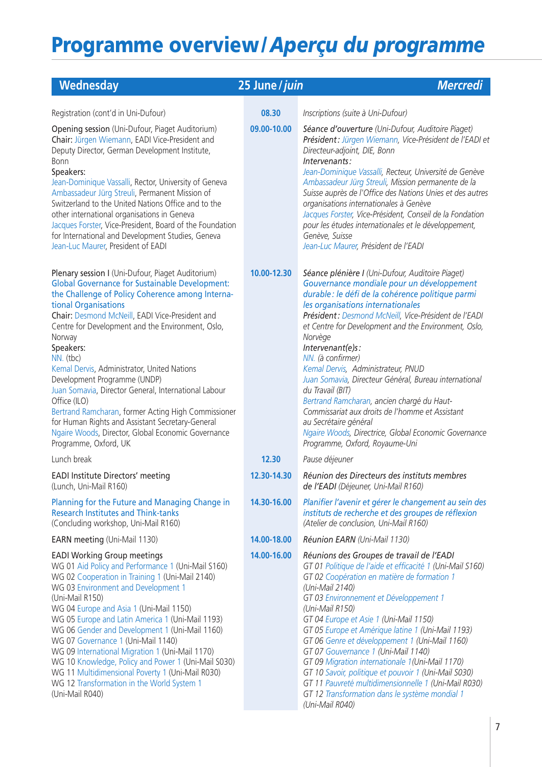| Wednesday                                                                                                                                                                                                                                                                                                                                                                                                                                                                                                                                                                                                                                                                           | 25 June / juin | <b>Mercredi</b>                                                                                                                                                                                                                                                                                                                                                                                                                                                                                                                                                                                                                                                                                     |
|-------------------------------------------------------------------------------------------------------------------------------------------------------------------------------------------------------------------------------------------------------------------------------------------------------------------------------------------------------------------------------------------------------------------------------------------------------------------------------------------------------------------------------------------------------------------------------------------------------------------------------------------------------------------------------------|----------------|-----------------------------------------------------------------------------------------------------------------------------------------------------------------------------------------------------------------------------------------------------------------------------------------------------------------------------------------------------------------------------------------------------------------------------------------------------------------------------------------------------------------------------------------------------------------------------------------------------------------------------------------------------------------------------------------------------|
| Registration (cont'd in Uni-Dufour)                                                                                                                                                                                                                                                                                                                                                                                                                                                                                                                                                                                                                                                 | 08.30          | Inscriptions (suite à Uni-Dufour)                                                                                                                                                                                                                                                                                                                                                                                                                                                                                                                                                                                                                                                                   |
| Opening session (Uni-Dufour, Piaget Auditorium)<br>Chair: Jürgen Wiemann, EADI Vice-President and<br>Deputy Director, German Development Institute,<br><b>Bonn</b><br>Speakers:<br>Jean-Dominique Vassalli, Rector, University of Geneva<br>Ambassadeur Jürg Streuli, Permanent Mission of<br>Switzerland to the United Nations Office and to the<br>other international organisations in Geneva<br>Jacques Forster, Vice-President, Board of the Foundation<br>for International and Development Studies, Geneva<br>Jean-Luc Maurer, President of EADI                                                                                                                             | 09.00-10.00    | Séance d'ouverture (Uni-Dufour, Auditoire Piaget)<br>Président: Jürgen Wiemann, Vice-Président de l'EADI et<br>Directeur-adjoint, DIE, Bonn<br>Intervenants:<br>Jean-Dominique Vassalli, Recteur, Université de Genève<br>Ambassadeur Jürg Streuli, Mission permanente de la<br>Suisse auprès de l'Office des Nations Unies et des autres<br>organisations internationales à Genève<br>Jacques Forster, Vice-Président, Conseil de la Fondation<br>pour les études internationales et le développement,<br>Genève, Suisse<br>Jean-Luc Maurer, Président de l'EADI                                                                                                                                   |
| Plenary session I (Uni-Dufour, Piaget Auditorium)<br><b>Global Governance for Sustainable Development:</b><br>the Challenge of Policy Coherence among Interna-<br>tional Organisations<br>Chair: Desmond McNeill, EADI Vice-President and<br>Centre for Development and the Environment, Oslo,<br>Norway<br>Speakers:<br>NN. (tbc)<br>Kemal Dervis, Administrator, United Nations<br>Development Programme (UNDP)<br>Juan Somavia, Director General, International Labour<br>Office (ILO)<br>Bertrand Ramcharan, former Acting High Commissioner<br>for Human Rights and Assistant Secretary-General<br>Ngaire Woods, Director, Global Economic Governance<br>Programme, Oxford, UK | 10.00-12.30    | Séance plénière I (Uni-Dufour, Auditoire Piaget)<br>Gouvernance mondiale pour un développement<br>durable : le défi de la cohérence politique parmi<br>les organisations internationales<br>Président: Desmond McNeill, Vice-Président de l'EADI<br>et Centre for Development and the Environment, Oslo,<br>Norvège<br>Intervenant(e)s:<br>NN. (à confirmer)<br>Kemal Dervis, Administrateur, PNUD<br>Juan Somavia, Directeur Général, Bureau international<br>du Travail (BIT)<br>Bertrand Ramcharan, ancien chargé du Haut-<br>Commissariat aux droits de l'homme et Assistant<br>au Secrétaire général<br>Ngaire Woods, Directrice, Global Economic Governance<br>Programme, Oxford, Royaume-Uni |
| Lunch break                                                                                                                                                                                                                                                                                                                                                                                                                                                                                                                                                                                                                                                                         | 12.30          | Pause déjeuner                                                                                                                                                                                                                                                                                                                                                                                                                                                                                                                                                                                                                                                                                      |
| <b>EADI Institute Directors' meeting</b><br>(Lunch, Uni-Mail R160)                                                                                                                                                                                                                                                                                                                                                                                                                                                                                                                                                                                                                  | 12.30-14.30    | Réunion des Directeurs des instituts membres<br>de l'EADI (Déjeuner, Uni-Mail R160)                                                                                                                                                                                                                                                                                                                                                                                                                                                                                                                                                                                                                 |
| Planning for the Future and Managing Change in<br><b>Research Institutes and Think-tanks</b><br>(Concluding workshop, Uni-Mail R160)                                                                                                                                                                                                                                                                                                                                                                                                                                                                                                                                                | 14.30-16.00    | Planifier l'avenir et gérer le changement au sein des<br>instituts de recherche et des groupes de réflexion<br>(Atelier de conclusion, Uni-Mail R160)                                                                                                                                                                                                                                                                                                                                                                                                                                                                                                                                               |
| <b>EARN meeting (Uni-Mail 1130)</b>                                                                                                                                                                                                                                                                                                                                                                                                                                                                                                                                                                                                                                                 | 14.00-18.00    | Réunion EARN (Uni-Mail 1130)                                                                                                                                                                                                                                                                                                                                                                                                                                                                                                                                                                                                                                                                        |
| <b>EADI Working Group meetings</b><br>WG 01 Aid Policy and Performance 1 (Uni-Mail S160)<br>WG 02 Cooperation in Training 1 (Uni-Mail 2140)<br>WG 03 Environment and Development 1<br>(Uni-Mail R150)<br>WG 04 Europe and Asia 1 (Uni-Mail 1150)<br>WG 05 Europe and Latin America 1 (Uni-Mail 1193)<br>WG 06 Gender and Development 1 (Uni-Mail 1160)<br>WG 07 Governance 1 (Uni-Mail 1140)<br>WG 09 International Migration 1 (Uni-Mail 1170)<br>WG 10 Knowledge, Policy and Power 1 (Uni-Mail S030)<br>WG 11 Multidimensional Poverty 1 (Uni-Mail R030)<br>WG 12 Transformation in the World System 1<br>(Uni-Mail R040)                                                         | 14.00-16.00    | Réunions des Groupes de travail de l'EADI<br>GT 01 Politique de l'aide et efficacité 1 (Uni-Mail S160)<br>GT 02 Coopération en matière de formation 1<br>(Uni-Mail 2140)<br>GT 03 Environnement et Développement 1<br>(Uni-Mail R150)<br>GT 04 Europe et Asie 1 (Uni-Mail 1150)<br>GT 05 Europe et Amérique latine 1 (Uni-Mail 1193)<br>GT 06 Genre et développement 1 (Uni-Mail 1160)<br>GT 07 Gouvernance 1 (Uni-Mail 1140)<br>GT 09 Migration internationale 1 (Uni-Mail 1170)<br>GT 10 Savoir, politique et pouvoir 1 (Uni-Mail S030)<br>GT 11 Pauvreté multidimensionnelle 1 (Uni-Mail R030)<br>GT 12 Transformation dans le système mondial 1<br>(Uni-Mail R040)                              |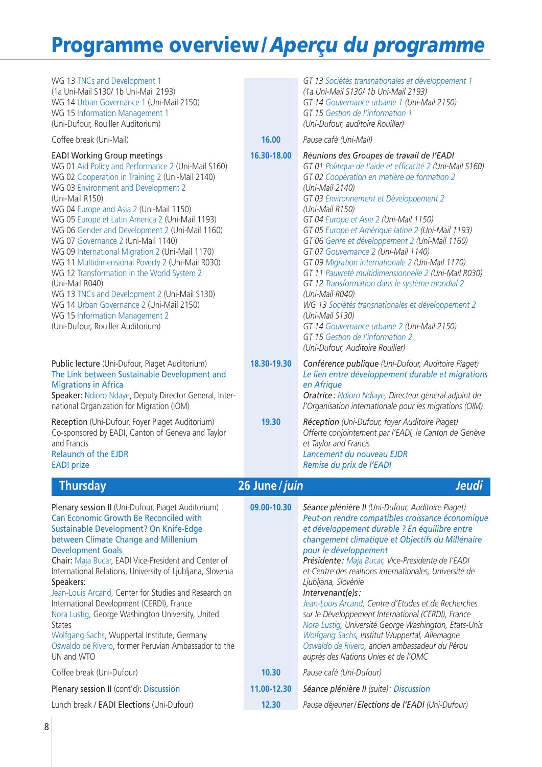| WG 13 TNCs and Development 1<br>(1a Uni-Mail S130/1b Uni-Mail 2193)<br>WG 14 Urban Governance 1 (Uni-Mail 2150)<br>WG 15 Information Management 1<br>(Uni-Dufour, Rouiller Auditorium)                                                                                                                                                                                                                                                                                                                                                                                                                                                                                                                                                 |                | GT 13 Sociétés transnationales et développement 1<br>(1a Uni-Mail S130/ 1b Uni-Mail 2193)<br>GT 14 Gouvernance urbaine 1 (Uni-Mail 2150)<br>GT 15 Gestion de l'information 1<br>(Uni-Dufour, auditoire Rouiller)                                                                                                                                                                                                                                                                                                                                                                                                                                                                                                                                                                                              |
|----------------------------------------------------------------------------------------------------------------------------------------------------------------------------------------------------------------------------------------------------------------------------------------------------------------------------------------------------------------------------------------------------------------------------------------------------------------------------------------------------------------------------------------------------------------------------------------------------------------------------------------------------------------------------------------------------------------------------------------|----------------|---------------------------------------------------------------------------------------------------------------------------------------------------------------------------------------------------------------------------------------------------------------------------------------------------------------------------------------------------------------------------------------------------------------------------------------------------------------------------------------------------------------------------------------------------------------------------------------------------------------------------------------------------------------------------------------------------------------------------------------------------------------------------------------------------------------|
| Coffee break (Uni-Mail)                                                                                                                                                                                                                                                                                                                                                                                                                                                                                                                                                                                                                                                                                                                | 16.00          | Pause café (Uni-Mail)                                                                                                                                                                                                                                                                                                                                                                                                                                                                                                                                                                                                                                                                                                                                                                                         |
| <b>EADI Working Group meetings</b><br>WG 01 Aid Policy and Performance 2 (Uni-Mail S160)<br>WG 02 Cooperation in Training 2 (Uni-Mail 2140)<br>WG 03 Environment and Development 2<br>(Uni-Mail R150)<br>WG 04 Europe and Asia 2 (Uni-Mail 1150)<br>WG 05 Europe et Latin America 2 (Uni-Mail 1193)<br>WG 06 Gender and Development 2 (Uni-Mail 1160)<br>WG 07 Governance 2 (Uni-Mail 1140)<br>WG 09 International Migration 2 (Uni-Mail 1170)<br>WG 11 Multidimensional Poverty 2 (Uni-Mail R030)<br>WG 12 Transformation in the World System 2<br>(Uni-Mail R040)<br>WG 13 TNCs and Development 2 (Uni-Mail S130)<br>WG 14 Urban Governance 2 (Uni-Mail 2150)<br>WG 15 Information Management 2<br>(Uni-Dufour, Rouiller Auditorium) | 16.30-18.00    | Réunions des Groupes de travail de l'EADI<br>GT 01 Politique de l'aide et efficacité 2 (Uni-Mail S160)<br>GT 02 Coopération en matière de formation 2<br>(Uni-Mail 2140)<br>GT 03 Environnement et Développement 2<br>(Uni-Mail R150)<br>GT 04 Europe et Asie 2 (Uni-Mail 1150)<br>GT 05 Europe et Amérique latine 2 (Uni-Mail 1193)<br>GT 06 Genre et développement 2 (Uni-Mail 1160)<br>GT 07 Gouvernance 2 (Uni-Mail 1140)<br>GT 09 Migration internationale 2 (Uni-Mail 1170)<br>GT 11 Pauvreté multidimensionnelle 2 (Uni-Mail R030)<br>GT 12 Transformation dans le système mondial 2<br>(Uni-Mail R040)<br>WG 13 Sociétés transnationales et développement 2<br>(Uni-Mail S130)<br>GT 14 Gouvernance urbaine 2 (Uni-Mail 2150)<br>GT 15 Gestion de l'information 2<br>(Uni-Dufour, Auditoire Rouiller) |
| Public lecture (Uni-Dufour, Piaget Auditorium)<br>The Link between Sustainable Development and<br><b>Migrations in Africa</b><br>Speaker: Ndioro Ndaye, Deputy Director General, Inter-<br>national Organization for Migration (IOM)                                                                                                                                                                                                                                                                                                                                                                                                                                                                                                   | 18.30-19.30    | Conférence publique (Uni-Dufour, Auditoire Piaget)<br>Le lien entre développement durable et migrations<br>en Afrique<br>Oratrice : Ndioro Ndiaye, Directeur général adjoint de<br>l'Organisation internationale pour les migrations (OIM)                                                                                                                                                                                                                                                                                                                                                                                                                                                                                                                                                                    |
| Reception (Uni-Dufour, Foyer Piaget Auditorium)<br>Co-sponsored by EADI, Canton of Geneva and Taylor<br>and Francis<br><b>Relaunch of the EJDR</b><br><b>EADI</b> prize                                                                                                                                                                                                                                                                                                                                                                                                                                                                                                                                                                | 19.30          | Réception (Uni-Dufour, foyer Auditoire Piaget)<br>Offerte conjointement par l'EADI, le Canton de Genève<br>et Taylor and Francis<br>Lancement du nouveau EJDR<br>Remise du prix de l'EADI                                                                                                                                                                                                                                                                                                                                                                                                                                                                                                                                                                                                                     |
| <b>Thursday</b>                                                                                                                                                                                                                                                                                                                                                                                                                                                                                                                                                                                                                                                                                                                        | 26 June / juin | Jeudi                                                                                                                                                                                                                                                                                                                                                                                                                                                                                                                                                                                                                                                                                                                                                                                                         |
| Plenary session II (Uni-Dufour, Piaget Auditorium)<br>Can Economic Growth Be Reconciled with<br>Sustainable Development? On Knife-Edge<br>between Climate Change and Millenium<br><b>Development Goals</b><br>Chair: Maja Bucar, EADI Vice-President and Center of<br>International Relations, University of Ljubljana, Slovenia<br>Speakers:<br>Jean-Louis Arcand, Center for Studies and Research on<br>International Development (CERDI), France<br>Nora Lustig, George Washington University, United<br><b>States</b><br>Wolfgang Sachs, Wuppertal Institute, Germany<br>Oswaldo de Rivero, former Peruvian Ambassador to the<br>UN and WTO                                                                                        | 09.00-10.30    | Séance plénière II (Uni-Dufour, Auditoire Piaget)<br>Peut-on rendre compatibles croissance économique<br>et développement durable ? En équilibre entre<br>changement climatique et Objectifs du Millénaire<br>pour le développement<br>Présidente : Maja Bucar, Vice-Présidente de l'EADI<br>et Centre des realtions internationales, Université de<br>Ljubljana, Slovénie<br>Intervenant(e)s:<br>Jean-Louis Arcand, Centre d'Etudes et de Recherches<br>sur le Développement International (CERDI), France<br>Nora Lustig, Université George Washington, Etats-Unis<br>Wolfgang Sachs, Institut Wuppertal, Allemagne<br>Oswaldo de Rivero, ancien ambassadeur du Pérou<br>auprès des Nations Unies et de l'OMC                                                                                               |
| Coffee break (Uni-Dufour)                                                                                                                                                                                                                                                                                                                                                                                                                                                                                                                                                                                                                                                                                                              | 10.30          | Pause café (Uni-Dufour)                                                                                                                                                                                                                                                                                                                                                                                                                                                                                                                                                                                                                                                                                                                                                                                       |
| Plenary session II (cont'd): Discussion                                                                                                                                                                                                                                                                                                                                                                                                                                                                                                                                                                                                                                                                                                | 11.00-12.30    | Séance plénière II (suite): Discussion                                                                                                                                                                                                                                                                                                                                                                                                                                                                                                                                                                                                                                                                                                                                                                        |
| Lunch break / EADI Elections (Uni-Dufour)                                                                                                                                                                                                                                                                                                                                                                                                                                                                                                                                                                                                                                                                                              | 12.30          | Pause déjeuner/Elections de l'EADI (Uni-Dufour)                                                                                                                                                                                                                                                                                                                                                                                                                                                                                                                                                                                                                                                                                                                                                               |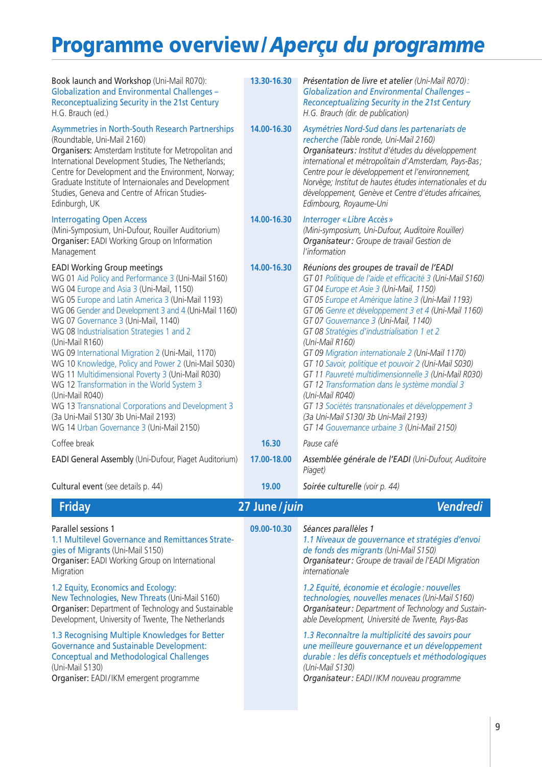| Book launch and Workshop (Uni-Mail R070):<br><b>Globalization and Environmental Challenges -</b><br>Reconceptualizing Security in the 21st Century<br>H.G. Brauch (ed.)                                                                                                                                                                                                                                                                                                                                                                                                                                                                                                                                                           | 13.30-16.30    | Présentation de livre et atelier (Uni-Mail R070):<br><b>Globalization and Environmental Challenges -</b><br>Reconceptualizing Security in the 21st Century<br>H.G. Brauch (dir. de publication)                                                                                                                                                                                                                                                                                                                                                                                                                                                                                                                                                              |
|-----------------------------------------------------------------------------------------------------------------------------------------------------------------------------------------------------------------------------------------------------------------------------------------------------------------------------------------------------------------------------------------------------------------------------------------------------------------------------------------------------------------------------------------------------------------------------------------------------------------------------------------------------------------------------------------------------------------------------------|----------------|--------------------------------------------------------------------------------------------------------------------------------------------------------------------------------------------------------------------------------------------------------------------------------------------------------------------------------------------------------------------------------------------------------------------------------------------------------------------------------------------------------------------------------------------------------------------------------------------------------------------------------------------------------------------------------------------------------------------------------------------------------------|
| Asymmetries in North-South Research Partnerships<br>(Roundtable, Uni-Mail 2160)<br>Organisers: Amsterdam Institute for Metropolitan and<br>International Development Studies, The Netherlands;<br>Centre for Development and the Environment, Norway;<br>Graduate Institute of Internaionales and Development<br>Studies, Geneva and Centre of African Studies-<br>Edinburgh, UK                                                                                                                                                                                                                                                                                                                                                  | 14.00-16.30    | Asymétries Nord-Sud dans les partenariats de<br>recherche (Table ronde, Uni-Mail 2160)<br>Organisateurs : Institut d'études du développement<br>international et métropolitain d'Amsterdam, Pays-Bas;<br>Centre pour le développement et l'environnement,<br>Norvège; Institut de hautes études internationales et du<br>développement, Genève et Centre d'études africaines,<br>Edimbourg, Royaume-Uni                                                                                                                                                                                                                                                                                                                                                      |
| <b>Interrogating Open Access</b><br>(Mini-Symposium, Uni-Dufour, Rouiller Auditorium)<br>Organiser: EADI Working Group on Information<br>Management                                                                                                                                                                                                                                                                                                                                                                                                                                                                                                                                                                               | 14.00-16.30    | <b>Interroger « Libre Accès »</b><br>(Mini-symposium, Uni-Dufour, Auditoire Rouiller)<br>Organisateur: Groupe de travail Gestion de<br>l'information                                                                                                                                                                                                                                                                                                                                                                                                                                                                                                                                                                                                         |
| <b>EADI Working Group meetings</b><br>WG 01 Aid Policy and Performance 3 (Uni-Mail S160)<br>WG 04 Europe and Asia 3 (Uni-Mail, 1150)<br>WG 05 Europe and Latin America 3 (Uni-Mail 1193)<br>WG 06 Gender and Development 3 and 4 (Uni-Mail 1160)<br>WG 07 Governance 3 (Uni-Mail, 1140)<br>WG 08 Industrialisation Strategies 1 and 2<br>(Uni-Mail R160)<br>WG 09 International Migration 2 (Uni-Mail, 1170)<br>WG 10 Knowledge, Policy and Power 2 (Uni-Mail S030)<br>WG 11 Multidimensional Poverty 3 (Uni-Mail R030)<br>WG 12 Transformation in the World System 3<br>(Uni-Mail R040)<br>WG 13 Transnational Corporations and Development 3<br>(3a Uni-Mail S130/3b Uni-Mail 2193)<br>WG 14 Urban Governance 3 (Uni-Mail 2150) | 14.00-16.30    | Réunions des groupes de travail de l'EADI<br>GT 01 Politique de l'aide et efficacité 3 (Uni-Mail S160)<br>GT 04 Europe et Asie 3 (Uni-Mail, 1150)<br>GT 05 Europe et Amérique latine 3 (Uni-Mail 1193)<br>GT 06 Genre et développement 3 et 4 (Uni-Mail 1160)<br>GT 07 Gouvernance 3 (Uni-Mail, 1140)<br>GT 08 Stratégies d'industrialisation 1 et 2<br>(Uni-Mail R160)<br>GT 09 Migration internationale 2 (Uni-Mail 1170)<br>GT 10 Savoir, politique et pouvoir 2 (Uni-Mail S030)<br>GT 11 Pauvreté multidimensionnelle 3 (Uni-Mail R030)<br>GT 12 Transformation dans le système mondial 3<br>(Uni-Mail R040)<br>GT 13 Sociétés transnationales et développement 3<br>(3a Uni-Mail S130/ 3b Uni-Mail 2193)<br>GT 14 Gouvernance urbaine 3 (Uni-Mail 2150) |
| Coffee break                                                                                                                                                                                                                                                                                                                                                                                                                                                                                                                                                                                                                                                                                                                      | 16.30          | Pause café                                                                                                                                                                                                                                                                                                                                                                                                                                                                                                                                                                                                                                                                                                                                                   |
| EADI General Assembly (Uni-Dufour, Piaget Auditorium)                                                                                                                                                                                                                                                                                                                                                                                                                                                                                                                                                                                                                                                                             | 17.00-18.00    | Assemblée générale de l'EADI (Uni-Dufour, Auditoire<br>Piaget)                                                                                                                                                                                                                                                                                                                                                                                                                                                                                                                                                                                                                                                                                               |
| Cultural event (see details p. 44)                                                                                                                                                                                                                                                                                                                                                                                                                                                                                                                                                                                                                                                                                                | 19.00          | Soirée culturelle (voir p. 44)                                                                                                                                                                                                                                                                                                                                                                                                                                                                                                                                                                                                                                                                                                                               |
| <b>Friday</b>                                                                                                                                                                                                                                                                                                                                                                                                                                                                                                                                                                                                                                                                                                                     | 27 June / juin | <b>Vendredi</b>                                                                                                                                                                                                                                                                                                                                                                                                                                                                                                                                                                                                                                                                                                                                              |
| Parallel sessions 1<br>1.1 Multilevel Governance and Remittances Strate-<br>gies of Migrants (Uni-Mail S150)<br>Organiser: EADI Working Group on International<br>Migration                                                                                                                                                                                                                                                                                                                                                                                                                                                                                                                                                       | 09.00-10.30    | Séances parallèles 1<br>1.1 Niveaux de gouvernance et stratégies d'envoi<br>de fonds des migrants (Uni-Mail S150)<br>Organisateur: Groupe de travail de l'EADI Migration<br>internationale                                                                                                                                                                                                                                                                                                                                                                                                                                                                                                                                                                   |
| 1.2 Equity, Economics and Ecology:<br>New Technologies, New Threats (Uni-Mail S160)<br>Organiser: Department of Technology and Sustainable<br>Development, University of Twente, The Netherlands                                                                                                                                                                                                                                                                                                                                                                                                                                                                                                                                  |                | 1.2 Equité, économie et écologie : nouvelles<br>technologies, nouvelles menaces (Uni-Mail S160)<br>Organisateur: Department of Technology and Sustain-<br>able Development, Université de Twente, Pays-Bas                                                                                                                                                                                                                                                                                                                                                                                                                                                                                                                                                   |
| 1.3 Recognising Multiple Knowledges for Better<br><b>Governance and Sustainable Development:</b><br><b>Conceptual and Methodological Challenges</b><br>(Uni-Mail S130)<br>Organiser: EADI/IKM emergent programme                                                                                                                                                                                                                                                                                                                                                                                                                                                                                                                  |                | 1.3 Reconnaître la multiplicité des savoirs pour<br>une meilleure gouvernance et un développement<br>durable : les défis conceptuels et méthodologiques<br>(Uni-Mail S130)<br>Organisateur: EADI/IKM nouveau programme                                                                                                                                                                                                                                                                                                                                                                                                                                                                                                                                       |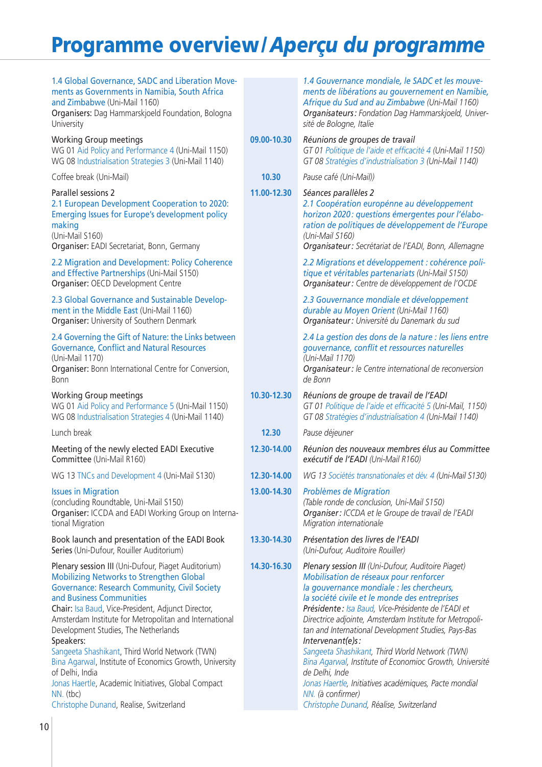| 1.4 Global Governance, SADC and Liberation Move-<br>ments as Governments in Namibia, South Africa<br>and Zimbabwe (Uni-Mail 1160)<br>Organisers: Dag Hammarskjoeld Foundation, Bologna<br>University                                                                                                                                                                                                                                                                                                                                                                                                           |             | 1.4 Gouvernance mondiale, le SADC et les mouve-<br>ments de libérations au gouvernement en Namibie,<br>Afrique du Sud and au Zimbabwe (Uni-Mail 1160)<br>Organisateurs: Fondation Dag Hammarskjoeld, Univer-<br>sité de Bologne, Italie                                                                                                                                                                                                                                                                                                                                                                                                         |
|----------------------------------------------------------------------------------------------------------------------------------------------------------------------------------------------------------------------------------------------------------------------------------------------------------------------------------------------------------------------------------------------------------------------------------------------------------------------------------------------------------------------------------------------------------------------------------------------------------------|-------------|-------------------------------------------------------------------------------------------------------------------------------------------------------------------------------------------------------------------------------------------------------------------------------------------------------------------------------------------------------------------------------------------------------------------------------------------------------------------------------------------------------------------------------------------------------------------------------------------------------------------------------------------------|
| <b>Working Group meetings</b><br>WG 01 Aid Policy and Performance 4 (Uni-Mail 1150)<br>WG 08 Industrialisation Strategies 3 (Uni-Mail 1140)                                                                                                                                                                                                                                                                                                                                                                                                                                                                    | 09.00-10.30 | Réunions de groupes de travail<br>GT 01 Politique de l'aide et efficacité 4 (Uni-Mail 1150)<br>GT 08 Stratégies d'industrialisation 3 (Uni-Mail 1140)                                                                                                                                                                                                                                                                                                                                                                                                                                                                                           |
| Coffee break (Uni-Mail)                                                                                                                                                                                                                                                                                                                                                                                                                                                                                                                                                                                        | 10.30       | Pause café (Uni-Mail))                                                                                                                                                                                                                                                                                                                                                                                                                                                                                                                                                                                                                          |
| Parallel sessions 2<br>2.1 European Development Cooperation to 2020:<br><b>Emerging Issues for Europe's development policy</b><br>making<br>(Uni-Mail S160)<br>Organiser: EADI Secretariat, Bonn, Germany                                                                                                                                                                                                                                                                                                                                                                                                      | 11.00-12.30 | Séances parallèles 2<br>2.1 Coopération europénne au développement<br>horizon 2020: questions émergentes pour l'élabo-<br>ration de politiques de développement de l'Europe<br>(Uni-Mail S160)<br>Organisateur : Secrétariat de l'EADI, Bonn, Allemagne                                                                                                                                                                                                                                                                                                                                                                                         |
| 2.2 Migration and Development: Policy Coherence<br>and Effective Partnerships (Uni-Mail S150)<br>Organiser: OECD Development Centre                                                                                                                                                                                                                                                                                                                                                                                                                                                                            |             | 2.2 Migrations et développement : cohérence poli-<br>tique et véritables partenariats (Uni-Mail S150)<br>Organisateur : Centre de développement de l'OCDE                                                                                                                                                                                                                                                                                                                                                                                                                                                                                       |
| 2.3 Global Governance and Sustainable Develop-<br>ment in the Middle East (Uni-Mail 1160)<br>Organiser: University of Southern Denmark                                                                                                                                                                                                                                                                                                                                                                                                                                                                         |             | 2.3 Gouvernance mondiale et développement<br>durable au Moyen Orient (Uni-Mail 1160)<br>Organisateur: Université du Danemark du sud                                                                                                                                                                                                                                                                                                                                                                                                                                                                                                             |
| 2.4 Governing the Gift of Nature: the Links between<br><b>Governance, Conflict and Natural Resources</b><br>(Uni-Mail 1170)<br>Organiser: Bonn International Centre for Conversion,<br>Bonn                                                                                                                                                                                                                                                                                                                                                                                                                    |             | 2.4 La gestion des dons de la nature : les liens entre<br>gouvernance, conflit et ressources naturelles<br>(Uni-Mail 1170)<br>Organisateur : le Centre international de reconversion<br>de Bonn                                                                                                                                                                                                                                                                                                                                                                                                                                                 |
| <b>Working Group meetings</b><br>WG 01 Aid Policy and Performance 5 (Uni-Mail 1150)<br>WG 08 Industrialisation Strategies 4 (Uni-Mail 1140)                                                                                                                                                                                                                                                                                                                                                                                                                                                                    | 10.30-12.30 | Réunions de groupe de travail de l'EADI<br>GT 01 Politique de l'aide et efficacité 5 (Uni-Mail, 1150)<br>GT 08 Stratégies d'industrialisation 4 (Uni-Mail 1140)                                                                                                                                                                                                                                                                                                                                                                                                                                                                                 |
| Lunch break                                                                                                                                                                                                                                                                                                                                                                                                                                                                                                                                                                                                    | 12.30       | Pause déjeuner                                                                                                                                                                                                                                                                                                                                                                                                                                                                                                                                                                                                                                  |
| Meeting of the newly elected EADI Executive<br>Committee (Uni-Mail R160)                                                                                                                                                                                                                                                                                                                                                                                                                                                                                                                                       | 12.30-14.00 | Réunion des nouveaux membres élus au Committee<br>exécutif de l'EADI (Uni-Mail R160)                                                                                                                                                                                                                                                                                                                                                                                                                                                                                                                                                            |
| WG 13 TNCs and Development 4 (Uni-Mail S130)                                                                                                                                                                                                                                                                                                                                                                                                                                                                                                                                                                   | 12.30-14.00 | WG 13 Sociétés transnationales et dév. 4 (Uni-Mail S130)                                                                                                                                                                                                                                                                                                                                                                                                                                                                                                                                                                                        |
| <b>Issues in Migration</b><br>(concluding Roundtable, Uni-Mail S150)<br>Organiser: ICCDA and EADI Working Group on Interna-<br>tional Migration                                                                                                                                                                                                                                                                                                                                                                                                                                                                | 13.00-14.30 | Problèmes de Migration<br>(Table ronde de conclusion, Uni-Mail S150)<br>Organiser: ICCDA et le Groupe de travail de l'EADI<br>Migration internationale                                                                                                                                                                                                                                                                                                                                                                                                                                                                                          |
| Book launch and presentation of the EADI Book<br>Series (Uni-Dufour, Rouiller Auditorium)                                                                                                                                                                                                                                                                                                                                                                                                                                                                                                                      | 13.30-14.30 | Présentation des livres de l'EADI<br>(Uni-Dufour, Auditoire Rouiller)                                                                                                                                                                                                                                                                                                                                                                                                                                                                                                                                                                           |
| Plenary session III (Uni-Dufour, Piaget Auditorium)<br><b>Mobilizing Networks to Strengthen Global</b><br><b>Governance: Research Community, Civil Society</b><br>and Business Communities<br>Chair: Isa Baud, Vice-President, Adjunct Director,<br>Amsterdam Institute for Metropolitan and International<br>Development Studies, The Netherlands<br>Speakers:<br>Sangeeta Shashikant, Third World Network (TWN)<br>Bina Agarwal, Institute of Economics Growth, University<br>of Delhi, India<br>Jonas Haertle, Academic Initiatives, Global Compact<br>NN. (tbc)<br>Christophe Dunand, Realise, Switzerland | 14.30-16.30 | Plenary session III (Uni-Dufour, Auditoire Piaget)<br>Mobilisation de réseaux pour renforcer<br>la gouvernance mondiale : les chercheurs,<br>la société civile et le monde des entreprises<br>Présidente : Isa Baud, Vice-Présidente de l'EADI et<br>Directrice adjointe, Amsterdam Institute for Metropoli-<br>tan and International Development Studies, Pays-Bas<br>Intervenant(e)s:<br>Sangeeta Shashikant, Third World Network (TWN)<br>Bina Agarwal, Institute of Economioc Growth, Université<br>de Delhi, Inde<br>Jonas Haertle, Initiatives académiques, Pacte mondial<br>NN. (à confirmer)<br>Christophe Dunand, Réalise, Switzerland |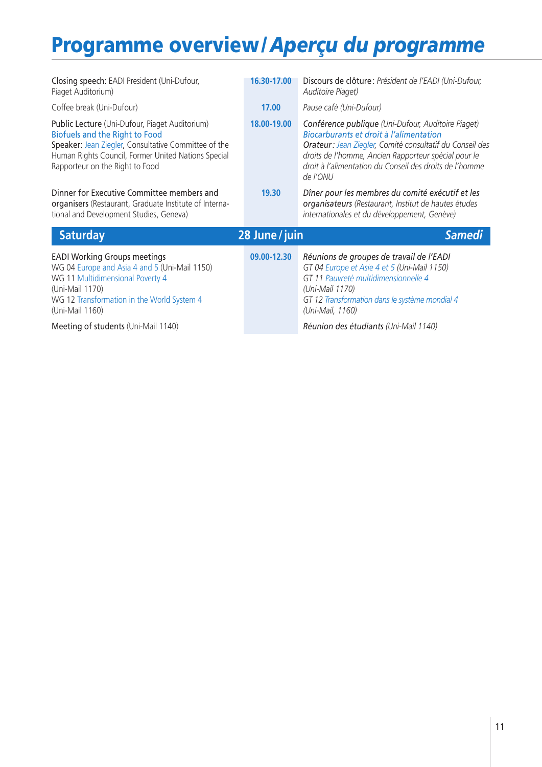| Closing speech: EADI President (Uni-Dufour,<br>Piaget Auditorium)                                                                                                                                                                         | 16.30-17.00    | Discours de clôture : Président de l'EADI (Uni-Dufour,<br>Auditoire Piaget)                                                                                                                                                                                                              |
|-------------------------------------------------------------------------------------------------------------------------------------------------------------------------------------------------------------------------------------------|----------------|------------------------------------------------------------------------------------------------------------------------------------------------------------------------------------------------------------------------------------------------------------------------------------------|
| Coffee break (Uni-Dufour)                                                                                                                                                                                                                 | 17.00          | Pause café (Uni-Dufour)                                                                                                                                                                                                                                                                  |
| Public Lecture (Uni-Dufour, Piaget Auditorium)<br><b>Biofuels and the Right to Food</b><br>Speaker: Jean Ziegler, Consultative Committee of the<br>Human Rights Council, Former United Nations Special<br>Rapporteur on the Right to Food | 18.00-19.00    | Conférence publique (Uni-Dufour, Auditoire Piaget)<br>Biocarburants et droit à l'alimentation<br>Orateur: Jean Ziegler, Comité consultatif du Conseil des<br>droits de l'homme, Ancien Rapporteur spécial pour le<br>droit à l'alimentation du Conseil des droits de l'homme<br>de l'ONU |
| Dinner for Executive Committee members and<br>organisers (Restaurant, Graduate Institute of Interna-<br>tional and Development Studies, Geneva)                                                                                           | 19.30          | Dîner pour les membres du comité exécutif et les<br>organisateurs (Restaurant, Institut de hautes études<br>internationales et du développement, Genève)                                                                                                                                 |
| <b>Saturday</b>                                                                                                                                                                                                                           | 28 June / juin | <b>Samedi</b>                                                                                                                                                                                                                                                                            |
| <b>EADI Working Groups meetings</b><br>WG 04 Europe and Asia 4 and 5 (Uni-Mail 1150)<br>WG 11 Multidimensional Poverty 4<br>(Uni-Mail 1170)<br>WG 12 Transformation in the World System 4<br>(Uni-Mail 1160)                              | 09.00-12.30    | Réunions de groupes de travail de l'EADI<br>GT 04 Europe et Asie 4 et 5 (Uni-Mail 1150)<br>GT 11 Pauvreté multidimensionnelle 4<br>(Uni-Mail 1170)<br>GT 12 Transformation dans le système mondial 4<br>(Uni-Mail, 1160)                                                                 |
| Meeting of students (Uni-Mail 1140)                                                                                                                                                                                                       |                | Réunion des étudiants (Uni-Mail 1140)                                                                                                                                                                                                                                                    |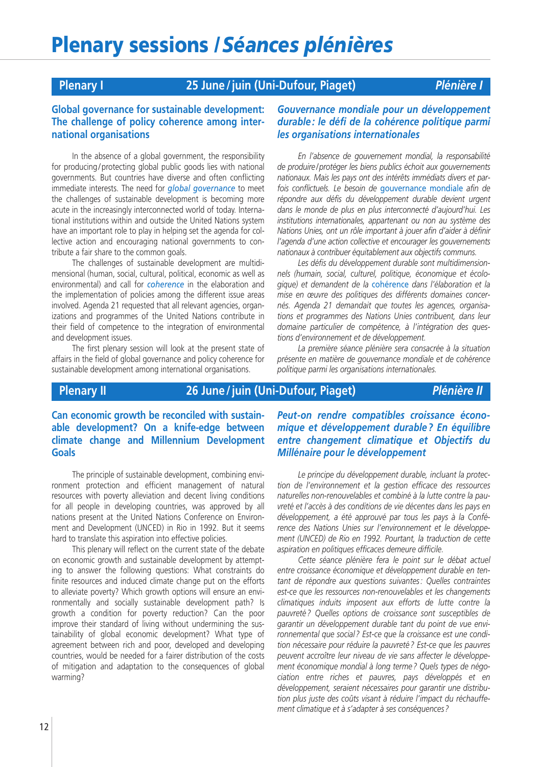## **Plenary I 25 June / juin (Uni-Dufour, Piaget)** *Plénière I*

### **Global governance for sustainable development: The challenge of policy coherence among international organisations**

In the absence of a global government, the responsibility for producing/protecting global public goods lies with national governments. But countries have diverse and often conflicting immediate interests. The need for *global governance* to meet the challenges of sustainable development is becoming more acute in the increasingly interconnected world of today. International institutions within and outside the United Nations system have an important role to play in helping set the agenda for collective action and encouraging national governments to contribute a fair share to the common goals.

The challenges of sustainable development are multidimensional (human, social, cultural, political, economic as well as environmental) and call for *coherence* in the elaboration and the implementation of policies among the different issue areas involved. Agenda 21 requested that all relevant agencies, organizations and programmes of the United Nations contribute in their field of competence to the integration of environmental and development issues.

The first plenary session will look at the present state of affairs in the field of global governance and policy coherence for sustainable development among international organisations.

### *Gouvernance mondiale pour un développement durable : le défi de la cohérence politique parmi les organisations internationales*

*En l'absence de gouvernement mondial, la responsabilité de produire/protéger les biens publics échoit aux gouvernements nationaux. Mais les pays ont des intérêts immédiats divers et parfois conflictuels. Le besoin de* gouvernance mondiale *afin de répondre aux défis du développement durable devient urgent dans le monde de plus en plus interconnecté d'aujourd'hui. Les institutions internationales, appartenant ou non au système des Nations Unies, ont un rôle important à jouer afin d'aider à définir l'agenda d'une action collective et encourager les gouvernements nationaux à contribuer équitablement aux objectifs communs.*

*Les défis du développement durable sont multidimensionnels (humain, social, culturel, politique, économique et écologique) et demandent de la* cohérence *dans l'élaboration et la mise en œuvre des politiques des différents domaines concernés. Agenda 21 demandait que toutes les agences, organisations et programmes des Nations Unies contribuent, dans leur domaine particulier de compétence, à l'intégration des questions d'environnement et de développement.*

*La première séance plénière sera consacrée à la situation présente en matière de gouvernance mondiale et de cohérence politique parmi les organisations internationales.*

### **Plenary II 26 June / juin (Uni-Dufour, Piaget)** *Plénière II*

**Can economic growth be reconciled with sustainable development? On a knife-edge between climate change and Millennium Development Goals**

The principle of sustainable development, combining environment protection and efficient management of natural resources with poverty alleviation and decent living conditions for all people in developing countries, was approved by all nations present at the United Nations Conference on Environment and Development (UNCED) in Rio in 1992. But it seems hard to translate this aspiration into effective policies.

This plenary will reflect on the current state of the debate on economic growth and sustainable development by attempting to answer the following questions: What constraints do finite resources and induced climate change put on the efforts to alleviate poverty? Which growth options will ensure an environmentally and socially sustainable development path? Is growth a condition for poverty reduction? Can the poor improve their standard of living without undermining the sustainability of global economic development? What type of agreement between rich and poor, developed and developing countries, would be needed for a fairer distribution of the costs of mitigation and adaptation to the consequences of global warming?

*Peut-on rendre compatibles croissance économique et développement durable ? En équilibre entre changement climatique et Objectifs du Millénaire pour le développement*

*Le principe du développement durable, incluant la protection de l'environnement et la gestion efficace des ressources naturelles non-renouvelables et combiné à la lutte contre la pauvreté et l'accès à des conditions de vie décentes dans les pays en développement, a été approuvé par tous les pays à la Conférence des Nations Unies sur l'environnement et le développement (UNCED) de Rio en 1992. Pourtant, la traduction de cette aspiration en politiques efficaces demeure difficile.*

*Cette séance plénière fera le point sur le débat actuel entre croissance économique et développement durable en tentant de répondre aux questions suivantes : Quelles contraintes est-ce que les ressources non-renouvelables et les changements climatiques induits imposent aux efforts de lutte contre la pauvreté ? Quelles options de croissance sont susceptibles de garantir un développement durable tant du point de vue environnemental que social ? Est-ce que la croissance est une condition nécessaire pour réduire la pauvreté ? Est-ce que les pauvres peuvent accroître leur niveau de vie sans affecter le développement économique mondial à long terme ? Quels types de négociation entre riches et pauvres, pays développés et en développement, seraient nécessaires pour garantir une distribution plus juste des coûts visant à réduire l'impact du réchauffement climatique et à s'adapter à ses conséquences ?*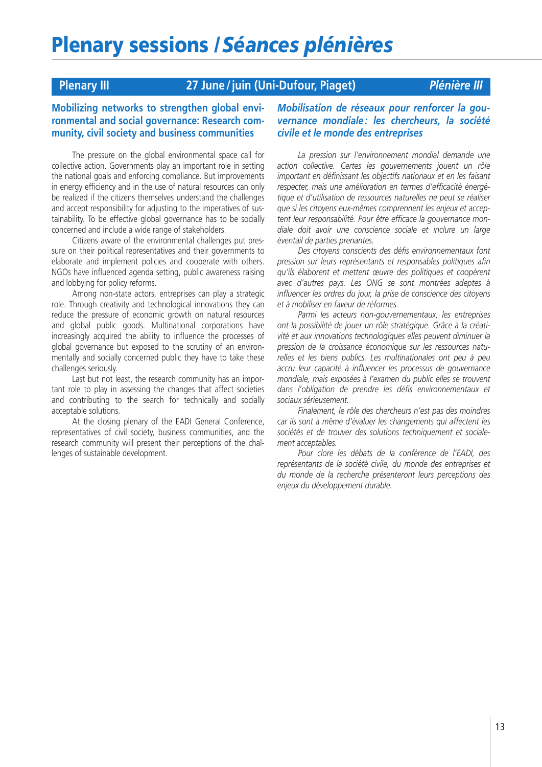## **Plenary III 27 June /juin (Uni-Dufour, Piaget)** *Plénière III*

### **Mobilizing networks to strengthen global environmental and social governance: Research community, civil society and business communities**

The pressure on the global environmental space call for collective action. Governments play an important role in setting the national goals and enforcing compliance. But improvements in energy efficiency and in the use of natural resources can only be realized if the citizens themselves understand the challenges and accept responsibility for adjusting to the imperatives of sustainability. To be effective global governance has to be socially concerned and include a wide range of stakeholders.

Citizens aware of the environmental challenges put pressure on their political representatives and their governments to elaborate and implement policies and cooperate with others. NGOs have influenced agenda setting, public awareness raising and lobbying for policy reforms.

Among non-state actors, entreprises can play a strategic role. Through creativity and technological innovations they can reduce the pressure of economic growth on natural resources and global public goods. Multinational corporations have increasingly acquired the ability to influence the processes of global governance but exposed to the scrutiny of an environmentally and socially concerned public they have to take these challenges seriously.

Last but not least, the research community has an important role to play in assessing the changes that affect societies and contributing to the search for technically and socially acceptable solutions.

At the closing plenary of the EADI General Conference, representatives of civil society, business communities, and the research community will present their perceptions of the challenges of sustainable development.

### *Mobilisation de réseaux pour renforcer la gouvernance mondiale : les chercheurs, la société civile et le monde des entreprises*

*La pression sur l'environnement mondial demande une action collective. Certes les gouvernements jouent un rôle important en définissant les objectifs nationaux et en les faisant respecter, mais une amélioration en termes d'efficacité énergétique et d'utilisation de ressources naturelles ne peut se réaliser que si les citoyens eux-mêmes comprennent les enjeux et acceptent leur responsabilité. Pour être efficace la gouvernance mondiale doit avoir une conscience sociale et inclure un large éventail de parties prenantes.*

*Des citoyens conscients des défis environnementaux font pression sur leurs représentants et responsables politiques afin qu'ils élaborent et mettent œuvre des politiques et coopèrent avec d'autres pays. Les ONG se sont montrées adeptes à influencer les ordres du jour, la prise de conscience des citoyens et à mobiliser en faveur de réformes.*

*Parmi les acteurs non-gouvernementaux, les entreprises ont la possibilité de jouer un rôle stratégique. Grâce à la créativité et aux innovations technologiques elles peuvent diminuer la pression de la croissance économique sur les ressources naturelles et les biens publics. Les multinationales ont peu à peu accru leur capacité à influencer les processus de gouvernance mondiale, mais exposées à l'examen du public elles se trouvent dans l'obligation de prendre les défis environnementaux et sociaux sérieusement.*

*Finalement, le rôle des chercheurs n'est pas des moindres car ils sont à même d'évaluer les changements qui affectent les sociétés et de trouver des solutions techniquement et socialement acceptables.*

*Pour clore les débats de la conférence de l'EADI, des représentants de la société civile, du monde des entreprises et du monde de la recherche présenteront leurs perceptions des enjeux du développement durable.*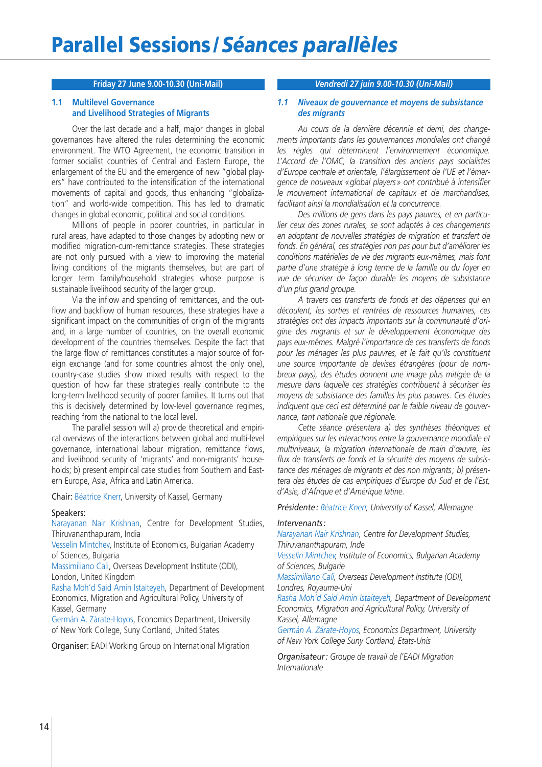### **Friday 27 June 9.00-10.30 (Uni-Mail)**

### **1.1 Multilevel Governance and Livelihood Strategies of Migrants**

Over the last decade and a half, major changes in global governances have altered the rules determining the economic environment. The WTO Agreement, the economic transition in former socialist countries of Central and Eastern Europe, the enlargement of the EU and the emergence of new "global players" have contributed to the intensification of the international movements of capital and goods, thus enhancing "globalization" and world-wide competition. This has led to dramatic changes in global economic, political and social conditions.

Millions of people in poorer countries, in particular in rural areas, have adapted to those changes by adopting new or modified migration-cum-remittance strategies. These strategies are not only pursued with a view to improving the material living conditions of the migrants themselves, but are part of longer term family/household strategies whose purpose is sustainable livelihood security of the larger group.

Via the inflow and spending of remittances, and the outflow and backflow of human resources, these strategies have a significant impact on the communities of origin of the migrants and, in a large number of countries, on the overall economic development of the countries themselves. Despite the fact that the large flow of remittances constitutes a major source of foreign exchange (and for some countries almost the only one), country-case studies show mixed results with respect to the question of how far these strategies really contribute to the long-term livelihood security of poorer families. It turns out that this is decisively determined by low-level governance regimes, reaching from the national to the local level.

The parallel session will a) provide theoretical and empirical overviews of the interactions between global and multi-level governance, international labour migration, remittance flows, and livelihood security of 'migrants' and non-migrants' households; b) present empirical case studies from Southern and Eastern Europe, Asia, Africa and Latin America.

Chair: Béatrice Knerr, University of Kassel, Germany

### Speakers:

Narayanan Nair Krishnan, Centre for Development Studies, Thiruvananthapuram, India

Vesselin Mintchev, Institute of Economics, Bulgarian Academy of Sciences, Bulgaria

Massimiliano Cali, Overseas Development Institute (ODI), London, United Kingdom

Rasha Moh'd Said Amin Istaiteyeh, Department of Development Economics, Migration and Agricultural Policy, University of Kassel, Germany

Germán A. Zárate-Hoyos, Economics Department, University of New York College, Suny Cortland, United States

Organiser: EADI Working Group on International Migration

### *Vendredi 27 juin 9.00-10.30 (Uni-Mail)*

### *1.1 Niveaux de gouvernance et moyens de subsistance des migrants*

*Au cours de la dernière décennie et demi, des changements importants dans les gouvernances mondiales ont changé les règles qui déterminent l'environnement économique. L'Accord de l'OMC, la transition des anciens pays socialistes d'Europe centrale et orientale, l'élargissement de l'UE et l'émergence de nouveaux « global players » ont contribué à intensifier le mouvement international de capitaux et de marchandises, facilitant ainsi la mondialisation et la concurrence.*

*Des millions de gens dans les pays pauvres, et en particulier ceux des zones rurales, se sont adaptés à ces changements en adoptant de nouvelles stratégies de migration et transfert de fonds. En général, ces stratégies non pas pour but d'améliorer les conditions matérielles de vie des migrants eux-mêmes, mais font partie d'une stratégie à long terme de la famille ou du foyer en vue de sécuriser de façon durable les moyens de subsistance d'un plus grand groupe.*

*A travers ces transferts de fonds et des dépenses qui en découlent, les sorties et rentrées de ressources humaines, ces stratégies ont des impacts importants sur la communauté d'origine des migrants et sur le développement économique des pays eux-mêmes. Malgré l'importance de ces transferts de fonds pour les ménages les plus pauvres, et le fait qu'ils constituent une source importante de devises étrangères (pour de nombreux pays), des études donnent une image plus mitigée de la mesure dans laquelle ces stratégies contribuent à sécuriser les moyens de subsistance des familles les plus pauvres. Ces études indiquent que ceci est déterminé par le faible niveau de gouvernance, tant nationale que régionale.*

*Cette séance présentera a) des synthèses théoriques et empiriques sur les interactions entre la gouvernance mondiale et multiniveaux, la migration internationale de main d'œuvre, les flux de transferts de fonds et la sécurité des moyens de subsistance des ménages de migrants et des non migrants; b) présentera des études de cas empiriques d'Europe du Sud et de l'Est, d'Asie, d'Afrique et d'Amérique latine.*

*Présidente: Béatrice Knerr, University of Kassel, Allemagne*

### *Intervenants :*

*Narayanan Nair Krishnan, Centre for Development Studies, Thiruvananthapuram, Inde*

*Vesselin Mintchev, Institute of Economics, Bulgarian Academy of Sciences, Bulgarie*

*Massimiliano Cali, Overseas Development Institute (ODI), Londres, Royaume-Uni*

*Rasha Moh'd Said Amin Istaiteyeh, Department of Development Economics, Migration and Agricultural Policy, University of Kassel, Allemagne*

*Germán A. Zárate-Hoyos, Economics Department, University of New York College Suny Cortland, Etats-Unis*

*Organisateur : Groupe de travail de l'EADI Migration Internationale*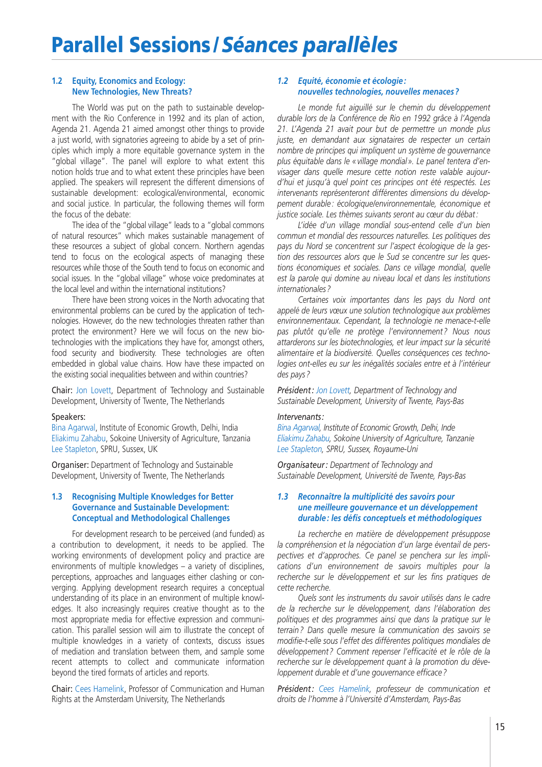### **1.2 Equity, Economics and Ecology: New Technologies, New Threats?**

The World was put on the path to sustainable development with the Rio Conference in 1992 and its plan of action, Agenda 21. Agenda 21 aimed amongst other things to provide a just world, with signatories agreeing to abide by a set of principles which imply a more equitable governance system in the "global village". The panel will explore to what extent this notion holds true and to what extent these principles have been applied. The speakers will represent the different dimensions of sustainable development: ecological/environmental, economic and social justice. In particular, the following themes will form the focus of the debate:

The idea of the "global village" leads to a "global commons of natural resources" which makes sustainable management of these resources a subject of global concern. Northern agendas tend to focus on the ecological aspects of managing these resources while those of the South tend to focus on economic and social issues. In the "global village" whose voice predominates at the local level and within the international institutions?

There have been strong voices in the North advocating that environmental problems can be cured by the application of technologies. However, do the new technologies threaten rather than protect the environment? Here we will focus on the new biotechnologies with the implications they have for, amongst others, food security and biodiversity. These technologies are often embedded in global value chains. How have these impacted on the existing social inequalities between and within countries?

Chair: Jon Lovett, Department of Technology and Sustainable Development, University of Twente, The Netherlands

### Speakers:

Bina Agarwal, Institute of Economic Growth, Delhi, India Eliakimu Zahabu, Sokoine University of Agriculture, Tanzania Lee Stapleton, SPRU, Sussex, UK

Organiser: Department of Technology and Sustainable Development, University of Twente, The Netherlands

### **1.3 Recognising Multiple Knowledges for Better Governance and Sustainable Development: Conceptual and Methodological Challenges**

For development research to be perceived (and funded) as a contribution to development, it needs to be applied. The working environments of development policy and practice are environments of multiple knowledges – a variety of disciplines, perceptions, approaches and languages either clashing or converging. Applying development research requires a conceptual understanding of its place in an environment of multiple knowledges. It also increasingly requires creative thought as to the most appropriate media for effective expression and communication. This parallel session will aim to illustrate the concept of multiple knowledges in a variety of contexts, discuss issues of mediation and translation between them, and sample some recent attempts to collect and communicate information beyond the tired formats of articles and reports.

Chair: Cees Hamelink, Professor of Communication and Human Rights at the Amsterdam University, The Netherlands

### *1.2 Equité, économie et écologie : nouvelles technologies, nouvelles menaces ?*

*Le monde fut aiguillé sur le chemin du développement durable lors de la Conférence de Rio en 1992 grâce à l'Agenda 21. L'Agenda 21 avait pour but de permettre un monde plus juste, en demandant aux signataires de respecter un certain nombre de principes qui impliquent un système de gouvernance plus équitable dans le « village mondial ». Le panel tentera d'envisager dans quelle mesure cette notion reste valable aujourd'hui et jusqu'à quel point ces principes ont été respectés. Les intervenants représenteront différentes dimensions du développement durable : écologique/environnementale, économique et justice sociale. Les thèmes suivants seront au cœur du débat :*

*L'idée d'un village mondial sous-entend celle d'un bien commun et mondial des ressources naturelles. Les politiques des pays du Nord se concentrent sur l'aspect écologique de la gestion des ressources alors que le Sud se concentre sur les questions économiques et sociales. Dans ce village mondial, quelle est la parole qui domine au niveau local et dans les institutions internationales ?*

*Certaines voix importantes dans les pays du Nord ont appelé de leurs vœux une solution technologique aux problèmes environnementaux. Cependant, la technologie ne menace-t-elle pas plutôt qu'elle ne protège l'environnement ? Nous nous attarderons sur les biotechnologies, et leur impact sur la sécurité alimentaire et la biodiversité. Quelles conséquences ces technologies ont-elles eu sur les inégalités sociales entre et à l'intérieur des pays ?*

*Président : Jon Lovett, Department of Technology and Sustainable Development, University of Twente, Pays-Bas*

### *Intervenants:*

*Bina Agarwal, Institute of Economic Growth, Delhi, Inde Eliakimu Zahabu, Sokoine University of Agriculture, Tanzanie Lee Stapleton, SPRU, Sussex, Royaume-Uni*

*Organisateur: Department of Technology and Sustainable Development, Université de Twente, Pays-Bas*

### *1.3 Reconnaître la multiplicité des savoirs pour une meilleure gouvernance et un développement durable: les défis conceptuels et méthodologiques*

*La recherche en matière de développement présuppose la compréhension et la négociation d'un large éventail de perspectives et d'approches. Ce panel se penchera sur les implications d'un environnement de savoirs multiples pour la recherche sur le développement et sur les fins pratiques de cette recherche.*

*Quels sont les instruments du savoir utilisés dans le cadre de la recherche sur le développement, dans l'élaboration des politiques et des programmes ainsi que dans la pratique sur le terrain ? Dans quelle mesure la communication des savoirs se modifie-t-elle sous l'effet des différentes politiques mondiales de développement ? Comment repenser l'efficacité et le rôle de la recherche sur le développement quant à la promotion du développement durable et d'une gouvernance efficace ?*

*Président: Cees Hamelink, professeur de communication et droits de l'homme à l'Université d'Amsterdam, Pays-Bas*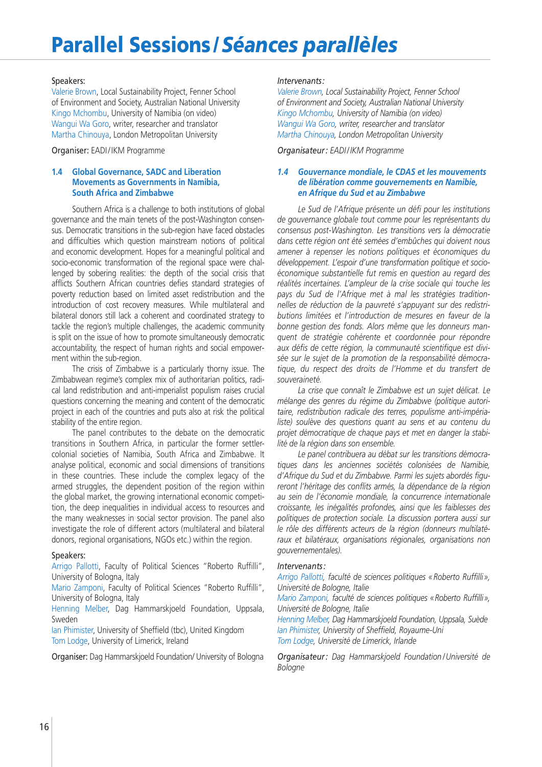## **Parallel Sessions /***Séances parallèles*

### Speakers:

Valerie Brown, Local Sustainability Project, Fenner School of Environment and Society, Australian National University Kingo Mchombu, University of Namibia (on video) Wangui Wa Goro, writer, researcher and translator Martha Chinouya, London Metropolitan University

Organiser: EADI / IKM Programme

### **1.4 Global Governance, SADC and Liberation Movements as Governments in Namibia, South Africa and Zimbabwe**

Southern Africa is a challenge to both institutions of global governance and the main tenets of the post-Washington consensus. Democratic transitions in the sub-region have faced obstacles and difficulties which question mainstream notions of political and economic development. Hopes for a meaningful political and socio-economic transformation of the regional space were challenged by sobering realities: the depth of the social crisis that afflicts Southern African countries defies standard strategies of poverty reduction based on limited asset redistribution and the introduction of cost recovery measures. While multilateral and bilateral donors still lack a coherent and coordinated strategy to tackle the region's multiple challenges, the academic community is split on the issue of how to promote simultaneously democratic accountability, the respect of human rights and social empowerment within the sub-region.

The crisis of Zimbabwe is a particularly thorny issue. The Zimbabwean regime's complex mix of authoritarian politics, radical land redistribution and anti-imperialist populism raises crucial questions concerning the meaning and content of the democratic project in each of the countries and puts also at risk the political stability of the entire region.

The panel contributes to the debate on the democratic transitions in Southern Africa, in particular the former settlercolonial societies of Namibia, South Africa and Zimbabwe. It analyse political, economic and social dimensions of transitions in these countries. These include the complex legacy of the armed struggles, the dependent position of the region within the global market, the growing international economic competition, the deep inequalities in individual access to resources and the many weaknesses in social sector provision. The panel also investigate the role of different actors (multilateral and bilateral donors, regional organisations, NGOs etc.) within the region.

### Speakers:

Arrigo Pallotti, Faculty of Political Sciences "Roberto Ruffilli", University of Bologna, Italy

Mario Zamponi, Faculty of Political Sciences "Roberto Ruffilli", University of Bologna, Italy

Henning Melber, Dag Hammarskjoeld Foundation, Uppsala, Sweden

Ian Phimister, University of Sheffield (tbc), United Kingdom Tom Lodge, University of Limerick, Ireland

Organiser: Dag Hammarskjoeld Foundation/ University of Bologna

### *Intervenants:*

*Valerie Brown, Local Sustainability Project, Fenner School of Environment and Society, Australian National University Kingo Mchombu, University of Namibia (on video) Wangui Wa Goro, writer, researcher and translator Martha Chinouya, London Metropolitan University*

*Organisateur : EADI / IKM Programme*

### *1.4 Gouvernance mondiale, le CDAS et les mouvements de libération comme gouvernements en Namibie, en Afrique du Sud et au Zimbabwe*

*Le Sud de l'Afrique présente un défi pour les institutions de gouvernance globale tout comme pour les représentants du consensus post-Washington. Les transitions vers la démocratie dans cette région ont été semées d'embûches qui doivent nous amener à repenser les notions politiques et économiques du développement. L'espoir d'une transformation politique et socioéconomique substantielle fut remis en question au regard des réalités incertaines. L'ampleur de la crise sociale qui touche les pays du Sud de l'Afrique met à mal les stratégies traditionnelles de réduction de la pauvreté s'appuyant sur des redistributions limitées et l'introduction de mesures en faveur de la bonne gestion des fonds. Alors même que les donneurs manquent de stratégie cohérente et coordonnée pour répondre aux défis de cette région, la communauté scientifique est divisée sur le sujet de la promotion de la responsabilité démocratique, du respect des droits de l'Homme et du transfert de souveraineté.*

*La crise que connaît le Zimbabwe est un sujet délicat. Le mélange des genres du régime du Zimbabwe (politique autoritaire, redistribution radicale des terres, populisme anti-impérialiste) soulève des questions quant au sens et au contenu du projet démocratique de chaque pays et met en danger la stabilité de la région dans son ensemble.*

*Le panel contribuera au débat sur les transitions démocratiques dans les anciennes sociétés colonisées de Namibie, d'Afrique du Sud et du Zimbabwe. Parmi les sujets abordés figureront l'héritage des conflits armés, la dépendance de la région au sein de l'économie mondiale, la concurrence internationale croissante, les inégalités profondes, ainsi que les faiblesses des politiques de protection sociale. La discussion portera aussi sur le rôle des différents acteurs de la région (donneurs multilatéraux et bilatéraux, organisations régionales, organisations non gouvernementales).*

### *Intervenants :*

*Arrigo Pallotti, faculté de sciences politiques « Roberto Ruffilli », Université de Bologne, Italie*

*Mario Zamponi, faculté de sciences politiques «Roberto Ruffilli», Université de Bologne, Italie*

*Henning Melber, Dag Hammarskjoeld Foundation, Uppsala, Suède Ian Phimister, University of Sheffield, Royaume-Uni Tom Lodge, Université de Limerick, Irlande*

*Organisateur : Dag Hammarskjoeld Foundation / Université de Bologne***Ve**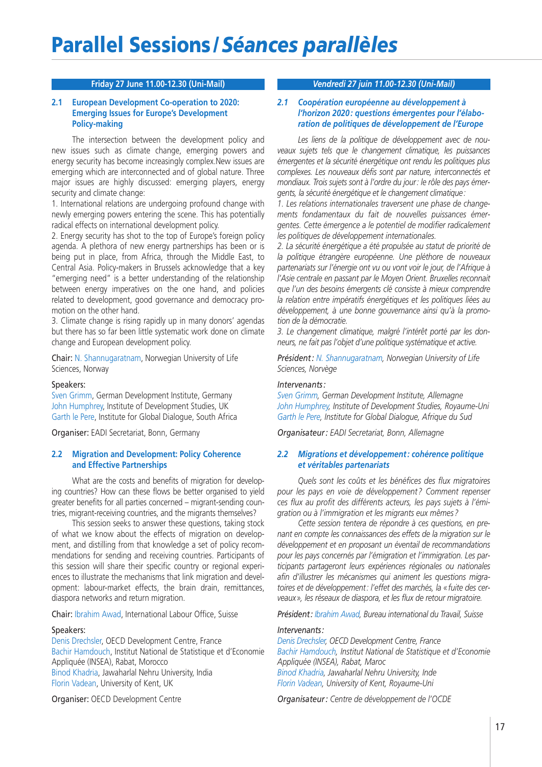### **Friday 27 June 11.00-12.30 (Uni-Mail)**

### **2.1 European Development Co-operation to 2020: Emerging Issues for Europe's Development Policy-making**

The intersection between the development policy and new issues such as climate change, emerging powers and energy security has become increasingly complex.New issues are emerging which are interconnected and of global nature. Three major issues are highly discussed: emerging players, energy security and climate change:

1. International relations are undergoing profound change with newly emerging powers entering the scene. This has potentially radical effects on international development policy.

2. Energy security has shot to the top of Europe's foreign policy agenda. A plethora of new energy partnerships has been or is being put in place, from Africa, through the Middle East, to Central Asia. Policy-makers in Brussels acknowledge that a key "emerging need" is a better understanding of the relationship between energy imperatives on the one hand, and policies related to development, good governance and democracy promotion on the other hand.

3. Climate change is rising rapidly up in many donors' agendas but there has so far been little systematic work done on climate change and European development policy.

Chair: N. Shannugaratnam, Norwegian University of Life Sciences, Norway

### Speakers:

Sven Grimm, German Development Institute, Germany John Humphrey, Institute of Development Studies, UK Garth le Pere, Institute for Global Dialogue, South Africa

Organiser: EADI Secretariat, Bonn, Germany

### **2.2 Migration and Development: Policy Coherence and Effective Partnerships**

What are the costs and benefits of migration for developing countries? How can these flows be better organised to yield greater benefits for all parties concerned – migrant-sending countries, migrant-receiving countries, and the migrants themselves?

This session seeks to answer these questions, taking stock of what we know about the effects of migration on development, and distilling from that knowledge a set of policy recommendations for sending and receiving countries. Participants of this session will share their specific country or regional experiences to illustrate the mechanisms that link migration and development: labour-market effects, the brain drain, remittances, diaspora networks and return migration.

Chair: Ibrahim Awad, International Labour Office, Suisse

### Speakers:

Denis Drechsler, OECD Development Centre, France Bachir Hamdouch, Institut National de Statistique et d'Economie Appliquée (INSEA), Rabat, Morocco Binod Khadria, Jawaharlal Nehru University, India Florin Vadean, University of Kent, UK

Organiser: OECD Development Centre

### *Vendredi 27 juin 11.00-12.30 (Uni-Mail)*

### **juin, 11.00-12.30 (Uni-Mail)27 juin, 11.00-12.30 (Uni-Mail** *2.1 Coopération européenne au développement à l'horizon 2020 : questions émergentes pour l'élaboration de politiques de développement de l'Europe*

*Les liens de la politique de développement avec de nouveaux sujets tels que le changement climatique, les puissances émergentes et la sécurité énergétique ont rendu les politiques plus complexes. Les nouveaux défis sont par nature, interconnectés et mondiaux. Trois sujets sont à l'ordre du jour: le rôle des pays émergents, la sécurité énergétique et le changement climatique:*

*1. Les relations internationales traversent une phase de changements fondamentaux du fait de nouvelles puissances émergentes. Cette émergence a le potentiel de modifier radicalement les politiques de développement internationales.*

*2. La sécurité énergétique a été propulsée au statut de priorité de la politique étrangère européenne. Une pléthore de nouveaux partenariats sur l'énergie ont vu ou vont voir le jour, de l'Afrique à l'Asie centrale en passant par le Moyen Orient. Bruxelles reconnait que l'un des besoins émergents clé consiste à mieux comprendre la relation entre impératifs énergétiques et les politiques liées au développement, à une bonne gouvernance ainsi qu'à la promotion de la démocratie.*

*3. Le changement climatique, malgré l'intérêt porté par les donneurs, ne fait pas l'objet d'une politique systématique et active.* 

*Président : N. Shannugaratnam, Norwegian University of Life Sciences, Norvège*

### *Intervenants :*

*Sven Grimm, German Development Institute, Allemagne John Humphrey, Institute of Development Studies, Royaume-Uni Garth le Pere, Institute for Global Dialogue, Afrique du Sud*

*Organisateur : EADI Secretariat, Bonn, Allemagne*

### *2.2 Migrations et développement : cohérence politique et véritables partenariats*

*Quels sont les coûts et les bénéfices des flux migratoires pour les pays en voie de développement ? Comment repenser ces flux au profit des différents acteurs, les pays sujets à l'émigration ou à l'immigration et les migrants eux mêmes ?*

*Cette session tentera de répondre à ces questions, en prenant en compte les connaissances des effets de la migration sur le développement et en proposant un éventail de recommandations pour les pays concernés par l'émigration et l'immigration. Les participants partageront leurs expériences régionales ou nationales afin d'illustrer les mécanismes qui animent les questions migratoires et de développement: l'effet des marchés, la «fuite des cerveaux», les réseaux de diaspora, et les flux de retour migratoire.* 

*Président: Ibrahim Awad, Bureau international du Travail, Suisse*

### *Intervenants:*

*Denis Drechsler, OECD Development Centre, France Bachir Hamdouch, Institut National de Statistique et d'Economie Appliquée (INSEA), Rabat, Maroc Binod Khadria, Jawaharlal Nehru University, Inde Florin Vadean, University of Kent, Royaume-Uni* 

*Organisateur : Centre de développement de l'OCDE*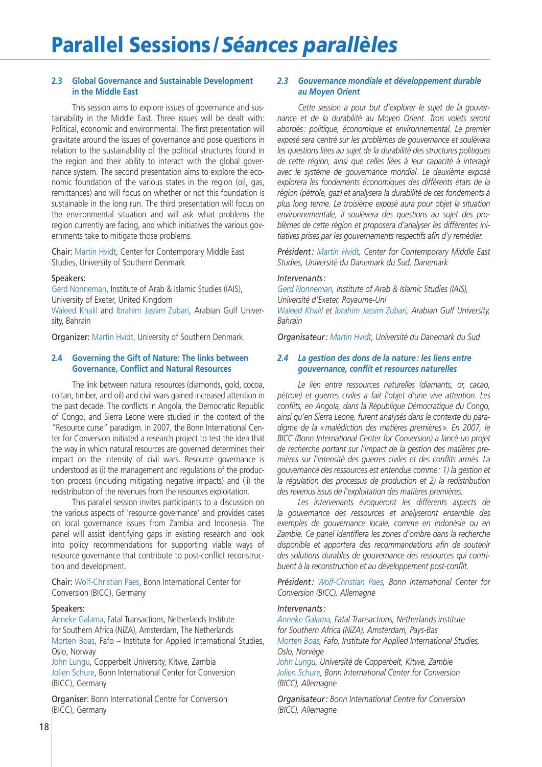### **2.3 Global Governance and Sustainable Development in the Middle East**

This session aims to explore issues of governance and sustainability in the Middle East. Three issues will be dealt with: Political, economic and environmental. The first presentation will gravitate around the issues of governance and pose questions in relation to the sustainability of the political structures found in the region and their ability to interact with the global governance system. The second presentation aims to explore the economic foundation of the various states in the region (oil, gas, remittances) and will focus on whether or not this foundation is sustainable in the long run. The third presentation will focus on the environmental situation and will ask what problems the region currently are facing, and which initiatives the various governments take to mitigate those problems.

Chair: Martin Hvidt, Center for Contemporary Middle East Studies, University of Southern Denmark

### Speakers:

Gerd Nonneman, Institute of Arab & Islamic Studies (IAIS), University of Exeter, United Kingdom Waleed Khalil and Ibrahim Jassim Zubari, Arabian Gulf University, Bahrain

Organizer: Martin Hvidt, University of Southern Denmark

### **2.4 Governing the Gift of Nature: The links between Governance, Conflict and Natural Resources**

The link between natural resources (diamonds, gold, cocoa, coltan, timber, and oil) and civil wars gained increased attention in the past decade. The conflicts in Angola, the Democratic Republic of Congo, and Sierra Leone were studied in the context of the "Resource curse" paradigm. In 2007, the Bonn International Center for Conversion initiated a research project to test the idea that the way in which natural resources are governed determines their impact on the intensity of civil wars. Resource governance is understood as (i) the management and regulations of the production process (including mitigating negative impacts) and (ii) the redistribution of the revenues from the resources exploitation.

This parallel session invites participants to a discussion on the various aspects of 'resource governance' and provides cases on local governance issues from Zambia and Indonesia. The panel will assist identifying gaps in existing research and look into policy recommendations for supporting viable ways of resource governance that contribute to post-conflict reconstruction and development.

Chair: Wolf-Christian Paes, Bonn International Center for Conversion (BICC), Germany

### Speakers:

Anneke Galama, Fatal Transactions, Netherlands Institute for Southern Africa (NiZA), Amsterdam, The Netherlands Morten Boas, Fafo – Institute for Applied International Studies, Oslo, Norway

John Lungu, Copperbelt University, Kitwe, Zambia Jolien Schure, Bonn International Center for Conversion (BICC), Germany

Organiser: Bonn International Centre for Conversion (BICC), Germany

### *2.3 Gouvernance mondiale et développement durable au Moyen Orient*

*Cette session a pour but d'explorer le sujet de la gouvernance et de la durabilité au Moyen Orient. Trois volets seront abordés: politique, économique et environnemental. Le premier exposé sera centré sur les problèmes de gouvernance et soulèvera les questions liées au sujet de la durabilité des structures politiques de cette région, ainsi que celles liées à leur capacité à interagir avec le système de gouvernance mondial. Le deuxième exposé explorera les fondements économiques des différents états de la région (pétrole, gaz) et analysera la durabilité de ces fondements à plus long terme. Le troisième exposé aura pour objet la situation environnementale, il soulèvera des questions au sujet des problèmes de cette région et proposera d'analyser les différentes initiatives prises par les gouvernements respectifs afin d'y remédier.* 

*Président : Martin Hvidt, Center for Contemporary Middle East Studies, Université du Danemark du Sud, Danemark*

### *Intervenants :*

*Gerd Nonneman, Institute of Arab & Islamic Studies (IAIS), Université d'Exeter, Royaume-Uni*

*Waleed Khalil et Ibrahim Jassim Zubari, Arabian Gulf University, Bahrain*

*Organisateur : Martin Hvidt, Université du Danemark du Sud*

### *2.4 La gestion des dons de la nature : les liens entre gouvernance, conflit et resources naturelles*

*Le lien entre ressources naturelles (diamants, or, cacao, pétrole) et guerres civiles a fait l'objet d'une vive attention. Les conflits, en Angola, dans la République Démocratique du Congo, ainsi qu'en Sierra Leone, furent analysés dans le contexte du paradigme de la «malédiction des matières premières». En 2007, le BICC (Bonn International Center for Conversion) a lancé un projet de recherche portant sur l'impact de la gestion des matières premières sur l'intensité des guerres civiles et des conflits armés. La gouvernance des ressources est entendue comme: 1) la gestion et la régulation des processus de production et 2) la redistribution des revenus issus de l'exploitation des matières premières.* 

*Les intervenants évoqueront les différents aspects de la gouvernance des ressources et analyseront ensemble des exemples de gouvernance locale, comme en Indonésie ou en Zambie. Ce panel identifiera les zones d'ombre dans la recherche disponible et apportera des recommandations afin de soutenir des solutions durables de gouvernance des ressources qui contribuent à la reconstruction et au développement post-conflit.* 

*Président: Wolf-Christian Paes, Bonn International Center for Conversion (BICC), Allemagne*

### *Intervenants:*

*Anneke Galama, Fatal Transactions, Netherlands institute for Southern Africa (NiZA), Amsterdam, Pays-Bas Morten Boas, Fafo, Institute for Applied International Studies, Oslo, Norvège*

*John Lungu, Université de Copperbelt, Kitwe, Zambie Jolien Schure, Bonn International Center for Conversion (BICC), Allemagne*

*Organisateur : Bonn International Centre for Conversion (BICC), Allemagne*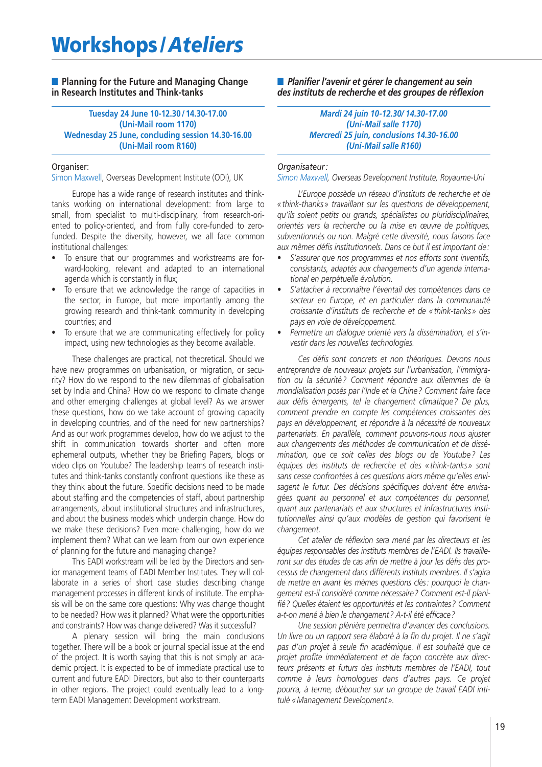# **Workshops /***Ateliers*

### ■ **Planning for the Future and Managing Change in Research Institutes and Think-tanks**

### **Tuesday 24 June 10-12.30 / 14.30-17.00 (Uni-Mail room 1170) Wednesday 25 June, concluding session 14.30-16.00 (Uni-Mail room R160)**

### Organiser:

Simon Maxwell, Overseas Development Institute (ODI), UK

Europe has a wide range of research institutes and thinktanks working on international development: from large to small, from specialist to multi-disciplinary, from research-oriented to policy-oriented, and from fully core-funded to zerofunded. Despite the diversity, however, we all face common institutional challenges:

- To ensure that our programmes and workstreams are forward-looking, relevant and adapted to an international agenda which is constantly in flux;
- To ensure that we acknowledge the range of capacities in the sector, in Europe, but more importantly among the growing research and think-tank community in developing countries; and
- To ensure that we are communicating effectively for policy impact, using new technologies as they become available.

These challenges are practical, not theoretical. Should we have new programmes on urbanisation, or migration, or security? How do we respond to the new dilemmas of globalisation set by India and China? How do we respond to climate change and other emerging challenges at global level? As we answer these questions, how do we take account of growing capacity in developing countries, and of the need for new partnerships? And as our work programmes develop, how do we adjust to the shift in communication towards shorter and often more ephemeral outputs, whether they be Briefing Papers, blogs or video clips on Youtube? The leadership teams of research institutes and think-tanks constantly confront questions like these as they think about the future. Specific decisions need to be made about staffing and the competencies of staff, about partnership arrangements, about institutional structures and infrastructures, and about the business models which underpin change. How do we make these decisions? Even more challenging, how do we implement them? What can we learn from our own experience of planning for the future and managing change?

This EADI workstream will be led by the Directors and senior management teams of EADI Member Institutes. They will collaborate in a series of short case studies describing change management processes in different kinds of institute. The emphasis will be on the same core questions: Why was change thought to be needed? How was it planned? What were the opportunities and constraints? How was change delivered? Was it successful?

A plenary session will bring the main conclusions together. There will be a book or journal special issue at the end of the project. It is worth saying that this is not simply an academic project. It is expected to be of immediate practical use to current and future EADI Directors, but also to their counterparts in other regions. The project could eventually lead to a longterm EADI Management Development workstream.

**■** *Planifier l'avenir et gérer le changement au sein des instituts de recherche et des groupes de réflexion*

### *Mardi 24 juin 10-12.30/ 14.30-17.00 (Uni-Mail salle 1170) Mercredi 25 juin, conclusions 14.30-16.00 (Uni-Mail salle R160)*

### *Organisateur :*

*Simon Maxwell, Overseas Development Institute, Royaume-Uni*

*L'Europe possède un réseau d'instituts de recherche et de « think-thanks » travaillant sur les questions de développement, qu'ils soient petits ou grands, spécialistes ou pluridisciplinaires, orientés vers la recherche ou la mise en œuvre de politiques, subventionnés ou non. Malgré cette diversité, nous faisons face aux mêmes défis institutionnels. Dans ce but il est important de :*

- *S'assurer que nos programmes et nos efforts sont inventifs, consistants, adaptés aux changements d'un agenda international en perpétuelle évolution.*
- *S'attacher à reconnaître l'éventail des compétences dans ce secteur en Europe, et en particulier dans la communauté croissante d'instituts de recherche et de « think-tanks » des pays en voie de développement.*
- *• Permettre un dialogue orienté vers la dissémination, et s'investir dans les nouvelles technologies.*

*Ces défis sont concrets et non théoriques. Devons nous entreprendre de nouveaux projets sur l'urbanisation, l'immigration ou la sécurité ? Comment répondre aux dilemmes de la mondialisation posés par l'Inde et la Chine ? Comment faire face aux défis émergents, tel le changement climatique ? De plus, comment prendre en compte les compétences croissantes des pays en développement, et répondre à la nécessité de nouveaux partenariats. En parallèle, comment pouvons-nous nous ajuster aux changements des méthodes de communication et de dissémination, que ce soit celles des blogs ou de Youtube ? Les équipes des instituts de recherche et des « think-tanks » sont sans cesse confrontées à ces questions alors même qu'elles envisagent le futur. Des décisions spécifiques doivent être envisagées quant au personnel et aux compétences du personnel, quant aux partenariats et aux structures et infrastructures institutionnelles ainsi qu'aux modèles de gestion qui favorisent le changement.* 

*Cet atelier de réflexion sera mené par les directeurs et les équipes responsables des instituts membres de l'EADI. Ils travailleront sur des études de cas afin de mettre à jour les défis des processus de changement dans différents instituts membres. Il s'agira de mettre en avant les mêmes questions clés: pourquoi le changement est-il considéré comme nécessaire? Comment est-il planifié? Quelles étaient les opportunités et les contraintes? Comment a-t-on mené à bien le changement? A-t-il été efficace?*

*Une session plénière permettra d'avancer des conclusions. Un livre ou un rapport sera élaboré à la fin du projet. Il ne s'agit pas d'un projet à seule fin académique. Il est souhaité que ce projet profite immédiatement et de façon concrète aux directeurs présents et futurs des instituts membres de l'EADI, tout comme à leurs homologues dans d'autres pays. Ce projet pourra, à terme, déboucher sur un groupe de travail EADI intitulé «Management Development ».*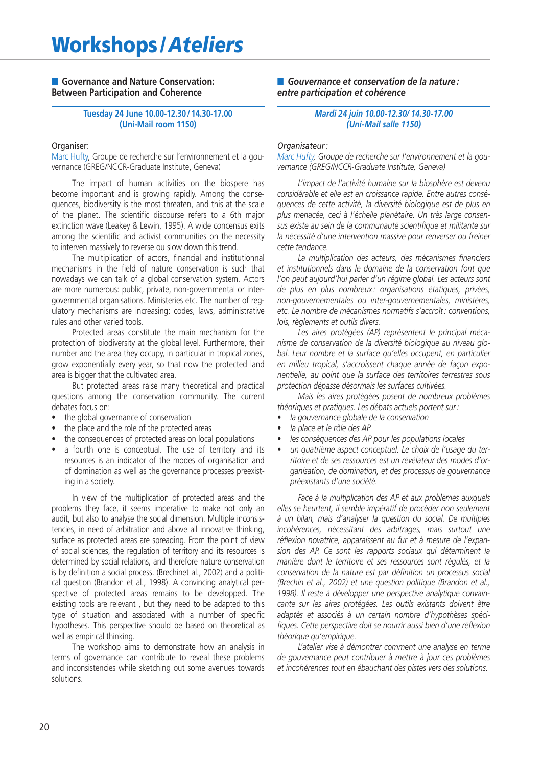### ■ **Governance and Nature Conservation: Between Participation and Coherence**

### **Tuesday 24 June 10.00-12.30 / 14.30-17.00 (Uni-Mail room 1150)**

### Organiser:

Marc Hufty, Groupe de recherche sur l'environnement et la gouvernance (GREG/NCCR-Graduate Institute, Geneva)

The impact of human activities on the biospere has become important and is growing rapidly. Among the consequences, biodiversity is the most threaten, and this at the scale of the planet. The scientific discourse refers to a 6th major extinction wave (Leakey & Lewin, 1995). A wide concensus exits among the scientific and activist communities on the necessity to interven massively to reverse ou slow down this trend.

The multiplication of actors, financial and institutionnal mechanisms in the field of nature conservation is such that nowadays we can talk of a global conservation system. Actors are more numerous: public, private, non-governmental or intergovernmental organisations. Ministeries etc. The number of regulatory mechanisms are increasing: codes, laws, administrative rules and other varied tools.

Protected areas constitute the main mechanism for the protection of biodiversity at the global level. Furthermore, their number and the area they occupy, in particular in tropical zones, grow exponentially every year, so that now the protected land area is bigger that the cultivated area.

But protected areas raise many theoretical and practical questions among the conservation community. The current debates focus on:

- the global governance of conservation
- the place and the role of the protected areas
- the consequences of protected areas on local populations
- a fourth one is conceptual. The use of territory and its resources is an indicator of the modes of organisation and of domination as well as the governance processes preexisting in a society.

In view of the multiplication of protected areas and the problems they face, it seems imperative to make not only an audit, but also to analyse the social dimension. Multiple inconsistencies, in need of arbitration and above all innovative thinking, surface as protected areas are spreading. From the point of view of social sciences, the regulation of territory and its resources is determined by social relations, and therefore nature conservation is by definition a social process. (Brechinet al., 2002) and a political question (Brandon et al., 1998). A convincing analytical perspective of protected areas remains to be developped. The existing tools are relevant , but they need to be adapted to this type of situation and associated with a number of specific hypotheses. This perspective should be based on theoretical as well as empirical thinking.

The workshop aims to demonstrate how an analysis in terms of governance can contribute to reveal these problems and inconsistencies while sketching out some avenues towards solutions.

■ Gouvernance et conservation de la nature : *entre participation et cohérence*

### *Mardi 24 juin 10.00-12.30/ 14.30-17.00 (Uni-Mail salle 1150)*

### *Organisateur :*

*Marc Hufty, Groupe de recherche sur l'environnement et la gouvernance (GREG/NCCR-Graduate Institute, Geneva)*

*L'impact de l'activité humaine sur la biosphère est devenu considérable et elle est en croissance rapide. Entre autres conséquences de cette activité, la diversité biologique est de plus en plus menacée, ceci à l'échelle planétaire. Un très large consensus existe au sein de la communauté scientifique et militante sur la nécessité d'une intervention massive pour renverser ou freiner cette tendance.*

*La multiplication des acteurs, des mécanismes financiers et institutionnels dans le domaine de la conservation font que l'on peut aujourd'hui parler d'un régime global. Les acteurs sont de plus en plus nombreux : organisations étatiques, privées, non-gouvernementales ou inter-gouvernementales, ministères, etc. Le nombre de mécanismes normatifs s'accroît : conventions, lois, règlements et outils divers.* 

*Les aires protégées (AP) représentent le principal mécanisme de conservation de la diversité biologique au niveau global. Leur nombre et la surface qu'elles occupent, en particulier en milieu tropical, s'accroissent chaque année de façon exponentielle, au point que la surface des territoires terrestres sous protection dépasse désormais les surfaces cultivées.*

*Mais les aires protégées posent de nombreux problèmes théoriques et pratiques. Les débats actuels portent sur:*

- *• la gouvernance globale de la conservation*
- *• la place et le rôle des AP*
- *les conséquences des AP pour les populations locales*
- *un quatrième aspect conceptuel. Le choix de l'usage du territoire et de ses ressources est un révélateur des modes d'organisation, de domination, et des processus de gouvernance préexistants d'une société.*

*Face à la multiplication des AP et aux problèmes auxquels elles se heurtent, il semble impératif de procéder non seulement à un bilan, mais d'analyser la question du social. De multiples incohérences, nécessitant des arbitrages, mais surtout une réflexion novatrice, apparaissent au fur et à mesure de l'expansion des AP. Ce sont les rapports sociaux qui déterminent la manière dont le territoire et ses ressources sont régulés, et la conservation de la nature est par définition un processus social (Brechin et al., 2002) et une question politique (Brandon et al., 1998). Il reste à développer une perspective analytique convaincante sur les aires protégées. Les outils existants doivent être adaptés et associés à un certain nombre d'hypothèses spécifiques. Cette perspective doit se nourrir aussi bien d'une réflexion théorique qu'empirique.*

*L'atelier vise à démontrer comment une analyse en terme de gouvernance peut contribuer à mettre à jour ces problèmes et incohérences tout en ébauchant des pistes vers des solutions.*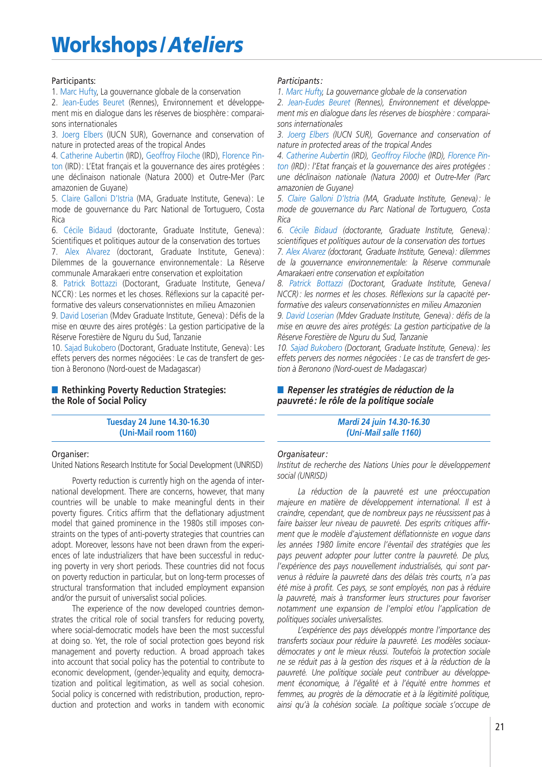## **Workshops /***Ateliers*

### Participants:

1. Marc Hufty, La gouvernance globale de la conservation

2. Jean-Eudes Beuret (Rennes), Environnement et développement mis en dialogue dans les réserves de biosphère : comparaisons internationales

3. Joerg Elbers (IUCN SUR), Governance and conservation of nature in protected areas of the tropical Andes

4. Catherine Aubertin (IRD), Geoffroy Filoche (IRD), Florence Pinton (IRD) : L'Etat français et la gouvernance des aires protégées : une déclinaison nationale (Natura 2000) et Outre-Mer (Parc amazonien de Guyane)

5. Claire Galloni D'Istria (MA, Graduate Institute, Geneva) : Le mode de gouvernance du Parc National de Tortuguero, Costa Rica

6. Cécile Bidaud (doctorante, Graduate Institute, Geneva) : Scientifiques et politiques autour de la conservation des tortues

7. Alex Alvarez (doctorant, Graduate Institute, Geneva) : Dilemmes de la gouvernance environnementale : La Réserve communale Amarakaeri entre conservation et exploitation

8. Patrick Bottazzi (Doctorant, Graduate Institute, Geneva/ NCCR) : Les normes et les choses. Réflexions sur la capacité performative des valeurs conservationnistes en milieu Amazonien

9. David Loserian (Mdev Graduate Institute, Geneva) : Défis de la mise en œuvre des aires protégés : La gestion participative de la Réserve Forestière de Nguru du Sud, Tanzanie

10. Sajad Bukobero (Doctorant, Graduate Institute, Geneva): Les effets pervers des normes négociées : Le cas de transfert de gestion à Beronono (Nord-ouest de Madagascar)

### ■ **Rethinking Poverty Reduction Strategies: the Role of Social Policy**

**Tuesday 24 June 14.30-16.30 (Uni-Mail room 1160)**

### Organiser:

United Nations Research Institute for Social Development (UNRISD)

Poverty reduction is currently high on the agenda of international development. There are concerns, however, that many countries will be unable to make meaningful dents in their poverty figures. Critics affirm that the deflationary adjustment model that gained prominence in the 1980s still imposes constraints on the types of anti-poverty strategies that countries can adopt. Moreover, lessons have not been drawn from the experiences of late industrializers that have been successful in reducing poverty in very short periods. These countries did not focus on poverty reduction in particular, but on long-term processes of structural transformation that included employment expansion and/or the pursuit of universalist social policies.

The experience of the now developed countries demonstrates the critical role of social transfers for reducing poverty, where social-democratic models have been the most successful at doing so. Yet, the role of social protection goes beyond risk management and poverty reduction. A broad approach takes into account that social policy has the potential to contribute to economic development, (gender-)equality and equity, democratization and political legitimation, as well as social cohesion. Social policy is concerned with redistribution, production, reproduction and protection and works in tandem with economic

### *Participants :*

*1. Marc Hufty, La gouvernance globale de la conservation* 

*2. Jean-Eudes Beuret (Rennes), Environnement et développement mis en dialogue dans les réserves de biosphère : comparaisons internationales* 

*3. Joerg Elbers (IUCN SUR), Governance and conservation of nature in protected areas of the tropical Andes*

*4. Catherine Aubertin (IRD), Geoffroy Filoche (IRD), Florence Pinton (IRD) : l'Etat français et la gouvernance des aires protégées : une déclinaison nationale (Natura 2000) et Outre-Mer (Parc amazonien de Guyane)*

*5. Claire Galloni D'Istria (MA, Graduate Institute, Geneva) : le mode de gouvernance du Parc National de Tortuguero, Costa Rica*

*6. Cécile Bidaud (doctorante, Graduate Institute, Geneva) : scientifiques et politiques autour de la conservation des tortues*

*7. Alex Alvarez (doctorant, Graduate Institute, Geneva): dilemmes de la gouvernance environnementale: la Réserve communale Amarakaeri entre conservation et exploitation*

*8. Patrick Bottazzi (Doctorant, Graduate Institute, Geneva / NCCR) : les normes et les choses. Réflexions sur la capacité performative des valeurs conservationnistes en milieu Amazonien*

*9. David Loserian (Mdev Graduate Institute, Geneva) : défis de la mise en œuvre des aires protégés: La gestion participative de la Réserve Forestière de Nguru du Sud, Tanzanie*

*10. Sajad Bukobero (Doctorant, Graduate Institute, Geneva) : les effets pervers des normes négociées : Le cas de transfert de gestion à Beronono (Nord-ouest de Madagascar)*

### ■ *Repenser les stratégies de réduction de la pauvreté : le rôle de la politique sociale*

*Mardi 24 juin 14.30-16.30 (Uni-Mail salle 1160)*

### *Organisateur :*

*Institut de recherche des Nations Unies pour le développement social (UNRISD)*

*La réduction de la pauvreté est une préoccupation majeure en matière de développement international. Il est à craindre, cependant, que de nombreux pays ne réussissent pas à faire baisser leur niveau de pauvreté. Des esprits critiques affirment que le modèle d'ajustement déflationniste en vogue dans les années 1980 limite encore l'éventail des stratégies que les pays peuvent adopter pour lutter contre la pauvreté. De plus, l'expérience des pays nouvellement industrialisés, qui sont parvenus à réduire la pauvreté dans des délais très courts, n'a pas été mise à profit. Ces pays, se sont employés, non pas à réduire la pauvreté, mais à transformer leurs structures pour favoriser notamment une expansion de l'emploi et/ou l'application de politiques sociales universalistes.*

*L'expérience des pays développés montre l'importance des transferts sociaux pour réduire la pauvreté. Les modèles sociauxdémocrates y ont le mieux réussi. Toutefois la protection sociale ne se réduit pas à la gestion des risques et à la réduction de la pauvreté. Une politique sociale peut contribuer au développement économique, à l'égalité et à l'équité entre hommes et femmes, au progrès de la démocratie et à la légitimité politique, ainsi qu'à la cohésion sociale. La politique sociale s'occupe de*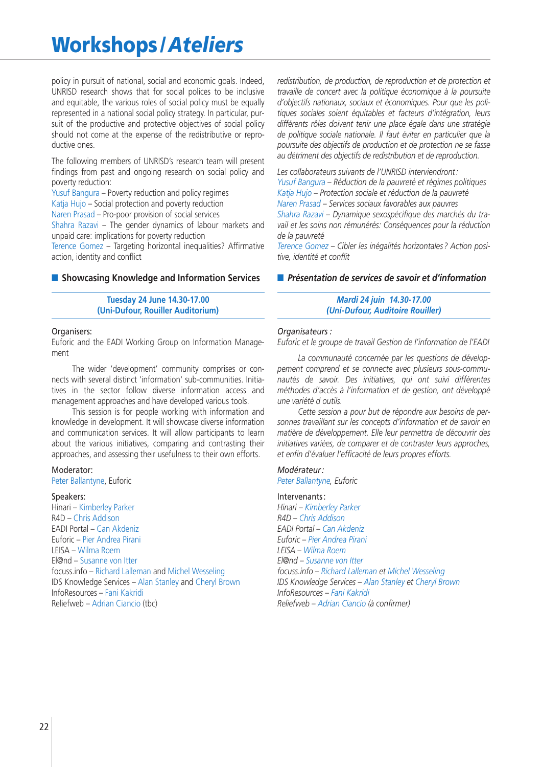## **Workshops /***Ateliers*

policy in pursuit of national, social and economic goals. Indeed, UNRISD research shows that for social polices to be inclusive and equitable, the various roles of social policy must be equally represented in a national social policy strategy. In particular, pursuit of the productive and protective objectives of social policy should not come at the expense of the redistributive or reproductive ones.

The following members of UNRISD's research team will present findings from past and ongoing research on social policy and poverty reduction:

Yusuf Bangura – Poverty reduction and policy regimes

Katja Hujo – Social protection and poverty reduction

Naren Prasad – Pro-poor provision of social services

Shahra Razavi – The gender dynamics of labour markets and unpaid care: implications for poverty reduction

Terence Gomez – Targeting horizontal inequalities? Affirmative action, identity and conflict

### ■ **Showcasing Knowledge and Information Services**

**Tuesday 24 June 14.30-17.00 (Uni-Dufour, Rouiller Auditorium)**

### Organisers:

Euforic and the EADI Working Group on Information Management

The wider 'development' community comprises or connects with several distinct 'information' sub-communities. Initiatives in the sector follow diverse information access and management approaches and have developed various tools.

This session is for people working with information and knowledge in development. It will showcase diverse information and communication services. It will allow participants to learn about the various initiatives, comparing and contrasting their approaches, and assessing their usefulness to their own efforts.

### Moderator:

Peter Ballantyne, Euforic

### Speakers:

Hinari – Kimberley Parker R4D – Chris Addison EADI Portal – Can Akdeniz Euforic – Pier Andrea Pirani LEISA – Wilma Roem El@nd – Susanne von Itter focuss.info – Richard Lalleman and Michel Wesseling IDS Knowledge Services – Alan Stanley and Cheryl Brown InfoResources – Fani Kakridi Reliefweb – Adrian Ciancio (tbc)

*redistribution, de production, de reproduction et de protection et travaille de concert avec la politique économique à la poursuite d'objectifs nationaux, sociaux et économiques. Pour que les politiques sociales soient équitables et facteurs d'intégration, leurs différents rôles doivent tenir une place égale dans une stratégie de politique sociale nationale. Il faut éviter en particulier que la poursuite des objectifs de production et de protection ne se fasse au détriment des objectifs de redistribution et de reproduction.*

*Les collaborateurs suivants de l'UNRISD interviendront : Yusuf Bangura – Réduction de la pauvreté et régimes politiques Katja Hujo – Protection sociale et réduction de la pauvreté Naren Prasad – Services sociaux favorables aux pauvres* 

*Shahra Razavi – Dynamique sexospécifique des marchés du travail et les soins non rémunérés: Conséquences pour la réduction de la pauvreté* 

*Terence Gomez – Cibler les inégalités horizontales ? Action positive, identité et conflit* 

### **■** *Présentation de services de savoir et d'information*

### *Mardi 24 juin 14.30-17.00 (Uni-Dufour, Auditoire Rouiller)*

### *Organisateurs :*

*Euforic et le groupe de travail Gestion de l'information de l'EADI*

*La communauté concernée par les questions de développement comprend et se connecte avec plusieurs sous-communautés de savoir. Des initiatives, qui ont suivi différentes méthodes d'accès à l'information et de gestion, ont développé une variété d outils.*

*Cette session a pour but de répondre aux besoins de personnes travaillant sur les concepts d'information et de savoir en matière de développement. Elle leur permettra de découvrir des initiatives variées, de comparer et de contraster leurs approches, et enfin d'évaluer l'efficacité de leurs propres efforts.* 

### *Modérateur :*

*Peter Ballantyne, Euforic*

### Intervenants :

*Hinari – Kimberley Parker R4D – Chris Addison EADI Portal – Can Akdeniz Euforic – Pier Andrea Pirani LEISA – Wilma Roem El@nd – Susanne von Itter focuss.info – Richard Lalleman et Michel Wesseling IDS Knowledge Services – Alan Stanley et Cheryl Brown InfoResources – Fani Kakridi Reliefweb – Adrian Ciancio (à confirmer)*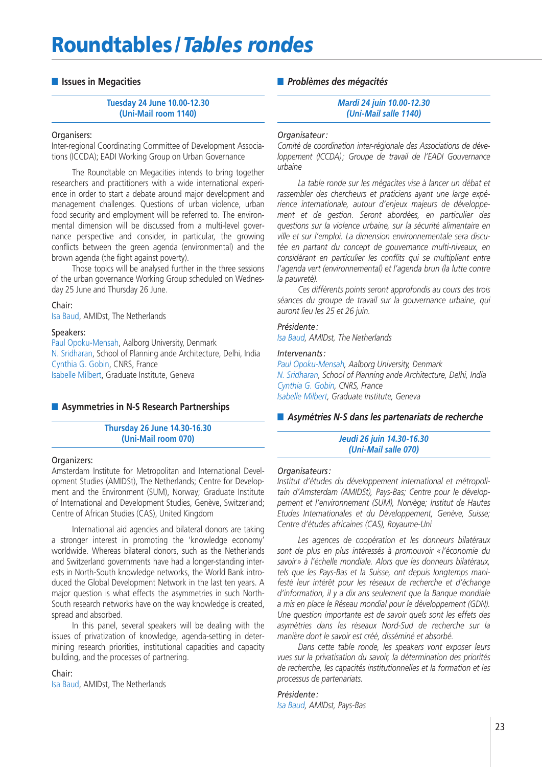## **Roundtables /** *Tables rondes*

### **■ Issues in Megacities**

**Tuesday 24 June 10.00-12.30 (Uni-Mail room 1140)**

### Organisers:

Inter-regional Coordinating Committee of Development Associations (ICCDA); EADI Working Group on Urban Governance

The Roundtable on Megacities intends to bring together researchers and practitioners with a wide international experience in order to start a debate around major development and management challenges. Questions of urban violence, urban food security and employment will be referred to. The environmental dimension will be discussed from a multi-level governance perspective and consider, in particular, the growing conflicts between the green agenda (environmental) and the brown agenda (the fight against poverty).

Those topics will be analysed further in the three sessions of the urban governance Working Group scheduled on Wednesday 25 June and Thursday 26 June.

### Chair:

Isa Baud, AMIDst, The Netherlands

### Speakers:

Paul Opoku-Mensah, Aalborg University, Denmark N. Sridharan, School of Planning ande Architecture, Delhi, India Cynthia G. Gobin, CNRS, France Isabelle Milbert, Graduate Institute, Geneva

### ■ **Asymmetries in N-S Research Partnerships**

**Thursday 26 June 14.30-16.30 (Uni-Mail room 070)**

### Organizers:

Amsterdam Institute for Metropolitan and International Development Studies (AMIDSt), The Netherlands; Centre for Development and the Environment (SUM), Norway; Graduate Institute of International and Development Studies, Genève, Switzerland; Centre of African Studies (CAS), United Kingdom

International aid agencies and bilateral donors are taking a stronger interest in promoting the 'knowledge economy' worldwide. Whereas bilateral donors, such as the Netherlands and Switzerland governments have had a longer-standing interests in North-South knowledge networks, the World Bank introduced the Global Development Network in the last ten years. A major question is what effects the asymmetries in such North-South research networks have on the way knowledge is created, spread and absorbed.

In this panel, several speakers will be dealing with the issues of privatization of knowledge, agenda-setting in determining research priorities, institutional capacities and capacity building, and the processes of partnering.

Chair:

Isa Baud, AMIDst, The Netherlands

### **■** *Problèmes des mégacités*

*Mardi 24 juin 10.00-12.30 (Uni-Mail salle 1140)*

### *Organisateur :*

*Comité de coordination inter-régionale des Associations de développement (ICCDA); Groupe de travail de l'EADI Gouvernance urbaine*

*La table ronde sur les mégacites vise à lancer un débat et rassembler des chercheurs et praticiens ayant une large expérience internationale, autour d'enjeux majeurs de développement et de gestion. Seront abordées, en particulier des questions sur la violence urbaine, sur la sécurité alimentaire en ville et sur l'emploi. La dimension environnementale sera discutée en partant du concept de gouvernance multi-niveaux, en considérant en particulier les conflits qui se multiplient entre l'agenda vert (environnemental) et l'agenda brun (la lutte contre la pauvreté).*

*Ces différents points seront approfondis au cours des trois séances du groupe de travail sur la gouvernance urbaine, qui auront lieu les 25 et 26 juin.*

### *Présidente :*

*Isa Baud, AMIDst, The Netherlands*

### *Intervenants :*

*Paul Opoku-Mensah, Aalborg University, Denmark N. Sridharan, School of Planning ande Architecture, Delhi, India Cynthia G. Gobin, CNRS, France Isabelle Milbert, Graduate Institute, Geneva*

### ■ *Asymétries N-S dans les partenariats de recherche*

### *Jeudi 26 juin 14.30-16.30 (Uni-Mail salle 070)*

### *Organisateurs :*

*Institut d'études du développement international et métropolitain d'Amsterdam (AMIDSt), Pays-Bas; Centre pour le développement et l'environnement (SUM), Norvège; Institut de Hautes Etudes Internationales et du Développement, Genève, Suisse; Centre d'études africaines (CAS), Royaume-Uni*

*Les agences de coopération et les donneurs bilatéraux sont de plus en plus intéressés à promouvoir « l'économie du savoir » à l'échelle mondiale. Alors que les donneurs bilatéraux, tels que les Pays-Bas et la Suisse, ont depuis longtemps manifesté leur intérêt pour les réseaux de recherche et d'échange d'information, il y a dix ans seulement que la Banque mondiale a mis en place le Réseau mondial pour le développement (GDN). Une question importante est de savoir quels sont les effets des asymétries dans les réseaux Nord-Sud de recherche sur la manière dont le savoir est créé, disséminé et absorbé.*

*Dans cette table ronde, les speakers vont exposer leurs vues sur la privatisation du savoir, la détermination des priorités de recherche, les capacités institutionnelles et la formation et les processus de partenariats.*

## *Présidente:*

*Isa Baud, AMIDst, Pays-Bas*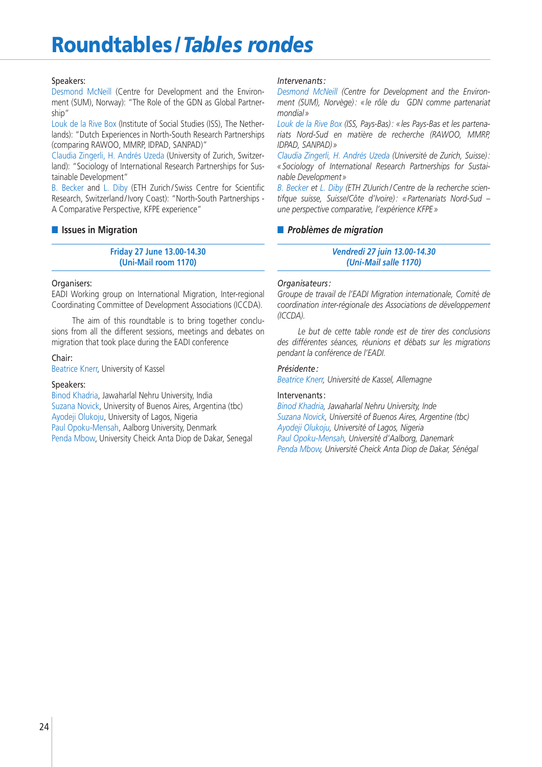# **Roundtables /** *Tables rondes*

### Speakers:

Desmond McNeill (Centre for Development and the Environment (SUM), Norway): "The Role of the GDN as Global Partnership"

Louk de la Rive Box (Institute of Social Studies (ISS), The Netherlands): "Dutch Experiences in North-South Research Partnerships (comparing RAWOO, MMRP, IDPAD, SANPAD)"

Claudia Zingerli, H. Andrés Uzeda (University of Zurich, Switzerland): "Sociology of International Research Partnerships for Sustainable Development"

B. Becker and L. Diby (ETH Zurich / Swiss Centre for Scientific Research, Switzerland/Ivory Coast): "North-South Partnerships -A Comparative Perspective, KFPE experience"

### **■ Issues in Migration**

**Friday 27 June 13.00-14.30 (Uni-Mail room 1170)**

### Organisers:

EADI Working group on International Migration, Inter-regional Coordinating Committee of Development Associations (ICCDA).

The aim of this roundtable is to bring together conclusions from all the different sessions, meetings and debates on migration that took place during the EADI conference

### Chair:

Beatrice Knerr, University of Kassel

### Speakers:

Binod Khadria, Jawaharlal Nehru University, India Suzana Novick, University of Buenos Aires, Argentina (tbc) Ayodeji Olukoju, University of Lagos, Nigeria Paul Opoku-Mensah, Aalborg University, Denmark Penda Mbow, University Cheick Anta Diop de Dakar, Senegal

### *Intervenants :*

*Desmond McNeill (Centre for Development and the Environment (SUM), Norvège) : « le rôle du GDN comme partenariat mondial »*

*Louk de la Rive Box (ISS, Pays-Bas) : « les Pays-Bas et les partenariats Nord-Sud en matière de recherche (RAWOO, MMRP, IDPAD, SANPAD) »*

*Claudia Zingerli, H. Andrés Uzeda (Université de Zurich, Suisse) : « Sociology of International Research Partnerships for Sustainable Development »*

*B. Becker et L. Diby (ETH ZUurich / Centre de la recherche scientifque suisse, Suisse/Côte d'Ivoire) : « Partenariats Nord-Sud – une perspective comparative, l'expérience KFPE »*

### **■** *Problèmes de migration*

*Vendredi 27 juin 13.00-14.30 (Uni-Mail salle 1170)*

### *Organisateurs :*

*Groupe de travail de l'EADI Migration internationale, Comité de coordination inter-régionale des Associations de développement (ICCDA).*

*Le but de cette table ronde est de tirer des conclusions des différentes séances, réunions et débats sur les migrations pendant la conférence de l'EADI.*

### *Présidente :*

*Beatrice Knerr, Université de Kassel, Allemagne*

### Intervenants :

*Binod Khadria, Jawaharlal Nehru University, Inde Suzana Novick, Université of Buenos Aires, Argentine (tbc) Ayodeji Olukoju, Université of Lagos, Nigeria Paul Opoku-Mensah, Université d'Aalborg, Danemark Penda Mbow, Université Cheick Anta Diop de Dakar, Sénégal*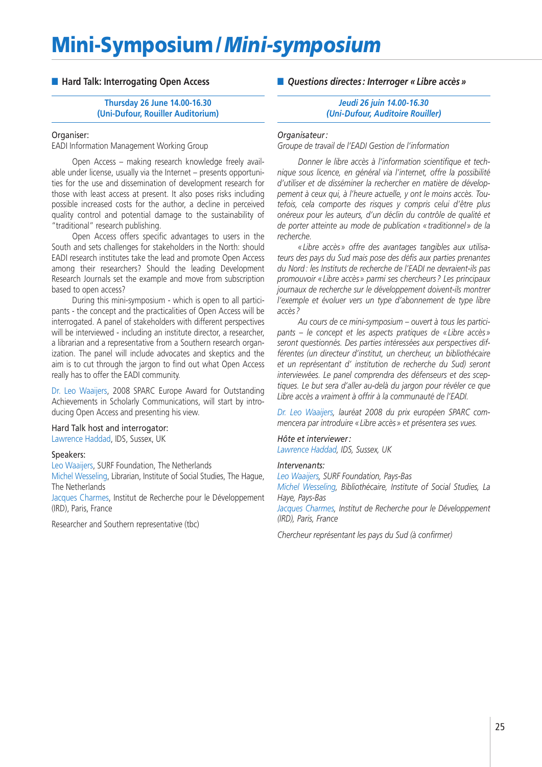# **Mini-Symposium /***Mini-symposium*

### ■ Hard Talk: Interrogating Open Access

**Thursday 26 June 14.00-16.30 (Uni-Dufour, Rouiller Auditorium)**

### Organiser:

EADI Information Management Working Group

Open Access – making research knowledge freely available under license, usually via the Internet – presents opportunities for the use and dissemination of development research for those with least access at present. It also poses risks including possible increased costs for the author, a decline in perceived quality control and potential damage to the sustainability of "traditional" research publishing.

Open Access offers specific advantages to users in the South and sets challenges for stakeholders in the North: should EADI research institutes take the lead and promote Open Access among their researchers? Should the leading Development Research Journals set the example and move from subscription based to open access?

During this mini-symposium - which is open to all participants - the concept and the practicalities of Open Access will be interrogated. A panel of stakeholders with different perspectives will be interviewed - including an institute director, a researcher, a librarian and a representative from a Southern research organization. The panel will include advocates and skeptics and the aim is to cut through the jargon to find out what Open Access really has to offer the EADI community.

Dr. Leo Waaijers, 2008 SPARC Europe Award for Outstanding Achievements in Scholarly Communications, will start by introducing Open Access and presenting his view.

### Hard Talk host and interrogator:

Lawrence Haddad, IDS, Sussex, UK

### Speakers:

Leo Waaijers, SURF Foundation, The Netherlands

Michel Wesseling, Librarian, Institute of Social Studies, The Hague, The Netherlands

Jacques Charmes, Institut de Recherche pour le Développement (IRD), Paris, France

Researcher and Southern representative (tbc)

### **■** *Questions directes : Interroger « Libre accès »*

*Jeudi 26 juin 14.00-16.30 (Uni-Dufour, Auditoire Rouiller)*

### *Organisateur :*

*Groupe de travail de l'EADI Gestion de l'information*

*Donner le libre accès à l'information scientifique et technique sous licence, en général via l'internet, offre la possibilité d'utiliser et de disséminer la rechercher en matière de développement à ceux qui, à l'heure actuelle, y ont le moins accès. Toutefois, cela comporte des risques y compris celui d'être plus onéreux pour les auteurs, d'un déclin du contrôle de qualité et de porter atteinte au mode de publication « traditionnel » de la recherche.*

*« Libre accès » offre des avantages tangibles aux utilisateurs des pays du Sud mais pose des défis aux parties prenantes du Nord : les Instituts de recherche de l'EADI ne devraient-ils pas promouvoir « Libre accès » parmi ses chercheurs ? Les principaux journaux de recherche sur le développement doivent-ils montrer l'exemple et évoluer vers un type d'abonnement de type libre accès ?*

*Au cours de ce mini-symposium – ouvert à tous les participants – le concept et les aspects pratiques de « Libre accès » seront questionnés. Des parties intéressées aux perspectives différentes (un directeur d'institut, un chercheur, un bibliothécaire et un représentant d' institution de recherche du Sud) seront interviewées. Le panel comprendra des défenseurs et des sceptiques. Le but sera d'aller au-delà du jargon pour révéler ce que Libre accès a vraiment à offrir à la communauté de l'EADI.*

*Dr. Leo Waaijers, lauréat 2008 du prix européen SPARC commencera par introduire « Libre accès » et présentera ses vues.*

### *Hôte et interviewer :*

*Lawrence Haddad, IDS, Sussex, UK*

### *Intervenants:*

*Leo Waaijers, SURF Foundation, Pays-Bas*

*Michel Wesseling, Bibliothécaire, Institute of Social Studies, La Haye, Pays-Bas*

*Jacques Charmes, Institut de Recherche pour le Développement (IRD), Paris, France*

*Chercheur représentant les pays du Sud (à confirmer)*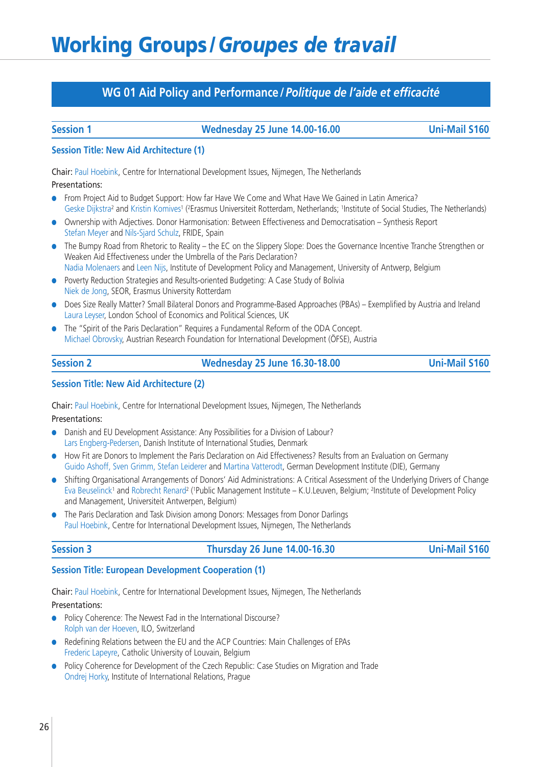## **WG 01 Aid Policy and Performance /***Politique de l'aide et efficacité*

### **Session 1 Wednesday 25 June 14.00-16.00 Uni-Mail S160**

### **Session Title: New Aid Architecture (1)**

Chair: Paul Hoebink, Centre for International Development Issues, Nijmegen, The Netherlands Presentations:

- **●** From Project Aid to Budget Support: How far Have We Come and What Have We Gained in Latin America? Geske Dijkstra<sup>2</sup> and Kristin Komives<sup>1</sup> (<sup>2</sup>Erasmus Universiteit Rotterdam, Netherlands; <sup>1</sup>Institute of Social Studies, The Netherlands)
- **●** Ownership with Adjectives. Donor Harmonisation: Between Effectiveness and Democratisation Synthesis Report Stefan Meyer and Nils-Sjard Schulz, FRIDE, Spain
- **●** The Bumpy Road from Rhetoric to Reality the EC on the Slippery Slope: Does the Governance Incentive Tranche Strengthen or Weaken Aid Effectiveness under the Umbrella of the Paris Declaration? Nadia Molenaers and Leen Nijs, Institute of Development Policy and Management, University of Antwerp, Belgium
- **●** Poverty Reduction Strategies and Results-oriented Budgeting: A Case Study of Bolivia Niek de Jong, SEOR, Erasmus University Rotterdam
- **●** Does Size Really Matter? Small Bilateral Donors and Programme-Based Approaches (PBAs) Exemplified by Austria and Ireland Laura Leyser, London School of Economics and Political Sciences, UK
- **●** The "Spirit of the Paris Declaration" Requires a Fundamental Reform of the ODA Concept. Michael Obrovsky, Austrian Research Foundation for International Development (ÖFSE), Austria

| ssion |  |
|-------|--|
|       |  |

**Session 2 Wednesday 25 June 16.30-18.00 Uni-Mail S160**

### **Session Title: New Aid Architecture (2)**

Chair: Paul Hoebink, Centre for International Development Issues, Nijmegen, The Netherlands

Presentations:

- **●** Danish and EU Development Assistance: Any Possibilities for a Division of Labour? Lars Engberg-Pedersen, Danish Institute of International Studies, Denmark
- **●** How Fit are Donors to Implement the Paris Declaration on Aid Effectiveness? Results from an Evaluation on Germany Guido Ashoff, Sven Grimm, Stefan Leiderer and Martina Vatterodt, German Development Institute (DIE), Germany
- **●** Shifting Organisational Arrangements of Donors' Aid Administrations: A Critical Assessment of the Underlying Drivers of Change Eva Beuselinck<sup>1</sup> and Robrecht Renard<sup>2</sup> (<sup>1</sup>Public Management Institute – K.U.Leuven, Belgium; <sup>2</sup>Institute of Development Policy and Management, Universiteit Antwerpen, Belgium)
- **●** The Paris Declaration and Task Division among Donors: Messages from Donor Darlings Paul Hoebink, Centre for International Development Issues, Nijmegen, The Netherlands

**Session 3 Thursday 26 June 14.00-16.30 Uni-Mail S160**

### **Session Title: European Development Cooperation (1)**

Chair: Paul Hoebink, Centre for International Development Issues, Nijmegen, The Netherlands Presentations:

- Policy Coherence: The Newest Fad in the International Discourse? Rolph van der Hoeven, ILO, Switzerland
- **●** Redefining Relations between the EU and the ACP Countries: Main Challenges of EPAs Frederic Lapeyre, Catholic University of Louvain, Belgium
- **●** Policy Coherence for Development of the Czech Republic: Case Studies on Migration and Trade Ondrej Horky, Institute of International Relations, Prague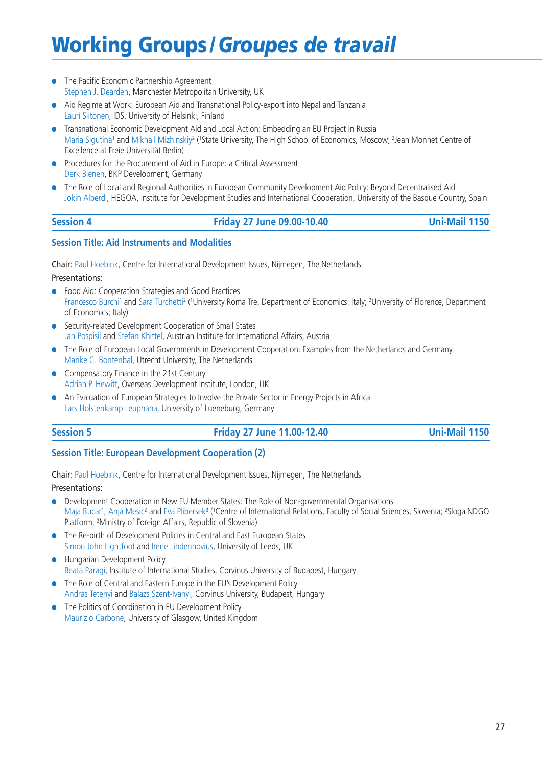- **●** The Pacific Economic Partnership Agreement Stephen J. Dearden, Manchester Metropolitan University, UK
- **●** Aid Regime at Work: European Aid and Transnational Policy-export into Nepal and Tanzania Lauri Siitonen, IDS, University of Helsinki, Finland
- **●** Transnational Economic Development Aid and Local Action: Embedding an EU Project in Russia Maria Sigutina<sup>1</sup> and Mikhail Mizhinskiy<sup>2</sup> ('State University, The High School of Economics, Moscow; <sup>2</sup>Jean Monnet Centre of Excellence at Freie Universität Berlin)
- **●** Procedures for the Procurement of Aid in Europe: a Critical Assessment Derk Bienen, BKP Development, Germany
- **●** The Role of Local and Regional Authorities in European Community Development Aid Policy: Beyond Decentralised Aid Jokin Alberdi, HEGOA, Institute for Development Studies and International Cooperation, University of the Basque Country, Spain

| ession |  |
|--------|--|
|        |  |

### **Session 4 Friday 27 June 09.00-10.40 Uni-Mail 1150**

### **Session Title: Aid Instruments and Modalities**

Chair: Paul Hoebink, Centre for International Development Issues, Nijmegen, The Netherlands

Presentations:

- **●** Food Aid: Cooperation Strategies and Good Practices Francesco Burchi<sup>1</sup> and Sara Turchetti<sup>2</sup> ('University Roma Tre, Department of Economics. Italy; <sup>2</sup>University of Florence, Department of Economics; Italy)
- **●** Security-related Development Cooperation of Small States Jan Pospisil and Stefan Khittel, Austrian Institute for International Affairs, Austria
- **●** The Role of European Local Governments in Development Cooperation: Examples from the Netherlands and Germany Marike C. Bontenbal, Utrecht University, The Netherlands
- **●** Compensatory Finance in the 21st Century Adrian P. Hewitt, Overseas Development Institute, London, UK
- **●** An Evaluation of European Strategies to Involve the Private Sector in Energy Projects in Africa Lars Holstenkamp Leuphana, University of Lueneburg, Germany

## **Session 5 Friday 27 June 11.00-12.40 Uni-Mail 1150**

### **Session Title: European Development Cooperation (2)**

Chair: Paul Hoebink, Centre for International Development Issues, Nijmegen, The Netherlands

- **●** Development Cooperation in New EU Member States: The Role of Non-governmental Organisations Maja Bucar<sup>1</sup>, Anja Mesic<sup>2</sup> and Eva Plibersek<sup>3</sup> ('Centre of International Relations, Faculty of Social Sciences, Slovenia; <sup>2</sup>Sloga NDGO Platform; 3Ministry of Foreign Affairs, Republic of Slovenia)
- **●** The Re-birth of Development Policies in Central and East European States Simon John Lightfoot and Irene Lindenhovius, University of Leeds, UK
- **●** Hungarian Development Policy Beata Paragi, Institute of International Studies, Corvinus University of Budapest, Hungary
- **●** The Role of Central and Eastern Europe in the EU's Development Policy Andras Tetenyi and Balazs Szent-Ivanyi, Corvinus University, Budapest, Hungary
- **●** The Politics of Coordination in EU Development Policy Maurizio Carbone, University of Glasgow, United Kingdom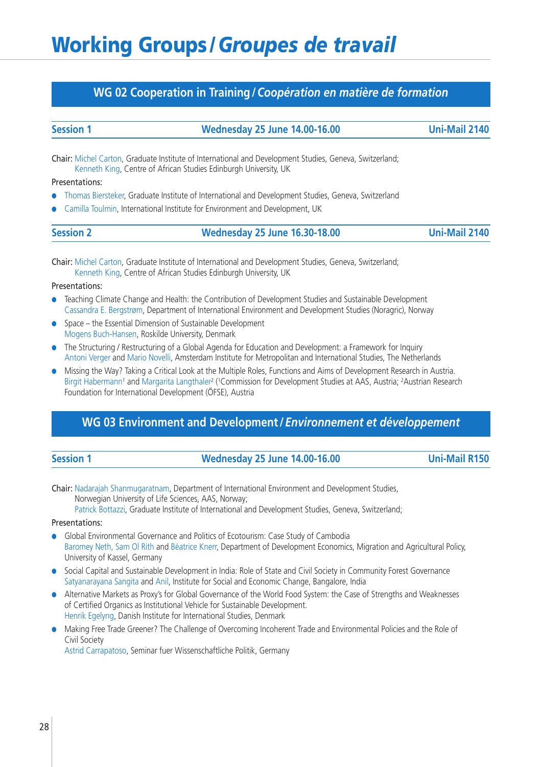## **WG 02 Cooperation in Training /***Coopération en matière de formation*

| <b>Session 1</b> |  |
|------------------|--|
|                  |  |

**Session 1 Wednesday 25 June 14.00-16.00 Uni-Mail 2140**

Chair: Michel Carton, Graduate Institute of International and Development Studies, Geneva, Switzerland; Kenneth King, Centre of African Studies Edinburgh University, UK

### Presentations:

- **●** Thomas Biersteker, Graduate Institute of International and Development Studies, Geneva, Switzerland
- **●** Camilla Toulmin, International Institute for Environment and Development, UK

| <b>Session 2</b> | <b>Wednesday 25 June 16.30-18.00</b> | <b>Uni-Mail 2140</b> |
|------------------|--------------------------------------|----------------------|
|------------------|--------------------------------------|----------------------|

Chair: Michel Carton, Graduate Institute of International and Development Studies, Geneva, Switzerland; Kenneth King, Centre of African Studies Edinburgh University, UK

Presentations:

- **●** Teaching Climate Change and Health: the Contribution of Development Studies and Sustainable Development Cassandra E. Bergstrøm, Department of International Environment and Development Studies (Noragric), Norway
- **●** Space the Essential Dimension of Sustainable Development Mogens Buch-Hansen, Roskilde University, Denmark
- **●** The Structuring / Restructuring of a Global Agenda for Education and Development: a Framework for Inquiry Antoni Verger and Mario Novelli, Amsterdam Institute for Metropolitan and International Studies, The Netherlands
- **●** Missing the Way? Taking a Critical Look at the Multiple Roles, Functions and Aims of Development Research in Austria. Birgit Habermann<sup>1</sup> and Margarita Langthaler<sup>2</sup> (<sup>1</sup>Commission for Development Studies at AAS, Austria; <sup>2</sup>Austrian Research Foundation for International Development (ÖFSE), Austria

## **WG 03 Environment and Development /***Environnement et développement*

| <b>Session 1</b> |  |
|------------------|--|
|                  |  |

## **Session 1 Wednesday 25 June 14.00-16.00 Uni-Mail R150**

Chair: Nadarajah Shanmugaratnam, Department of International Environment and Development Studies, Norwegian University of Life Sciences, AAS, Norway;

Patrick Bottazzi, Graduate Institute of International and Development Studies, Geneva, Switzerland;

### Presentations:

- **●** Global Environmental Governance and Politics of Ecotourism: Case Study of Cambodia Baromey Neth, Sam Ol Rith and Béatrice Knerr, Department of Development Economics, Migration and Agricultural Policy, University of Kassel, Germany
- **●** Social Capital and Sustainable Development in India: Role of State and Civil Society in Community Forest Governance Satyanarayana Sangita and Anil, Institute for Social and Economic Change, Bangalore, India
- **●** Alternative Markets as Proxy's for Global Governance of the World Food System: the Case of Strengths and Weaknesses of Certified Organics as Institutional Vehicle for Sustainable Development. Henrik Egelyng, Danish Institute for International Studies, Denmark
- **●** Making Free Trade Greener? The Challenge of Overcoming Incoherent Trade and Environmental Policies and the Role of Civil Society

Astrid Carrapatoso, Seminar fuer Wissenschaftliche Politik, Germany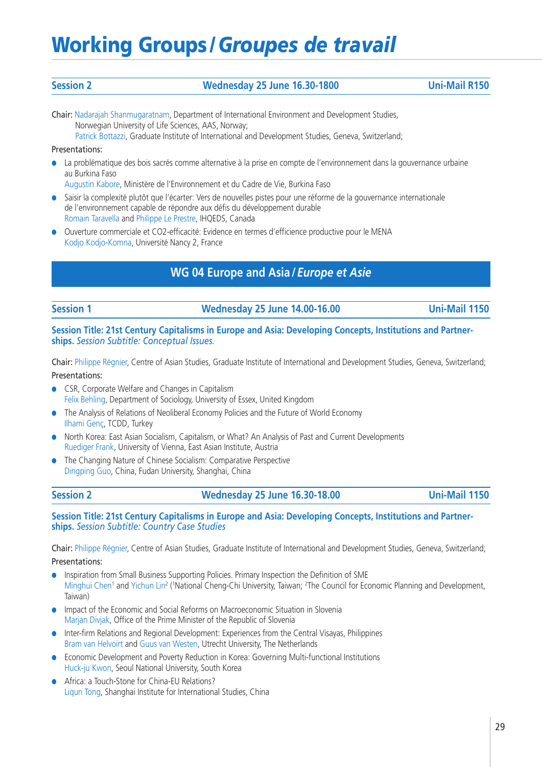### **Session 2 Wednesday 25 June 16.30-1800 Uni-Mail R150**

Chair: Nadarajah Shanmugaratnam, Department of International Environment and Development Studies, Norwegian University of Life Sciences, AAS, Norway; Patrick Bottazzi, Graduate Institute of International and Development Studies, Geneva, Switzerland;

### Presentations:

**●** La problématique des bois sacrés comme alternative à la prise en compte de l'environnement dans la gouvernance urbaine au Burkina Faso

Augustin Kabore, Ministère de l'Environnement et du Cadre de Vie, Burkina Faso

- **●** Saisir la complexité plutôt que l'écarter: Vers de nouvelles pistes pour une réforme de la gouvernance internationale de l'environnement capable de répondre aux défis du développement durable Romain Taravella and Philippe Le Prestre, IHQEDS, Canada
- **●** Ouverture commerciale et CO2-efficacité: Evidence en termes d'efficience productive pour le MENA Kodjo Kodjo-Komna, Université Nancy 2, France

## **WG 04 Europe and Asia /***Europe et Asie*

### **Session 1 Wednesday 25 June 14.00-16.00 Uni-Mail 1150**

### **Session Title: 21st Century Capitalisms in Europe and Asia: Developing Concepts, Institutions and Partnerships.** *Session Subtitle: Conceptual Issues.*

Chair: Philippe Régnier, Centre of Asian Studies, Graduate Institute of International and Development Studies, Geneva, Switzerland; Presentations:

- **●** CSR, Corporate Welfare and Changes in Capitalism Felix Behling, Department of Sociology, University of Essex, United Kingdom
- **●** The Analysis of Relations of Neoliberal Economy Policies and the Future of World Economy Ilhami Genç, TCDD, Turkey
- **●** North Korea: East Asian Socialism, Capitalism, or What? An Analysis of Past and Current Developments Ruediger Frank, University of Vienna, East Asian Institute, Austria
- **●** The Changing Nature of Chinese Socialism: Comparative Perspective Dingping Guo, China, Fudan University, Shanghai, China

| ssion |  |
|-------|--|
|       |  |

### **Session 2 Wednesday 25 June 16.30-18.00 Uni-Mail 1150**

**Session Title: 21st Century Capitalisms in Europe and Asia: Developing Concepts, Institutions and Partnerships.** *Session Subtitle: Country Case Studies*

Chair: Philippe Régnier, Centre of Asian Studies, Graduate Institute of International and Development Studies, Geneva, Switzerland; Presentations:

- **●** Inspiration from Small Business Supporting Policies. Primary Inspection the Definition of SME Minghui Chen<sup>1</sup> and Yichun Lin<sup>2</sup> ('National Cheng-Chi University, Taiwan; <sup>2</sup>The Council for Economic Planning and Development, Taiwan)
- **●** Impact of the Economic and Social Reforms on Macroeconomic Situation in Slovenia Marjan Divjak, Office of the Prime Minister of the Republic of Slovenia
- **●** Inter-firm Relations and Regional Development: Experiences from the Central Visayas, Philippines Bram van Helvoirt and Guus van Westen, Utrecht University, The Netherlands
- **●** Economic Development and Poverty Reduction in Korea: Governing Multi-functional Institutions Huck-ju Kwon, Seoul National University, South Korea
- **●** Africa: a Touch-Stone for China-EU Relations? Liqun Tong, Shanghai Institute for International Studies, China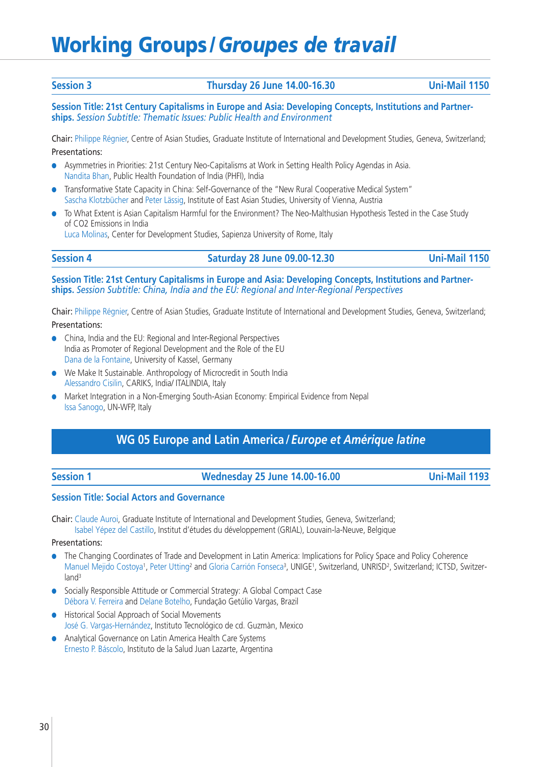### **Session 3 Thursday 26 June 14.00-16.30 Uni-Mail 1150**

**Session Title: 21st Century Capitalisms in Europe and Asia: Developing Concepts, Institutions and Partnerships.** *Session Subtitle: Thematic Issues: Public Health and Environment*

Chair: Philippe Régnier, Centre of Asian Studies, Graduate Institute of International and Development Studies, Geneva, Switzerland; Presentations:

- **●** Asymmetries in Priorities: 21st Century Neo-Capitalisms at Work in Setting Health Policy Agendas in Asia. Nandita Bhan, Public Health Foundation of India (PHFI), India
- Transformative State Capacity in China: Self-Governance of the "New Rural Cooperative Medical System" Sascha Klotzbücher and Peter Lässig, Institute of East Asian Studies, University of Vienna, Austria
- **●** To What Extent is Asian Capitalism Harmful for the Environment? The Neo-Malthusian Hypothesis Tested in the Case Study of CO2 Emissions in India

Luca Molinas, Center for Development Studies, Sapienza University of Rome, Italy

### **Session 4 Saturday 28 June 09.00-12.30 Uni-Mail 1150**

**Session Title: 21st Century Capitalisms in Europe and Asia: Developing Concepts, Institutions and Partnerships.** *Session Subtitle: China, India and the EU: Regional and Inter-Regional Perspectives*

Chair: Philippe Régnier, Centre of Asian Studies, Graduate Institute of International and Development Studies, Geneva, Switzerland; Presentations:

- **●** China, India and the EU: Regional and Inter-Regional Perspectives India as Promoter of Regional Development and the Role of the EU Dana de la Fontaine, University of Kassel, Germany
- **●** We Make It Sustainable. Anthropology of Microcredit in South India Alessandro Cisilin, CARIKS, India/ ITALINDIA, Italy
- **●** Market Integration in a Non-Emerging South-Asian Economy: Empirical Evidence from Nepal Issa Sanogo, UN-WFP, Italy

## **WG 05 Europe and Latin America /***Europe et Amérique latine*

| <b>Session</b> |  |  |
|----------------|--|--|
|                |  |  |

### **Session 1 Wednesday 25 June 14.00-16.00 Uni-Mail 1193**

### **Session Title: Social Actors and Governance**

Chair: Claude Auroi, Graduate Institute of International and Development Studies, Geneva, Switzerland; Isabel Yépez del Castillo, Institut d'études du développement (GRIAL), Louvain-la-Neuve, Belgique

- **●** The Changing Coordinates of Trade and Development in Latin America: Implications for Policy Space and Policy Coherence Manuel Mejido Costoya<sup>1</sup>, Peter Utting<sup>2</sup> and Gloria Carrión Fonseca<sup>3</sup>, UNIGE<sup>1</sup>, Switzerland, UNRISD<sup>2</sup>, Switzerland; ICTSD, Switzerland<sup>3</sup>
- **●** Socially Responsible Attitude or Commercial Strategy: A Global Compact Case Débora V. Ferreira and Delane Botelho, Fundação Getúlio Vargas, Brazil
- **●** Historical Social Approach of Social Movements José G. Vargas-Hernández, Instituto Tecnológico de cd. Guzmàn, Mexico
- **●** Analytical Governance on Latin America Health Care Systems Ernesto P. Báscolo, Instituto de la Salud Juan Lazarte, Argentina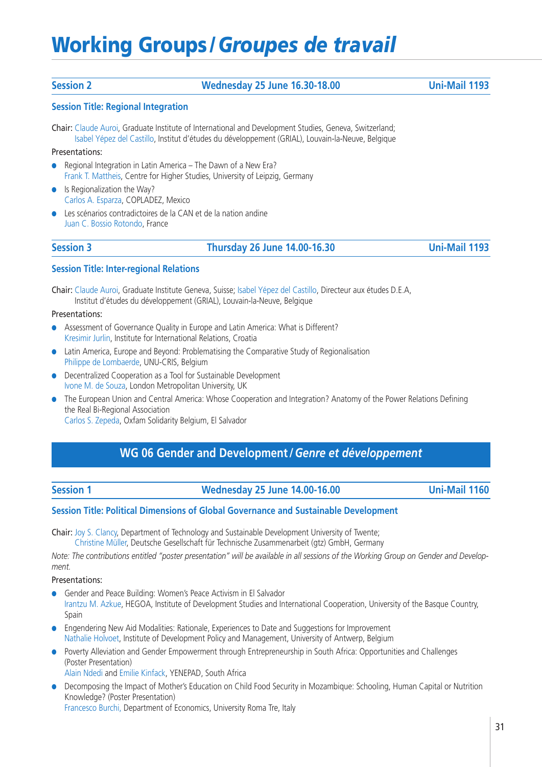### **Session 2 Wednesday 25 June 16.30-18.00 Uni-Mail 1193**

### **Session Title: Regional Integration**

Chair: Claude Auroi, Graduate Institute of International and Development Studies, Geneva, Switzerland; Isabel Yépez del Castillo, Institut d'études du développement (GRIAL), Louvain-la-Neuve, Belgique

### Presentations:

- **●** Regional Integration in Latin America The Dawn of a New Era? Frank T. Mattheis, Centre for Higher Studies, University of Leipzig, Germany
- **Is Regionalization the Way?** Carlos A. Esparza, COPLADEZ, Mexico
- **●** Les scénarios contradictoires de la CAN et de la nation andine Juan C. Bossio Rotondo, France

**Session 3 Thursday 26 June 14.00-16.30 Uni-Mail 1193**

### **Session Title: Inter-regional Relations**

Chair: Claude Auroi, Graduate Institute Geneva, Suisse; Isabel Yépez del Castillo, Directeur aux études D.E.A, Institut d'études du développement (GRIAL), Louvain-la-Neuve, Belgique

### Presentations:

- **●** Assessment of Governance Quality in Europe and Latin America: What is Different? Kresimir Jurlin, Institute for International Relations, Croatia
- **●** Latin America, Europe and Beyond: Problematising the Comparative Study of Regionalisation Philippe de Lombaerde, UNU-CRIS, Belgium
- **●** Decentralized Cooperation as a Tool for Sustainable Development Ivone M. de Souza, London Metropolitan University, UK
- **●** The European Union and Central America: Whose Cooperation and Integration? Anatomy of the Power Relations Defining the Real Bi-Regional Association Carlos S. Zepeda, Oxfam Solidarity Belgium, El Salvador

## **WG 06 Gender and Development /***Genre et développement*

### **Session 1 Wednesday 25 June 14.00-16.00 Uni-Mail 1160**

### **Session Title: Political Dimensions of Global Governance and Sustainable Development**

Chair: Joy S. Clancy, Department of Technology and Sustainable Development University of Twente;

Christine Müller, Deutsche Gesellschaft für Technische Zusammenarbeit (gtz) GmbH, Germany

*Note: The contributions entitled "poster presentation" will be available in all sessions of the Working Group on Gender and Development.*

Presentations:

- Gender and Peace Building: Women's Peace Activism in El Salvador
- Irantzu M. Azkue, HEGOA, Institute of Development Studies and International Cooperation, University of the Basque Country, Spain
- **●** Engendering New Aid Modalities: Rationale, Experiences to Date and Suggestions for Improvement Nathalie Holvoet, Institute of Development Policy and Management, University of Antwerp, Belgium
- **●** Poverty Alleviation and Gender Empowerment through Entrepreneurship in South Africa: Opportunities and Challenges (Poster Presentation)
	- Alain Ndedi and Emilie Kinfack, YENEPAD, South Africa
- **●** Decomposing the Impact of Mother's Education on Child Food Security in Mozambique: Schooling, Human Capital or Nutrition Knowledge? (Poster Presentation)

Francesco Burchi, Department of Economics, University Roma Tre, Italy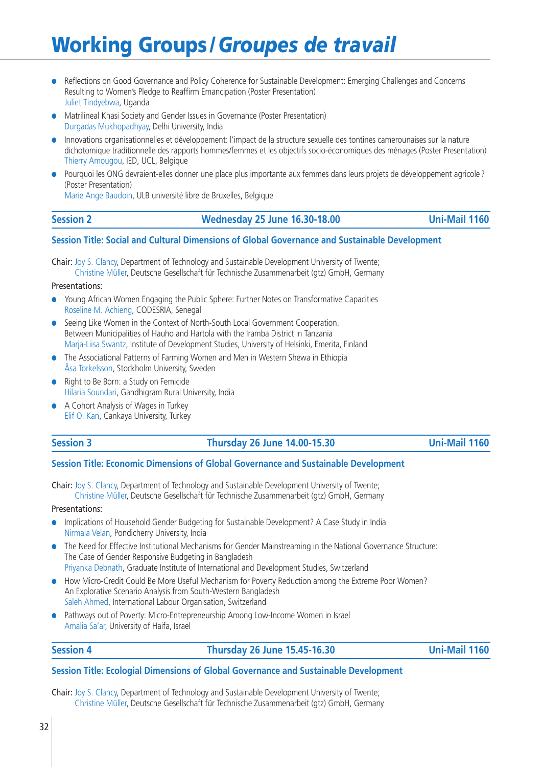- **●** Reflections on Good Governance and Policy Coherence for Sustainable Development: Emerging Challenges and Concerns Resulting to Women's Pledge to Reaffirm Emancipation (Poster Presentation) Juliet Tindyebwa, Uganda
- **●** Matrilineal Khasi Society and Gender Issues in Governance (Poster Presentation) Durgadas Mukhopadhyay, Delhi University, India
- **●** Innovations organisationnelles et développement: l'impact de la structure sexuelle des tontines camerounaises sur la nature dichotomique traditionnelle des rapports hommes/femmes et les objectifs socio-économiques des ménages (Poster Presentation) Thierry Amougou, IED, UCL, Belgique
- **●** Pourquoi les ONG devraient-elles donner une place plus importante aux femmes dans leurs projets de développement agricole ? (Poster Presentation)

Marie Ange Baudoin, ULB université libre de Bruxelles, Belgique

### **Session 2 Wednesday 25 June 16.30-18.00 Uni-Mail 1160**

### **Session Title: Social and Cultural Dimensions of Global Governance and Sustainable Development**

Chair: Joy S. Clancy, Department of Technology and Sustainable Development University of Twente; Christine Müller, Deutsche Gesellschaft für Technische Zusammenarbeit (gtz) GmbH, Germany

### Presentations:

- **●** Young African Women Engaging the Public Sphere: Further Notes on Transformative Capacities Roseline M. Achieng, CODESRIA, Senegal
- **●** Seeing Like Women in the Context of North-South Local Government Cooperation. Between Municipalities of Hauho and Hartola with the Iramba District in Tanzania Marja-Liisa Swantz, Institute of Development Studies, University of Helsinki, Emerita, Finland
- **●** The Associational Patterns of Farming Women and Men in Western Shewa in Ethiopia Åsa Torkelsson, Stockholm University, Sweden
- **●** Right to Be Born: a Study on Femicide Hilaria Soundari, Gandhigram Rural University, India
- **●** A Cohort Analysis of Wages in Turkey Elif O. Kan, Cankaya University, Turkey

### **Session 3 Thursday 26 June 14.00-15.30 Uni-Mail 1160**

### **Session Title: Economic Dimensions of Global Governance and Sustainable Development**

Chair: Joy S. Clancy, Department of Technology and Sustainable Development University of Twente;

Christine Müller, Deutsche Gesellschaft für Technische Zusammenarbeit (gtz) GmbH, Germany

### Presentations:

- **●** Implications of Household Gender Budgeting for Sustainable Development? A Case Study in India Nirmala Velan, Pondicherry University, India
- **●** The Need for Effective Institutional Mechanisms for Gender Mainstreaming in the National Governance Structure: The Case of Gender Responsive Budgeting in Bangladesh Priyanka Debnath, Graduate Institute of International and Development Studies, Switzerland
- How Micro-Credit Could Be More Useful Mechanism for Poverty Reduction among the Extreme Poor Women? An Explorative Scenario Analysis from South-Western Bangladesh Saleh Ahmed, International Labour Organisation, Switzerland
- **●** Pathways out of Poverty: Micro-Entrepreneurship Among Low-Income Women in Israel Amalia Sa'ar, University of Haifa, Israel

### **Session 4 Thursday 26 June 15.45-16.30 Uni-Mail 1160**

### **Session Title: Ecologial Dimensions of Global Governance and Sustainable Development**

Chair: Joy S. Clancy, Department of Technology and Sustainable Development University of Twente; Christine Müller, Deutsche Gesellschaft für Technische Zusammenarbeit (gtz) GmbH, Germany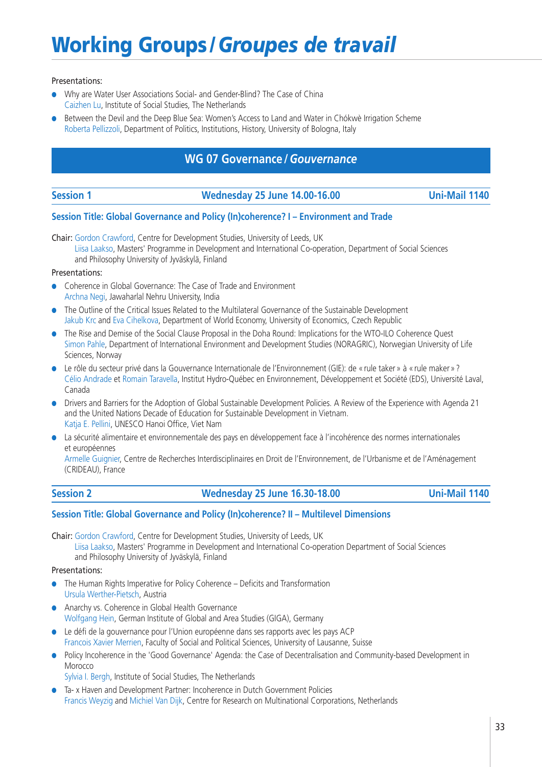### Presentations:

- **●** Why are Water User Associations Social- and Gender-Blind? The Case of China Caizhen Lu, Institute of Social Studies, The Netherlands
- Between the Devil and the Deep Blue Sea: Women's Access to Land and Water in Chókwè Irrigation Scheme Roberta Pellizzoli, Department of Politics, Institutions, History, University of Bologna, Italy

## **WG 07 Governance /***Gouvernance*

### **Session 1 Wednesday 25 June 14.00-16.00 Uni-Mail 1140**

### **Session Title: Global Governance and Policy (In)coherence? I – Environment and Trade**

Chair: Gordon Crawford, Centre for Development Studies, University of Leeds, UK Liisa Laakso, Masters' Programme in Development and International Co-operation, Department of Social Sciences and Philosophy University of Jyväskylä, Finland

### Presentations:

- **●** Coherence in Global Governance: The Case of Trade and Environment Archna Negi, Jawaharlal Nehru University, India
- **●** The Outline of the Critical Issues Related to the Multilateral Governance of the Sustainable Development Jakub Krc and Eva Cihelkova, Department of World Economy, University of Economics, Czech Republic
- **●** The Rise and Demise of the Social Clause Proposal in the Doha Round: Implications for the WTO-ILO Coherence Quest Simon Pahle, Department of International Environment and Development Studies (NORAGRIC), Norwegian University of Life Sciences, Norway
- **●** Le rôle du secteur privé dans la Gouvernance Internationale de l'Environnement (GIE): de « rule taker » à « rule maker » ? Célio Andrade et Romain Taravella, Institut Hydro-Québec en Environnement, Développement et Société (EDS), Université Laval, Canada
- **●** Drivers and Barriers for the Adoption of Global Sustainable Development Policies. A Review of the Experience with Agenda 21 and the United Nations Decade of Education for Sustainable Development in Vietnam. Katja E. Pellini, UNESCO Hanoi Office, Viet Nam
- **●** La sécurité alimentaire et environnementale des pays en développement face à l'incohérence des normes internationales et européennes

Armelle Guignier, Centre de Recherches Interdisciplinaires en Droit de l'Environnement, de l'Urbanisme et de l'Aménagement (CRIDEAU), France

### **Session 2 Wednesday 25 June 16.30-18.00 Uni-Mail 1140**

### **Session Title: Global Governance and Policy (In)coherence? II – Multilevel Dimensions**

Chair: Gordon Crawford, Centre for Development Studies, University of Leeds, UK Liisa Laakso, Masters' Programme in Development and International Co-operation Department of Social Sciences and Philosophy University of Jyväskylä, Finland

- **●** The Human Rights Imperative for Policy Coherence Deficits and Transformation Ursula Werther-Pietsch, Austria
- **●** Anarchy vs. Coherence in Global Health Governance Wolfgang Hein, German Institute of Global and Area Studies (GIGA), Germany
- **●** Le défi de la gouvernance pour l'Union européenne dans ses rapports avec les pays ACP Francois Xavier Merrien, Faculty of Social and Political Sciences, University of Lausanne, Suisse
- Policy Incoherence in the 'Good Governance' Agenda: the Case of Decentralisation and Community-based Development in Morocco
	- Sylvia I. Bergh, Institute of Social Studies, The Netherlands
- **●** Ta- x Haven and Development Partner: Incoherence in Dutch Government Policies Francis Weyzig and Michiel Van Dijk, Centre for Research on Multinational Corporations, Netherlands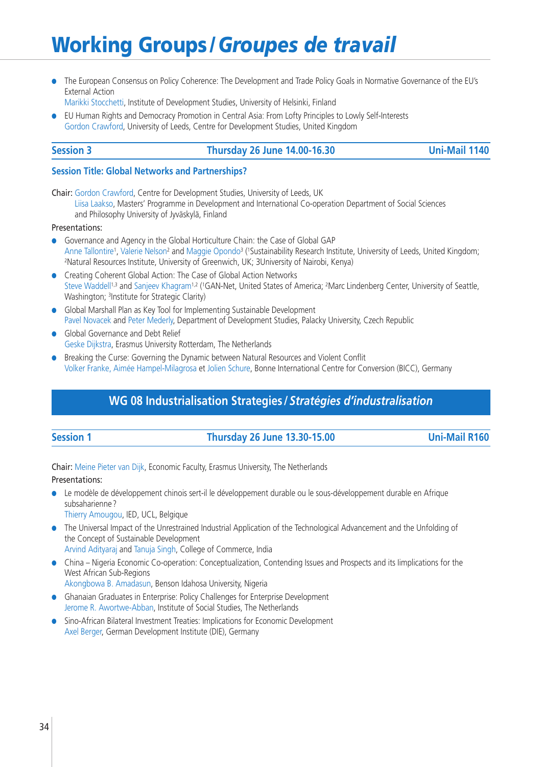**●** The European Consensus on Policy Coherence: The Development and Trade Policy Goals in Normative Governance of the EU's External Action

Marikki Stocchetti, Institute of Development Studies, University of Helsinki, Finland

**●** EU Human Rights and Democracy Promotion in Central Asia: From Lofty Principles to Lowly Self-Interests Gordon Crawford, University of Leeds, Centre for Development Studies, United Kingdom

### **Session 3 Thursday 26 June 14.00-16.30 Uni-Mail 1140**

### **Session Title: Global Networks and Partnerships?**

Chair: Gordon Crawford, Centre for Development Studies, University of Leeds, UK Liisa Laakso, Masters' Programme in Development and International Co-operation Department of Social Sciences and Philosophy University of Jyväskylä, Finland

### Presentations:

- **●** Governance and Agency in the Global Horticulture Chain: the Case of Global GAP Anne Tallontire<sup>1</sup>, Valerie Nelson<sup>2</sup> and Maggie Opondo<sup>3</sup> ('Sustainability Research Institute, University of Leeds, United Kingdom; 2Natural Resources Institute, University of Greenwich, UK; 3University of Nairobi, Kenya)
- **●** Creating Coherent Global Action: The Case of Global Action Networks Steve Waddell<sup>1,3</sup> and Sanjeev Khagram<sup>1,2</sup> (<sup>1</sup>GAN-Net, United States of America; <sup>2</sup>Marc Lindenberg Center, University of Seattle, Washington; 3Institute for Strategic Clarity)
- **●** Global Marshall Plan as Key Tool for Implementing Sustainable Development Pavel Novacek and Peter Mederly, Department of Development Studies, Palacky University, Czech Republic
- **●** Global Governance and Debt Relief Geske Dijkstra, Erasmus University Rotterdam, The Netherlands
- **●** Breaking the Curse: Governing the Dynamic between Natural Resources and Violent Conflit Volker Franke, Aimée Hampel-Milagrosa et Jolien Schure, Bonne International Centre for Conversion (BICC), Germany

## **WG 08 Industrialisation Strategies /***Stratégies d'industralisation*

### **Session 1 Thursday 26 June 13.30-15.00 Uni-Mail R160**

Chair: Meine Pieter van Dijk, Economic Faculty, Erasmus University, The Netherlands Presentations:

**●** Le modèle de développement chinois sert-il le développement durable ou le sous-développement durable en Afrique subsaharienne ?

Thierry Amougou, IED, UCL, Belgique

- **●** The Universal Impact of the Unrestrained Industrial Application of the Technological Advancement and the Unfolding of the Concept of Sustainable Development Arvind Adityaraj and Tanuja Singh, College of Commerce, India
- **●** China Nigeria Economic Co-operation: Conceptualization, Contending Issues and Prospects and its Iimplications for the West African Sub-Regions
	- Akongbowa B. Amadasun, Benson Idahosa University, Nigeria
- **●** Ghanaian Graduates in Enterprise: Policy Challenges for Enterprise Development Jerome R. Awortwe-Abban, Institute of Social Studies, The Netherlands
- **●** Sino-African Bilateral Investment Treaties: Implications for Economic Development Axel Berger, German Development Institute (DIE), Germany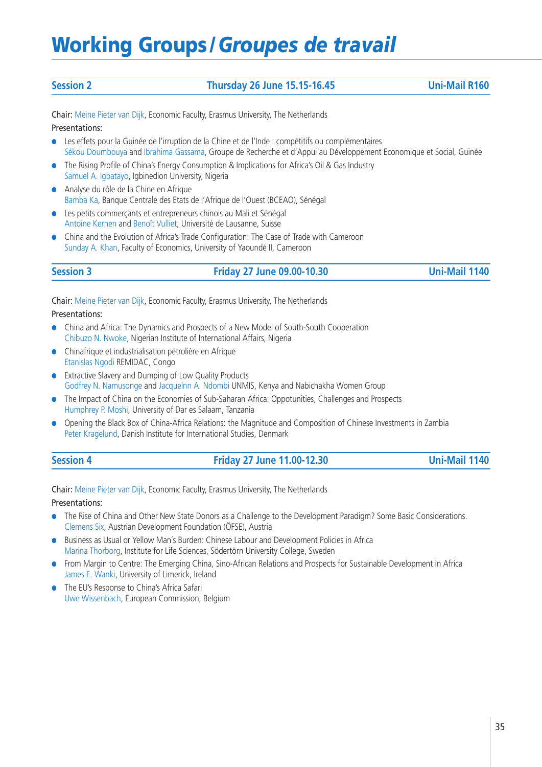### **Session 2 Thursday 26 June 15.15-16.45 Uni-Mail R160**

Chair: Meine Pieter van Dijk, Economic Faculty, Erasmus University, The Netherlands Presentations:

- **●** Les effets pour la Guinée de l'irruption de la Chine et de l'Inde : compétitifs ou complémentaires Sékou Doumbouya and Ibrahima Gassama, Groupe de Recherche et d'Appui au Développement Economique et Social, Guinée
- **●** The Rising Profile of China's Energy Consumption & Implications for Africa's Oil & Gas Industry Samuel A. Igbatayo, Igbinedion University, Nigeria
- **●** Analyse du rôle de la Chine en Afrique Bamba Ka, Banque Centrale des Etats de l'Afrique de l'Ouest (BCEAO), Sénégal
- **●** Les petits commerçants et entrepreneurs chinois au Mali et Sénégal Antoine Kernen and Benoît Vulliet, Université de Lausanne, Suisse
- **●** China and the Evolution of Africa's Trade Configuration: The Case of Trade with Cameroon Sunday A. Khan, Faculty of Economics, University of Yaoundé II, Cameroon

### **Session 3 Friday 27 June 09.00-10.30 Uni-Mail 1140**

Chair: Meine Pieter van Dijk, Economic Faculty, Erasmus University, The Netherlands

Presentations:

- **●** China and Africa: The Dynamics and Prospects of a New Model of South-South Cooperation Chibuzo N. Nwoke, Nigerian Institute of International Affairs, Nigeria
- **●** Chinafrique et industrialisation pétrolière en Afrique Etanislas Ngodi REMIDAC, Congo
- **●** Extractive Slavery and Dumping of Low Quality Products Godfrey N. Namusonge and Jacquelnn A. Ndombi UNMIS, Kenya and Nabichakha Women Group
- **●** The Impact of China on the Economies of Sub-Saharan Africa: Oppotunities, Challenges and Prospects Humphrey P. Moshi, University of Dar es Salaam, Tanzania
- **●** Opening the Black Box of China-Africa Relations: the Magnitude and Composition of Chinese Investments in Zambia Peter Kragelund, Danish Institute for International Studies, Denmark
- **Session 4 Friday 27 June 11.00-12.30 Uni-Mail 1140**

Chair: Meine Pieter van Dijk, Economic Faculty, Erasmus University, The Netherlands

- **●** The Rise of China and Other New State Donors as a Challenge to the Development Paradigm? Some Basic Considerations. Clemens Six, Austrian Development Foundation (ÖFSE), Austria
- **●** Business as Usual or Yellow Man´s Burden: Chinese Labour and Development Policies in Africa Marina Thorborg, Institute for Life Sciences, Södertörn University College, Sweden
- **●** From Margin to Centre: The Emerging China, Sino-African Relations and Prospects for Sustainable Development in Africa James E. Wanki, University of Limerick, Ireland
- **●** The EU's Response to China's Africa Safari Uwe Wissenbach, European Commission, Belgium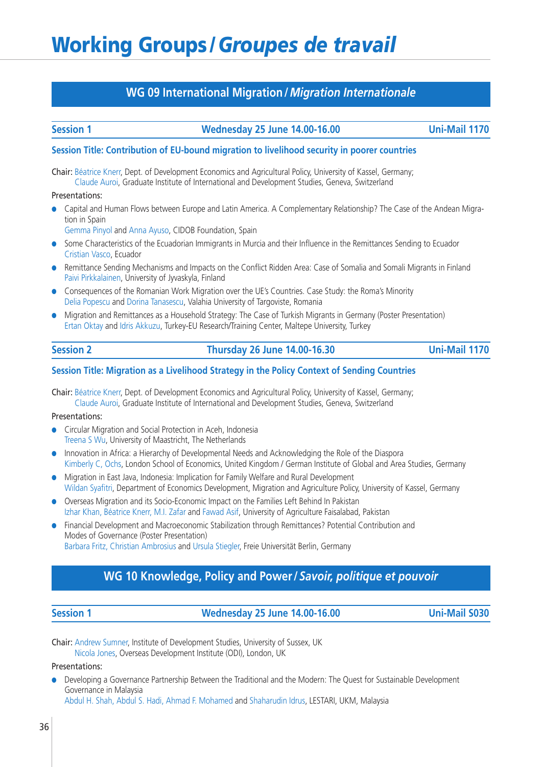## **WG 09 International Migration /***Migration Internationale*

### **Session 1 Wednesday 25 June 14.00-16.00 Uni-Mail 1170**

### **Session Title: Contribution of EU-bound migration to livelihood security in poorer countries**

Chair: Béatrice Knerr, Dept. of Development Economics and Agricultural Policy, University of Kassel, Germany; Claude Auroi, Graduate Institute of International and Development Studies, Geneva, Switzerland

### Presentations:

- **●** Capital and Human Flows between Europe and Latin America. A Complementary Relationship? The Case of the Andean Migration in Spain
	- Gemma Pinyol and Anna Ayuso, CIDOB Foundation, Spain
- **●** Some Characteristics of the Ecuadorian Immigrants in Murcia and their Influence in the Remittances Sending to Ecuador Cristian Vasco, Ecuador
- **●** Remittance Sending Mechanisms and Impacts on the Conflict Ridden Area: Case of Somalia and Somali Migrants in Finland Paivi Pirkkalainen, University of Jyvaskyla, Finland
- **●** Consequences of the Romanian Work Migration over the UE's Countries. Case Study: the Roma's Minority Delia Popescu and Dorina Tanasescu, Valahia University of Targoviste, Romania
- **●** Migration and Remittances as a Household Strategy: The Case of Turkish Migrants in Germany (Poster Presentation) Ertan Oktay and Idris Akkuzu, Turkey-EU Research/Training Center, Maltepe University, Turkey

| <b>ssion</b> |  |
|--------------|--|

### **Session 2 Thursday 26 June 14.00-16.30 Uni-Mail 1170**

### **Session Title: Migration as a Livelihood Strategy in the Policy Context of Sending Countries**

Chair: Béatrice Knerr, Dept. of Development Economics and Agricultural Policy, University of Kassel, Germany; Claude Auroi, Graduate Institute of International and Development Studies, Geneva, Switzerland

### Presentations:

- **●** Circular Migration and Social Protection in Aceh, Indonesia Treena S Wu, University of Maastricht, The Netherlands
- **●** Innovation in Africa: a Hierarchy of Developmental Needs and Acknowledging the Role of the Diaspora Kimberly C, Ochs, London School of Economics, United Kingdom / German Institute of Global and Area Studies, Germany
- **●** Migration in East Java, Indonesia: Implication for Family Welfare and Rural Development Wildan Syafitri, Department of Economics Development, Migration and Agriculture Policy, University of Kassel, Germany
- **●** Overseas Migration and its Socio-Economic Impact on the Families Left Behind In Pakistan Izhar Khan, Béatrice Knerr, M.I. Zafar and Fawad Asif, University of Agriculture Faisalabad, Pakistan
- **●** Financial Development and Macroeconomic Stabilization through Remittances? Potential Contribution and Modes of Governance (Poster Presentation) Barbara Fritz, Christian Ambrosius and Ursula Stiegler, Freie Universität Berlin, Germany

## **WG 10 Knowledge, Policy and Power /***Savoir, politique et pouvoir*

**Session 1 Wednesday 25 June 14.00-16.00 Uni-Mail S030**

Chair: Andrew Sumner, Institute of Development Studies, University of Sussex, UK Nicola Jones, Overseas Development Institute (ODI), London, UK

### Presentations:

**●** Developing a Governance Partnership Between the Traditional and the Modern: The Quest for Sustainable Development Governance in Malaysia

Abdul H. Shah, Abdul S. Hadi, Ahmad F. Mohamed and Shaharudin Idrus, LESTARI, UKM, Malaysia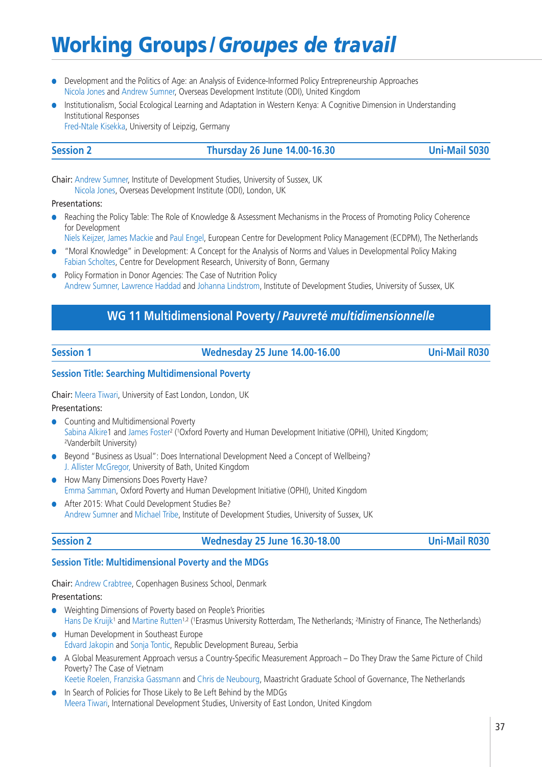- **●** Development and the Politics of Age: an Analysis of Evidence-Informed Policy Entrepreneurship Approaches Nicola Jones and Andrew Sumner, Overseas Development Institute (ODI), United Kingdom
- **●** Institutionalism, Social Ecological Learning and Adaptation in Western Kenya: A Cognitive Dimension in Understanding Institutional Responses Fred-Ntale Kisekka, University of Leipzig, Germany

### **Session 2 Thursday 26 June 14.00-16.30 Uni-Mail S030**

Chair: Andrew Sumner, Institute of Development Studies, University of Sussex, UK Nicola Jones, Overseas Development Institute (ODI), London, UK

Presentations:

- **●** Reaching the Policy Table: The Role of Knowledge & Assessment Mechanisms in the Process of Promoting Policy Coherence for Development
- Niels Keijzer, James Mackie and Paul Engel, European Centre for Development Policy Management (ECDPM), The Netherlands
- **●** "Moral Knowledge" in Development: A Concept for the Analysis of Norms and Values in Developmental Policy Making Fabian Scholtes, Centre for Development Research, University of Bonn, Germany
- **●** Policy Formation in Donor Agencies: The Case of Nutrition Policy Andrew Sumner, Lawrence Haddad and Johanna Lindstrom, Institute of Development Studies, University of Sussex, UK

## **WG 11 Multidimensional Poverty /***Pauvreté multidimensionnelle*

**Session 1 Wednesday 25 June 14.00-16.00 Uni-Mail R030**

### **Session Title: Searching Multidimensional Poverty**

Chair: Meera Tiwari, University of East London, London, UK

Presentations:

- **●** Counting and Multidimensional Poverty Sabina Alkire1 and James Foster<sup>2</sup> ('Oxford Poverty and Human Development Initiative (OPHI), United Kingdom;<br><sup>2</sup>Vanderbilt University)
- **●** Beyond "Business as Usual": Does International Development Need a Concept of Wellbeing? J. Allister McGregor, University of Bath, United Kingdom
- **●** How Many Dimensions Does Poverty Have? Emma Samman, Oxford Poverty and Human Development Initiative (OPHI), United Kingdom
- **●** After 2015: What Could Development Studies Be? Andrew Sumner and Michael Tribe, Institute of Development Studies, University of Sussex, UK

### **Session 2 Wednesday 25 June 16.30-18.00 Uni-Mail R030**

### **Session Title: Multidimensional Poverty and the MDGs**

Chair: Andrew Crabtree, Copenhagen Business School, Denmark

### Presentations:

- **●** Weighting Dimensions of Poverty based on People's Priorities Hans De Kruijk<sup>1</sup> and Martine Rutten<sup>1,2</sup> (<sup>1</sup>Erasmus University Rotterdam, The Netherlands; <sup>2</sup>Ministry of Finance, The Netherlands)
- **●** Human Development in Southeast Europe Edvard Jakopin and Sonja Tontic, Republic Development Bureau, Serbia
- **●** A Global Measurement Approach versus a Country-Specific Measurement Approach Do They Draw the Same Picture of Child Poverty? The Case of Vietnam

Keetie Roelen, Franziska Gassmann and Chris de Neubourg, Maastricht Graduate School of Governance, The Netherlands

**●** In Search of Policies for Those Likely to Be Left Behind by the MDGs Meera Tiwari, International Development Studies, University of East London, United Kingdom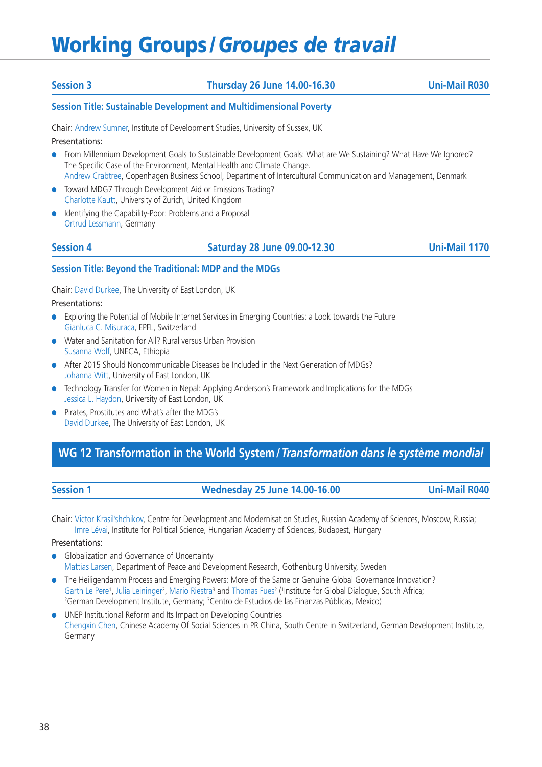### **Session 3 Thursday 26 June 14.00-16.30 Uni-Mail R030**

### **Session Title: Sustainable Development and Multidimensional Poverty**

Chair: Andrew Sumner, Institute of Development Studies, University of Sussex, UK

Presentations:

- **●** From Millennium Development Goals to Sustainable Development Goals: What are We Sustaining? What Have We Ignored? The Specific Case of the Environment, Mental Health and Climate Change. Andrew Crabtree, Copenhagen Business School, Department of Intercultural Communication and Management, Denmark
- **●** Toward MDG7 Through Development Aid or Emissions Trading? Charlotte Kautt, University of Zurich, United Kingdom
- **●** Identifying the Capability-Poor: Problems and a Proposal Ortrud Lessmann, Germany

### **Session 4 Saturday 28 June 09.00-12.30 Uni-Mail 1170**

### **Session Title: Beyond the Traditional: MDP and the MDGs**

Chair: David Durkee, The University of East London, UK

Presentations:

- **●** Exploring the Potential of Mobile Internet Services in Emerging Countries: a Look towards the Future Gianluca C. Misuraca, EPFL, Switzerland
- **●** Water and Sanitation for All? Rural versus Urban Provision Susanna Wolf, UNECA, Ethiopia
- **●** After 2015 Should Noncommunicable Diseases be Included in the Next Generation of MDGs? Johanna Witt, University of East London, UK
- **●** Technology Transfer for Women in Nepal: Applying Anderson's Framework and Implications for the MDGs Jessica L. Haydon, University of East London, UK
- **●** Pirates, Prostitutes and What's after the MDG's David Durkee, The University of East London, UK

## **WG 12 Transformation in the World System/***Transformation dans le système mondial*

### **Session 1 Wednesday 25 June 14.00-16.00 Uni-Mail R040**

Chair: Victor Krasil'shchikov, Centre for Development and Modernisation Studies, Russian Academy of Sciences, Moscow, Russia; Imre Lévai, Institute for Political Science, Hungarian Academy of Sciences, Budapest, Hungary

- **●** Globalization and Governance of Uncertainty Mattias Larsen, Department of Peace and Development Research, Gothenburg University, Sweden
- **●** The Heiligendamm Process and Emerging Powers: More of the Same or Genuine Global Governance Innovation? Garth Le Pere<sup>1</sup>, Julia Leininger<sup>2</sup>, Mario Riestra<sup>3</sup> and Thomas Fues<sup>2</sup> (<sup>1</sup>Institute for Global Dialogue, South Africa; <sup>2</sup>German Development Institute, Germany; <sup>3</sup>Centro de Estudios de las Finanzas Públicas, Mexico)
- **●** UNEP Institutional Reform and Its Impact on Developing Countries Chengxin Chen, Chinese Academy Of Social Sciences in PR China, South Centre in Switzerland, German Development Institute, Germany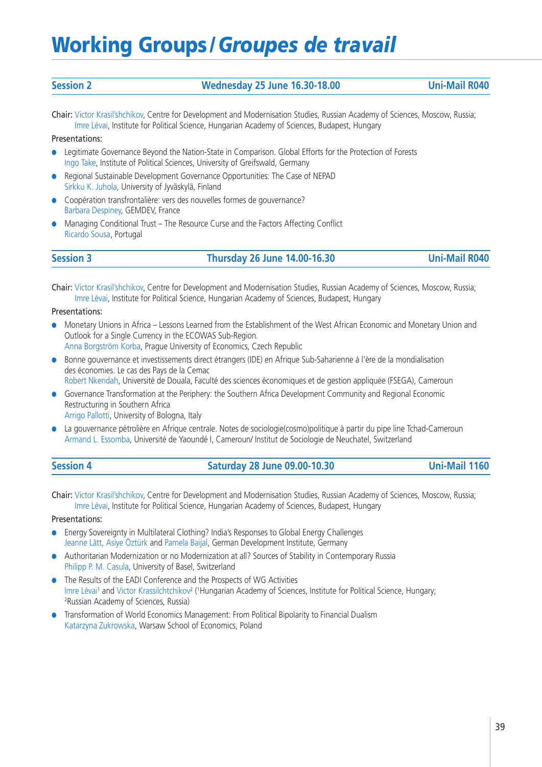| <b>Session 2</b> | <b>Wednesday 25 June 16.30-18.00</b> | <b>Uni-Mail R040</b> |
|------------------|--------------------------------------|----------------------|

Chair: Victor Krasil'shchikov, Centre for Development and Modernisation Studies, Russian Academy of Sciences, Moscow, Russia; Imre Lévai, Institute for Political Science, Hungarian Academy of Sciences, Budapest, Hungary

### Presentations:

- **●** Legitimate Governance Beyond the Nation-State in Comparison. Global Efforts for the Protection of Forests Ingo Take, Institute of Political Sciences, University of Greifswald, Germany
- **●** Regional Sustainable Development Governance Opportunities: The Case of NEPAD Sirkku K. Juhola, University of Jyväskylä, Finland
- **●** Coopération transfrontalière: vers des nouvelles formes de gouvernance? Barbara Despiney, GEMDEV, France
- **●** Managing Conditional Trust The Resource Curse and the Factors Affecting Conflict Ricardo Sousa, Portugal

**Session 3 Thursday 26 June 14.00-16.30 Uni-Mail R040**

Chair: Victor Krasil'shchikov, Centre for Development and Modernisation Studies, Russian Academy of Sciences, Moscow, Russia; Imre Lévai, Institute for Political Science, Hungarian Academy of Sciences, Budapest, Hungary

### Presentations:

**●** Monetary Unions in Africa – Lessons Learned from the Establishment of the West African Economic and Monetary Union and Outlook for a Single Currency in the ECOWAS Sub-Region.

Anna Borgström Korba, Prague University of Economics, Czech Republic

- **●** Bonne gouvernance et investissements direct étrangers (IDE) en Afrique Sub-Saharienne á l'ère de la mondialisation des économies. Le cas des Pays de la Cemac Robert Nkendah, Université de Douala, Faculté des sciences économiques et de gestion appliquée (FSEGA), Cameroun
- **●** Governance Transformation at the Periphery: the Southern Africa Development Community and Regional Economic Restructuring in Southern Africa
- Arrigo Pallotti, University of Bologna, Italy
- **●** La gouvernance pétrolière en Afrique centrale. Notes de sociologie(cosmo)politique à partir du pipe line Tchad-Cameroun Armand L. Essomba, Université de Yaoundé I, Cameroun/ Institut de Sociologie de Neuchatel, Switzerland

| <b>Session 4</b> | <b>Saturday 28 June 09.00-10.30</b> | <b>Uni-Mail 1160</b> |
|------------------|-------------------------------------|----------------------|
|------------------|-------------------------------------|----------------------|

Chair: Victor Krasil'shchikov, Centre for Development and Modernisation Studies, Russian Academy of Sciences, Moscow, Russia; Imre Lévai, Institute for Political Science, Hungarian Academy of Sciences, Budapest, Hungary

- **●** Energy Sovereignty in Multilateral Clothing? India's Responses to Global Energy Challenges Jeanne Lätt, Asiye Öztürk and Pamela Baijal, German Development Institute, Germany
- **●** Authoritarian Modernization or no Modernization at all? Sources of Stability in Contemporary Russia Philipp P. M. Casula, University of Basel, Switzerland
- **●** The Results of the EADI Conference and the Prospects of WG Activities Imre Lévai<sup>1</sup> and Victor Krassilchtchikov<sup>2</sup> ('Hungarian Academy of Sciences, Institute for Political Science, Hungary;<br><sup>2</sup>Russian Academy of Sciences, Russia)
- **●** Transformation of World Economics Management: From Political Bipolarity to Financial Dualism Katarzyna Zukrowska, Warsaw School of Economics, Poland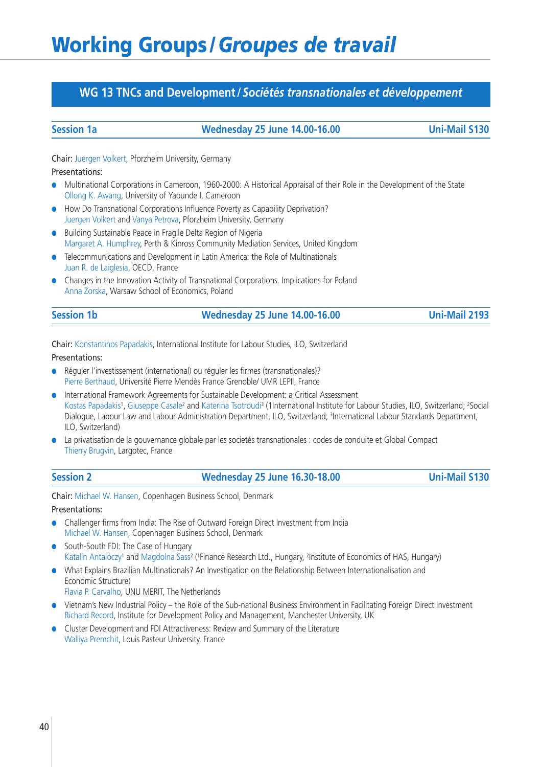## **WG 13 TNCs and Development /***Sociétés transnationales et développement*

### **Session 1a Wednesday 25 June 14.00-16.00 Uni-Mail S130**

Chair: Juergen Volkert, Pforzheim University, Germany

### Presentations:

- **●** Multinational Corporations in Cameroon, 1960-2000: A Historical Appraisal of their Role in the Development of the State Ollong K. Awang, University of Yaounde I, Cameroon
- **●** How Do Transnational Corporations Influence Poverty as Capability Deprivation? Juergen Volkert and Vanya Petrova, Pforzheim University, Germany
- **●** Building Sustainable Peace in Fragile Delta Region of Nigeria Margaret A. Humphrey, Perth & Kinross Community Mediation Services, United Kingdom
- **●** Telecommunications and Development in Latin America: the Role of Multinationals Juan R. de Laiglesia, OECD, France
- **●** Changes in the Innovation Activity of Transnational Corporations. Implications for Poland Anna Zorska, Warsaw School of Economics, Poland

| <b>Session 1b</b> | <b>Wednesday 25 June 14.00-16.00</b> | <b>Uni-Mail 2193</b> |
|-------------------|--------------------------------------|----------------------|
|                   |                                      |                      |

Chair: Konstantinos Papadakis, International Institute for Labour Studies, ILO, Switzerland

Presentations:

- **●** Réguler l'investissement (international) ou réguler les firmes (transnationales)? Pierre Berthaud, Université Pierre Mendès France Grenoble/ UMR LEPII, France
- **●** International Framework Agreements for Sustainable Development: a Critical Assessment Kostas Papadakis<sup>1</sup>, Giuseppe Casale<sup>2</sup> and Katerina Tsotroudi<sup>3</sup> (1International Institute for Labour Studies, ILO, Switzerland; <sup>2</sup>Social Dialogue, Labour Law and Labour Administration Department, ILO, Switzerland; <sup>3</sup>International Labour Standards Department, ILO, Switzerland)
- **●** La privatisation de la gouvernance globale par les societés transnationales : codes de conduite et Global Compact Thierry Brugvin, Largotec, France
- **Session 2 Wednesday 25 June 16.30-18.00 Uni-Mail S130**

Chair: Michael W. Hansen, Copenhagen Business School, Denmark

- **●** Challenger firms from India: The Rise of Outward Foreign Direct Investment from India Michael W. Hansen, Copenhagen Business School, Denmark
- **●** South-South FDI: The Case of Hungary Katalin Antalóczy<sup>1</sup> and Magdolna Sass<sup>2</sup> ('Finance Research Ltd., Hungary, <sup>2</sup>Institute of Economics of HAS, Hungary)
- **●** What Explains Brazilian Multinationals? An Investigation on the Relationship Between Internationalisation and Economic Structure)
	- Flavia P. Carvalho, UNU MERIT, The Netherlands
- **●** Vietnam's New Industrial Policy the Role of the Sub-national Business Environment in Facilitating Foreign Direct Investment Richard Record, Institute for Development Policy and Management, Manchester University, UK
- **●** Cluster Development and FDI Attractiveness: Review and Summary of the Literature Walliya Premchit, Louis Pasteur University, France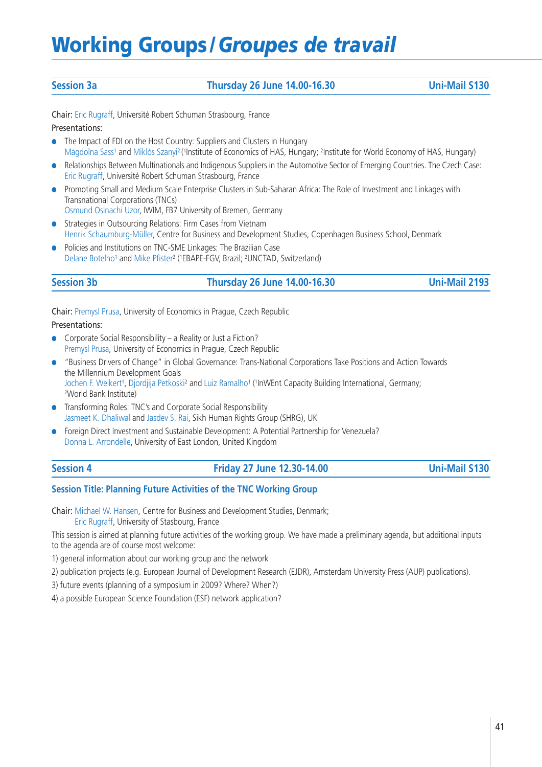### **Session 3a Thursday 26 June 14.00-16.30 Uni-Mail S130**

Chair: Eric Rugraff, Université Robert Schuman Strasbourg, France Presentations:

- **●** The Impact of FDI on the Host Country: Suppliers and Clusters in Hungary Magdolna Sass<sup>1</sup> and Miklós Szanyi<sup>2</sup> ('Institute of Economics of HAS, Hungary; <sup>2</sup>Institute for World Economy of HAS, Hungary)
- **●** Relationships Between Multinationals and Indigenous Suppliers in the Automotive Sector of Emerging Countries. The Czech Case: Eric Rugraff, Université Robert Schuman Strasbourg, France
- **●** Promoting Small and Medium Scale Enterprise Clusters in Sub-Saharan Africa: The Role of Investment and Linkages with Transnational Corporations (TNCs)

Osmund Osinachi Uzor, IWIM, FB7 University of Bremen, Germany

- **●** Strategies in Outsourcing Relations: Firm Cases from Vietnam Henrik Schaumburg-Müller, Centre for Business and Development Studies, Copenhagen Business School, Denmark
- **●** Policies and Institutions on TNC-SME Linkages: The Brazilian Case Delane Botelho<sup>1</sup> and Mike Pfister<sup>2</sup> (<sup>1</sup>EBAPE-FGV, Brazil; <sup>2</sup>UNCTAD, Switzerland)

### **Session 3b Thursday 26 June 14.00-16.30 Uni-Mail 2193**

Chair: Premysl Prusa, University of Economics in Prague, Czech Republic

### Presentations:

- **●** Corporate Social Responsibility a Reality or Just a Fiction? Premysl Prusa, University of Economics in Prague, Czech Republic
- **●** "Business Drivers of Change" in Global Governance: Trans-National Corporations Take Positions and Action Towards the Millennium Development Goals Jochen F. Weikert', Djordjija Petkoski<sup>2</sup> and Luiz Ramalho<sup>1</sup> ('InWEnt Capacity Building International, Germany;<br><sup>2</sup>World Bank Institute)
- **●** Transforming Roles: TNC's and Corporate Social Responsibility Jasmeet K. Dhaliwal and Jasdev S. Rai, Sikh Human Rights Group (SHRG), UK
- **●** Foreign Direct Investment and Sustainable Development: A Potential Partnership for Venezuela? Donna L. Arrondelle, University of East London, United Kingdom

| ssion <b>s</b> |  |
|----------------|--|
|                |  |

### **Session 4 Friday 27 June 12.30-14.00 Uni-Mail S130**

### **Session Title: Planning Future Activities of the TNC Working Group**

Chair: Michael W. Hansen, Centre for Business and Development Studies, Denmark; Eric Rugraff, University of Stasbourg, France

This session is aimed at planning future activities of the working group. We have made a preliminary agenda, but additional inputs to the agenda are of course most welcome:

1) general information about our working group and the network

2) publication projects (e.g. European Journal of Development Research (EJDR), Amsterdam University Press (AUP) publications).

3) future events (planning of a symposium in 2009? Where? When?)

4) a possible European Science Foundation (ESF) network application?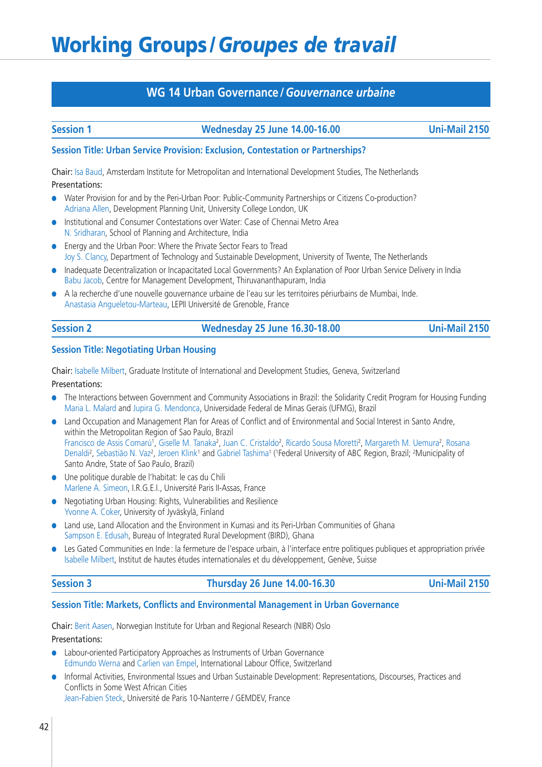## **WG 14 Urban Governance /***Gouvernance urbaine*

### **Session 1 Wednesday 25 June 14.00-16.00 Uni-Mail 2150**

### **Session Title: Urban Service Provision: Exclusion, Contestation or Partnerships?**

Chair: Isa Baud, Amsterdam Institute for Metropolitan and International Development Studies, The Netherlands Presentations:

- **●** Water Provision for and by the Peri-Urban Poor: Public-Community Partnerships or Citizens Co-production? Adriana Allen, Development Planning Unit, University College London, UK
- **●** Institutional and Consumer Contestations over Water: Case of Chennai Metro Area N. Sridharan, School of Planning and Architecture, India
- **●** Energy and the Urban Poor: Where the Private Sector Fears to Tread Joy S. Clancy, Department of Technology and Sustainable Development, University of Twente, The Netherlands
- **●** Inadequate Decentralization or Incapacitated Local Governments? An Explanation of Poor Urban Service Delivery in India Babu Jacob, Centre for Management Development, Thiruvananthapuram, India
- **●** A la recherche d'une nouvelle gouvernance urbaine de l'eau sur les territoires périurbains de Mumbai, Inde. Anastasia Angueletou-Marteau, LEPII Université de Grenoble, France

| 31 | חחו |  |
|----|-----|--|
|    |     |  |

### **Session 2 Wednesday 25 June 16.30-18.00 Uni-Mail 2150**

### **Session Title: Negotiating Urban Housing**

Chair: Isabelle Milbert, Graduate Institute of International and Development Studies, Geneva, Switzerland Presentations:

- **●** The Interactions between Government and Community Associations in Brazil: the Solidarity Credit Program for Housing Funding Maria L. Malard and Jupira G. Mendonca, Universidade Federal de Minas Gerais (UFMG), Brazil
- **●** Land Occupation and Management Plan for Areas of Conflict and of Environmental and Social Interest in Santo Andre, within the Metropolitan Region of Sao Paulo, Brazil Francisco de Assis Comarú<sup>1</sup>, Giselle M. Tanaka<sup>2</sup>, Juan C. Cristaldo<sup>2</sup>, Ricardo Sousa Moretti<sup>2</sup>, Margareth M. Uemura<sup>2</sup>, Rosana Denaldi<sup>2</sup>, Sebastião N. Vaz<sup>2</sup>, Jeroen Klink<sup>1</sup> and Gabriel Tashima<sup>1</sup> (<sup>1</sup>Federal University of ABC Region, Brazil; <sup>2</sup>Municipality of Santo Andre, State of Sao Paulo, Brazil)
- **●** Une politique durable de l'habitat: le cas du Chili Marlene A. Simeon, I.R.G.E.I., Université Paris II-Assas, France
- **●** Negotiating Urban Housing: Rights, Vulnerabilities and Resilience Yvonne A. Coker, University of Jyväskylä, Finland
- **●** Land use, Land Allocation and the Environment in Kumasi and its Peri-Urban Communities of Ghana Sampson E. Edusah, Bureau of Integrated Rural Development (BIRD), Ghana
- **●** Les Gated Communities en Inde : la fermeture de l'espace urbain, à l'interface entre politiques publiques et appropriation privée Isabelle Milbert, Institut de hautes études internationales et du développement, Genève, Suisse

### **Session 3 Thursday 26 June 14.00-16.30 Uni-Mail 2150**

### **Session Title: Markets, Conflicts and Environmental Management in Urban Governance**

Chair: Berit Aasen, Norwegian Institute for Urban and Regional Research (NIBR) Oslo Presentations:

- Labour-oriented Participatory Approaches as Instruments of Urban Governance Edmundo Werna and Carlien van Empel, International Labour Office, Switzerland
- **●** Informal Activities, Environmental Issues and Urban Sustainable Development: Representations, Discourses, Practices and Conflicts in Some West African Cities Jean-Fabien Steck, Université de Paris 10-Nanterre / GEMDEV, France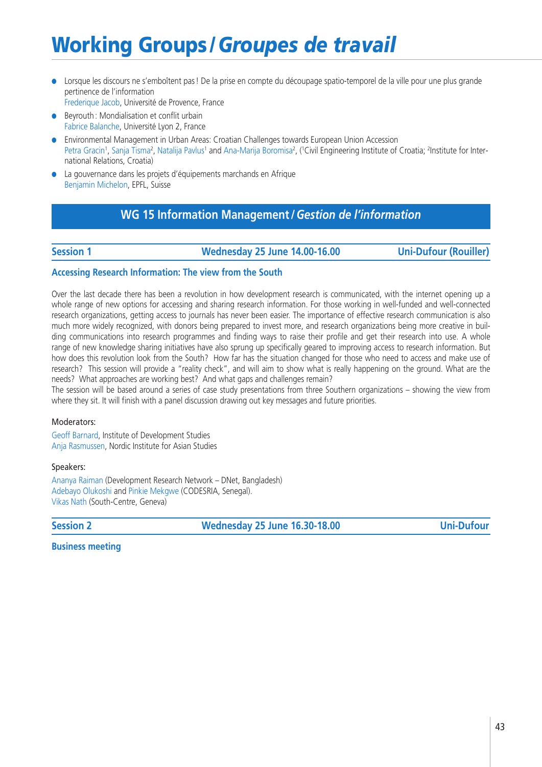**●** Lorsque les discours ne s'emboîtent pas ! De la prise en compte du découpage spatio-temporel de la ville pour une plus grande pertinence de l'information

Frederique Jacob, Université de Provence, France

- Beyrouth : Mondialisation et conflit urbain Fabrice Balanche, Université Lyon 2, France
- **●** Environmental Management in Urban Areas: Croatian Challenges towards European Union Accession Petra Gracin<sup>1</sup>, Sanja Tisma<sup>2</sup>, Natalija Pavlus<sup>1</sup> and Ana-Marija Boromisa<sup>2</sup>, (<sup>1</sup>Civil Engineering Institute of Croatia; <sup>2</sup>Institute for International Relations, Croatia)
- La gouvernance dans les projets d'équipements marchands en Afrique Benjamin Michelon, EPFL, Suisse

## **WG 15 Information Management /***Gestion de l'information*

**Session 1 Wednesday 25 June 14.00-16.00 Uni-Dufour (Rouiller)**

### **Accessing Research Information: The view from the South**

Over the last decade there has been a revolution in how development research is communicated, with the internet opening up a whole range of new options for accessing and sharing research information. For those working in well-funded and well-connected research organizations, getting access to journals has never been easier. The importance of effective research communication is also much more widely recognized, with donors being prepared to invest more, and research organizations being more creative in building communications into research programmes and finding ways to raise their profile and get their research into use. A whole range of new knowledge sharing initiatives have also sprung up specifically geared to improving access to research information. But how does this revolution look from the South? How far has the situation changed for those who need to access and make use of research? This session will provide a "reality check", and will aim to show what is really happening on the ground. What are the needs? What approaches are working best? And what gaps and challenges remain?

The session will be based around a series of case study presentations from three Southern organizations – showing the view from where they sit. It will finish with a panel discussion drawing out key messages and future priorities.

### Moderators:

Geoff Barnard, Institute of Development Studies Anja Rasmussen, Nordic Institute for Asian Studies

Speakers:

Ananya Raiman (Development Research Network – DNet, Bangladesh) Adebayo Olukoshi and Pinkie Mekgwe (CODESRIA, Senegal). Vikas Nath (South-Centre, Geneva)

**Session 2 Wednesday 25 June 16.30-18.00 Uni-Dufour**

**Business meeting**